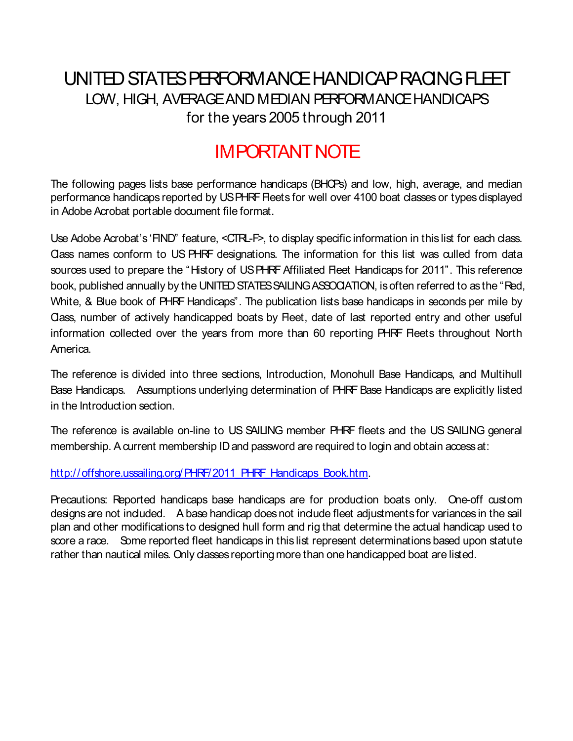## UNITED STATES PERFORMANCE HANDICAP RACING FLEET LOW, HIGH, AVERAGE AND MEDIAN PERFORMANCE HANDICAPS for the years 2005 through 2011

## IMPORTANT NOTE

The following pages lists base performance handicaps (BHCPs) and low, high, average, and median performance handicaps reported by USPHRF Fleets for well over 4100 boat classes or types displayed in Adobe Acrobat portable document file format.

Use Adobe Acrobat's 'FIND" feature, <CTRL-F>, to display specific information in this list for each class. Class names conform to US PHRF designations. The information for this list was culled from data sources used to prepare the "History of US PHRF Affiliated Fleet Handicaps for 2011". This reference book, published annually by the UNITED STATES SAILING ASSOCIATION, is often referred to as the "Red, White, & Blue book of PHRF Handicaps". The publication lists base handicaps in seconds per mile by Class, number of actively handicapped boats by Fleet, date of last reported entry and other useful information collected over the years from more than 60 reporting PHRF Fleets throughout North America.

The reference is divided into three sections, Introduction, Monohull Base Handicaps, and Multihull Base Handicaps. Assumptions underlying determination of PHRF Base Handicaps are explicitly listed in the Introduction section.

The reference is available on-line to US SAILING member PHRF fleets and the US SAILING general membership. A current membership ID and password are required to login and obtain access at:

http://offshore.ussailing.org/PHRF/2011\_PHRF\_Handicaps\_Book.htm.

Precautions: Reported handicaps base handicaps are for production boats only. One-off custom designs are not included. A base handicap does not include fleet adjustments for variances in the sail plan and other modifications to designed hull form and rig that determine the actual handicap used to score a race. Some reported fleet handicaps in this list represent determinations based upon statute rather than nautical miles. Only classes reporting more than one handicapped boat are listed.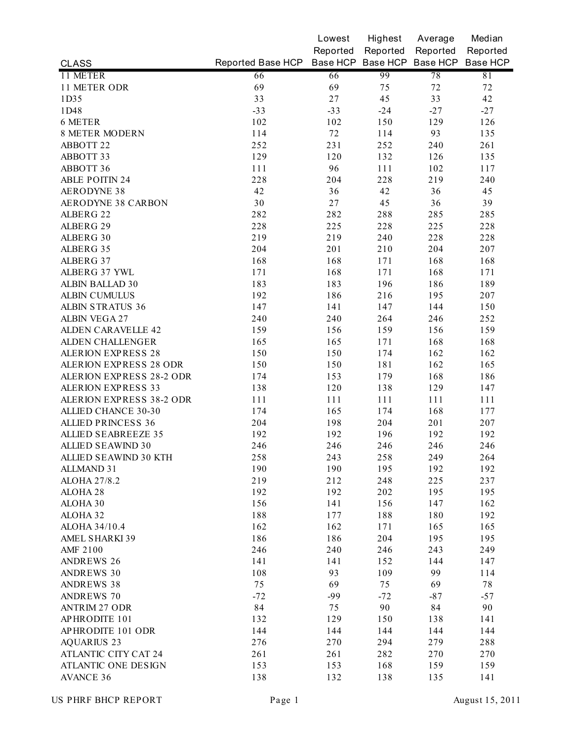|                                 |                                              | Lowest   | Highest  | Average  | Median   |
|---------------------------------|----------------------------------------------|----------|----------|----------|----------|
|                                 |                                              | Reported | Reported | Reported | Reported |
| <b>CLASS</b>                    | Reported Base HCP Base HCP Base HCP Base HCP |          |          |          | Base HCP |
| 11 METER                        | 66                                           | 66       | 99       | 78       | 81       |
| 11 METER ODR                    | 69                                           | 69       | 75       | 72       | 72       |
| 1D35                            | 33                                           | 27       | 45       | 33       | 42       |
| 1D48                            | $-33$                                        | $-33$    | $-24$    | $-27$    | $-27$    |
| 6 METER                         | 102                                          | 102      | 150      | 129      | 126      |
| <b>8 METER MODERN</b>           | 114                                          | 72       | 114      | 93       | 135      |
| ABBOTT 22                       | 252                                          | 231      | 252      | 240      | 261      |
| ABBOTT 33                       | 129                                          | 120      | 132      | 126      | 135      |
| ABBOTT 36                       | 111                                          | 96       | 111      | 102      | 117      |
| <b>ABLE POITIN 24</b>           | 228                                          | 204      | 228      | 219      | 240      |
| <b>AERODYNE 38</b>              | 42                                           | 36       | 42       | 36       | 45       |
| <b>AERODYNE 38 CARBON</b>       | 30                                           | 27       | 45       | 36       | 39       |
| ALBERG 22                       | 282                                          | 282      | 288      | 285      | 285      |
| ALBERG 29                       | 228                                          | 225      | 228      | 225      | 228      |
| ALBERG 30                       | 219                                          | 219      | 240      | 228      | 228      |
| ALBERG 35                       | 204                                          | 201      | 210      | 204      | 207      |
| ALBERG 37                       | 168                                          | 168      | 171      | 168      | 168      |
| ALBERG 37 YWL                   | 171                                          | 168      | 171      | 168      | 171      |
| ALBIN BALLAD 30                 | 183                                          | 183      | 196      | 186      | 189      |
| <b>ALBIN CUMULUS</b>            | 192                                          | 186      | 216      | 195      | 207      |
| <b>ALBIN STRATUS 36</b>         | 147                                          | 141      | 147      | 144      | 150      |
| <b>ALBIN VEGA 27</b>            | 240                                          | 240      | 264      | 246      | 252      |
| <b>ALDEN CARAVELLE 42</b>       | 159                                          | 156      | 159      | 156      | 159      |
| <b>ALDEN CHALLENGER</b>         | 165                                          | 165      | 171      | 168      | 168      |
| <b>ALERION EXPRESS 28</b>       | 150                                          | 150      | 174      | 162      | 162      |
| <b>ALERION EXPRESS 28 ODR</b>   | 150                                          | 150      | 181      | 162      | 165      |
| <b>ALERION EXPRESS 28-2 ODR</b> | 174                                          | 153      | 179      | 168      | 186      |
| <b>ALERION EXPRESS 33</b>       | 138                                          | 120      | 138      | 129      | 147      |
| <b>ALERION EXPRESS 38-2 ODR</b> | 111                                          | 111      | 111      | 111      | 111      |
| <b>ALLIED CHANCE 30-30</b>      | 174                                          | 165      | 174      | 168      | 177      |
| <b>ALLIED PRINCESS 36</b>       | 204                                          | 198      | 204      | 201      | 207      |
| <b>ALLIED SEABREEZE 35</b>      | 192                                          | 192      | 196      | 192      | 192      |
| <b>ALLIED SEAWIND 30</b>        | 246                                          | 246      | 246      | 246      | 246      |
| ALLIED SEAWIND 30 KTH           | 258                                          | 243      | 258      | 249      | 264      |
| <b>ALLMAND 31</b>               | 190                                          | 190      | 195      | 192      | 192      |
| ALOHA 27/8.2                    | 219                                          | 212      | 248      | 225      | 237      |
| ALOHA <sub>28</sub>             | 192                                          | 192      | 202      | 195      | 195      |
| ALOHA 30                        | 156                                          | 141      | 156      | 147      | 162      |
| ALOHA 32                        | 188                                          | 177      | 188      | 180      | 192      |
| ALOHA 34/10.4                   | 162                                          | 162      | 171      | 165      | 165      |
| <b>AMEL SHARKI 39</b>           | 186                                          | 186      | 204      | 195      | 195      |
| <b>AMF 2100</b>                 | 246                                          | 240      | 246      | 243      | 249      |
| <b>ANDREWS 26</b>               | 141                                          | 141      | 152      | 144      | 147      |
| <b>ANDREWS 30</b>               | 108                                          | 93       | 109      | 99       | 114      |
| <b>ANDREWS 38</b>               | 75                                           | 69       | 75       | 69       | 78       |
| <b>ANDREWS 70</b>               | $-72$                                        | $-99$    | $-72$    | $-87$    | $-57$    |
| <b>ANTRIM 27 ODR</b>            | 84                                           | 75       | 90       | 84       | 90       |
| APHRODITE 101                   | 132                                          | 129      | 150      | 138      | 141      |
| APHRODITE 101 ODR               | 144                                          | 144      | 144      | 144      | 144      |
| <b>AQUARIUS 23</b>              | 276                                          | 270      | 294      | 279      | 288      |
| <b>ATLANTIC CITY CAT 24</b>     | 261                                          | 261      | 282      | 270      | 270      |
| ATLANTIC ONE DESIGN             | 153                                          | 153      | 168      | 159      | 159      |
| <b>AVANCE 36</b>                | 138                                          | 132      | 138      | 135      | 141      |
|                                 |                                              |          |          |          |          |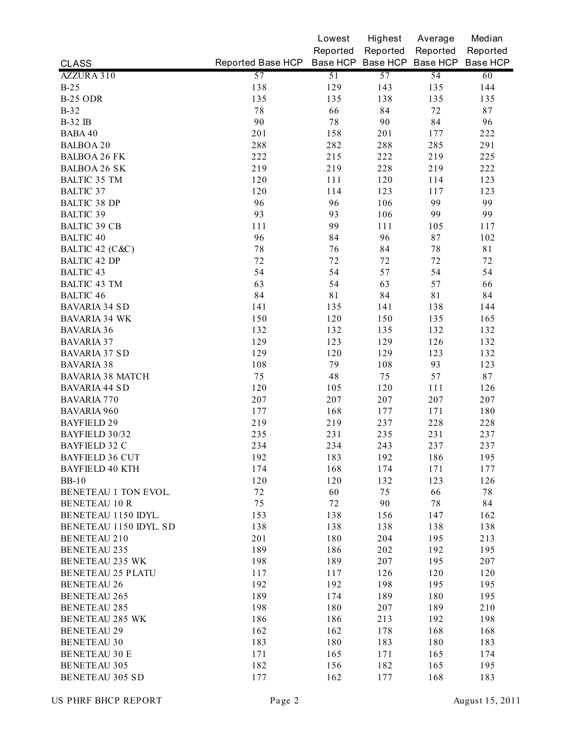|                          |                   | Lowest   | Highest  | Average                    | Median   |
|--------------------------|-------------------|----------|----------|----------------------------|----------|
|                          |                   | Reported | Reported | Reported                   | Reported |
| <b>CLASS</b>             | Reported Base HCP |          |          | Base HCP Base HCP Base HCP | Base HCP |
| AZZURA 310               | 57                | 51       | 57       | 54                         | 60       |
| $B-25$                   | 138               | 129      | 143      | 135                        | 144      |
| <b>B-25 ODR</b>          | 135               | 135      | 138      | 135                        | 135      |
| $B-32$                   | $7\,$             | 66       | 84       | 72                         | 87       |
| <b>B-32 IB</b>           | 90                | 78       | 90       | 84                         | 96       |
| <b>BABA 40</b>           | 201               | 158      | 201      | 177                        | 222      |
| <b>BALBOA 20</b>         | 288               | 282      | 288      | 285                        | 291      |
| <b>BALBOA 26 FK</b>      | 222               | 215      | 222      | 219                        | 225      |
| <b>BALBOA 26 SK</b>      | 219               | 219      | 228      | 219                        | 222      |
| <b>BALTIC 35 TM</b>      | 120               | 111      | 120      | 114                        | 123      |
| <b>BALTIC 37</b>         | 120               | 114      | 123      | 117                        | 123      |
| <b>BALTIC 38 DP</b>      | 96                | 96       | 106      | 99                         | 99       |
| <b>BALTIC 39</b>         | 93                | 93       | 106      | 99                         | 99       |
| <b>BALTIC 39 CB</b>      | 111               | 99       | 111      | 105                        | 117      |
| <b>BALTIC 40</b>         | 96                | 84       | 96       | 87                         | 102      |
| BALTIC 42 (C&C)          | $7\,8$            | 76       | 84       | 78                         | 81       |
| <b>BALTIC 42 DP</b>      | 72                | 72       | 72       | 72                         | 72       |
| <b>BALTIC 43</b>         | 54                | 54       | 57       | 54                         | 54       |
| <b>BALTIC 43 TM</b>      | 63                | 54       | 63       | 57                         | 66       |
| <b>BALTIC 46</b>         | 84                | 81       | 84       | 81                         | 84       |
| <b>BAVARIA 34 SD</b>     | 141               | 135      | 141      | 138                        | 144      |
| <b>BAVARIA 34 WK</b>     | 150               | 120      | 150      | 135                        | 165      |
| <b>BAVARIA 36</b>        | 132               | 132      | 135      | 132                        | 132      |
| <b>BAVARIA 37</b>        | 129               | 123      | 129      | 126                        | 132      |
| <b>BAVARIA 37 SD</b>     | 129               | 120      | 129      | 123                        | 132      |
| <b>BAVARIA 38</b>        | 108               | 79       | 108      | 93                         | 123      |
| <b>BAVARIA 38 MATCH</b>  | 75                | 48       | 75       | 57                         | 87       |
| <b>BAVARIA 44 SD</b>     | 120               | 105      | 120      | 111                        | 126      |
| <b>BAVARIA 770</b>       | 207               | 207      | 207      | 207                        | 207      |
| <b>BAVARIA 960</b>       | 177               | 168      | 177      | 171                        | 180      |
| <b>BAYFIELD 29</b>       | 219               | 219      | 237      | 228                        | 228      |
| BAYFIELD 30/32           | 235               | 231      | 235      | 231                        | 237      |
| <b>BAYFIELD 32 C</b>     | 234               | 234      | 243      | 237                        | 237      |
| <b>BAYFIELD 36 CUT</b>   | 192               | 183      | 192      | 186                        | 195      |
| <b>BAYFIELD 40 KTH</b>   | 174               | 168      | 174      | 171                        | 177      |
| $BB-10$                  | 120               | 120      | 132      | 123                        | 126      |
| BENETEAU 1 TON EVOL.     | 72                | 60       | 75       | 66                         | 78       |
| <b>BENETEAU 10 R</b>     | 75                | 72       | 90       | 78                         | 84       |
| BENETEAU 1150 IDYL.      | 153               | 138      | 156      | 147                        | 162      |
| BENETEAU 1150 IDYL. SD   | 138               | 138      | 138      | 138                        | 138      |
| <b>BENETEAU 210</b>      | 201               | 180      | 204      | 195                        | 213      |
| <b>BENETEAU 235</b>      | 189               | 186      | 202      | 192                        | 195      |
| <b>BENETEAU 235 WK</b>   | 198               | 189      | 207      | 195                        | 207      |
| <b>BENETEAU 25 PLATU</b> | 117               | 117      | 126      | 120                        | 120      |
| <b>BENETEAU 26</b>       | 192               | 192      | 198      | 195                        | 195      |
| <b>BENETEAU 265</b>      | 189               | 174      | 189      | 180                        | 195      |
| <b>BENETEAU 285</b>      | 198               | 180      | 207      | 189                        | 210      |
| <b>BENETEAU 285 WK</b>   | 186               | 186      | 213      | 192                        | 198      |
| <b>BENETEAU 29</b>       | 162               | 162      | 178      | 168                        | 168      |
| <b>BENETEAU 30</b>       | 183               | 180      | 183      | 180                        | 183      |
| <b>BENETEAU 30 E</b>     | 171               | 165      | 171      | 165                        | 174      |
| <b>BENETEAU 305</b>      | 182               | 156      | 182      | 165                        | 195      |
| <b>BENETEAU 305 SD</b>   | 177               | 162      | 177      | 168                        | 183      |
|                          |                   |          |          |                            |          |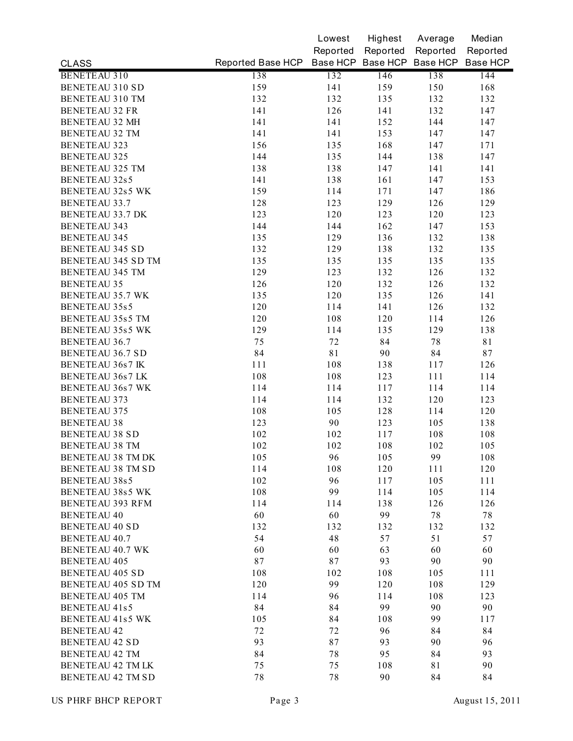|                          |                                              | Lowest      | Highest  | Average  | Median   |
|--------------------------|----------------------------------------------|-------------|----------|----------|----------|
|                          |                                              | Reported    | Reported | Reported | Reported |
| <b>CLASS</b>             | Reported Base HCP Base HCP Base HCP Base HCP |             |          |          | Base HCP |
| <b>BENETEAU 310</b>      | 138                                          | 132         | 146      | 138      | 144      |
| <b>BENETEAU 310 SD</b>   | 159                                          | 141         | 159      | 150      | 168      |
| <b>BENETEAU 310 TM</b>   | 132                                          | 132         | 135      | 132      | 132      |
| <b>BENETEAU 32 FR</b>    | 141                                          | 126         | 141      | 132      | 147      |
| <b>BENETEAU 32 MH</b>    | 141                                          | 141         | 152      | 144      | 147      |
| <b>BENETEAU 32 TM</b>    | 141                                          | 141         | 153      | 147      | 147      |
| <b>BENETEAU 323</b>      | 156                                          | 135         | 168      | 147      | 171      |
| <b>BENETEAU 325</b>      | 144                                          | 135         | 144      | 138      | 147      |
| <b>BENETEAU 325 TM</b>   | 138                                          | 138         | 147      | 141      | 141      |
| <b>BENETEAU 32s5</b>     | 141                                          | 138         | 161      | 147      | 153      |
| <b>BENETEAU 32s5 WK</b>  | 159                                          | 114         | 171      | 147      | 186      |
| <b>BENETEAU 33.7</b>     | 128                                          | 123         | 129      | 126      | 129      |
| <b>BENETEAU 33.7 DK</b>  | 123                                          | 120         | 123      | 120      | 123      |
| <b>BENETEAU 343</b>      | 144                                          | 144         | 162      | 147      | 153      |
| <b>BENETEAU 345</b>      | 135                                          | 129         | 136      | 132      | 138      |
| <b>BENETEAU 345 SD</b>   | 132                                          | 129         | 138      | 132      | 135      |
| BENETEAU 345 SD TM       | 135                                          | 135         | 135      | 135      | 135      |
| <b>BENETEAU 345 TM</b>   | 129                                          | 123         | 132      | 126      | 132      |
| <b>BENETEAU 35</b>       | 126                                          | 120         | 132      | 126      | 132      |
| <b>BENETEAU 35.7 WK</b>  | 135                                          | 120         | 135      | 126      | 141      |
| <b>BENETEAU 35s5</b>     | 120                                          | 114         | 141      | 126      | 132      |
| <b>BENETEAU 35s5 TM</b>  | 120                                          | 108         | 120      | 114      | 126      |
| <b>BENETEAU 35s5 WK</b>  | 129                                          | 114         | 135      | 129      | 138      |
| <b>BENETEAU 36.7</b>     | 75                                           | 72          | 84       | 78       | 81       |
| <b>BENETEAU 36.7 SD</b>  | 84                                           | $8\sqrt{1}$ | 90       | 84       | 87       |
| <b>BENETEAU 36s7 IK</b>  | 111                                          | 108         | 138      | 117      | 126      |
| <b>BENETEAU 36s7 LK</b>  | 108                                          | 108         | 123      | 111      | 114      |
| <b>BENETEAU 36s7 WK</b>  | 114                                          | 114         | 117      | 114      | 114      |
| <b>BENETEAU 373</b>      | 114                                          | 114         | 132      | 120      | 123      |
| <b>BENETEAU 375</b>      | 108                                          | 105         | 128      | 114      | 120      |
| <b>BENETEAU 38</b>       | 123                                          | 90          | 123      | 105      | 138      |
| <b>BENETEAU 38 SD</b>    | 102                                          | 102         | 117      | 108      | 108      |
| <b>BENETEAU 38 TM</b>    | 102                                          | 102         | 108      | 102      | 105      |
| BENETEAU 38 TM DK        | 105                                          | 96          | 105      | 99       | 108      |
| BENETEAU 38 TM SD        | 114                                          | 108         | 120      | 111      | 120      |
| BENETEAU 38s5            | 102                                          | 96          | 117      | 105      | 111      |
| BENETEAU 38s5 WK         | 108                                          | 99          | 114      | 105      | 114      |
| <b>BENETEAU 393 RFM</b>  | 114                                          | 114         | 138      | 126      | 126      |
| <b>BENETEAU 40</b>       | 60                                           | 60          | 99       | $7\,$    | 78       |
| <b>BENETEAU 40 SD</b>    | 132                                          | 132         | 132      | 132      | 132      |
| <b>BENETEAU 40.7</b>     | 54                                           | 48          | 57       | 51       | 57       |
| <b>BENETEAU 40.7 WK</b>  | 60                                           | 60          | 63       | 60       | 60       |
| <b>BENETEAU 405</b>      | 87                                           | $8\,7$      | 93       | 90       | 90       |
| <b>BENETEAU 405 SD</b>   | 108                                          | 102         | 108      | 105      | 111      |
| BENETEAU 405 SD TM       | 120                                          | 99          | 120      | 108      | 129      |
| <b>BENETEAU 405 TM</b>   | 114                                          | 96          | 114      | 108      | 123      |
| BENETEAU 41s5            | 84                                           | 84          | 99       | 90       | 90       |
| <b>BENETEAU 41s5 WK</b>  | 105                                          | 84          | 108      | 99       | 117      |
| <b>BENETEAU 42</b>       | 72                                           | 72          | 96       | 84       | 84       |
| <b>BENETEAU 42 SD</b>    | 93                                           | 87          | 93       | 90       | 96       |
| <b>BENETEAU 42 TM</b>    | 84                                           | 78          | 95       | 84       | 93       |
| <b>BENETEAU 42 TM LK</b> | 75                                           | 75          | 108      | 81       | 90       |
|                          |                                              |             |          |          |          |
| <b>BENETEAU 42 TM SD</b> | $7\,$                                        | 78          | 90       | 84       | 84       |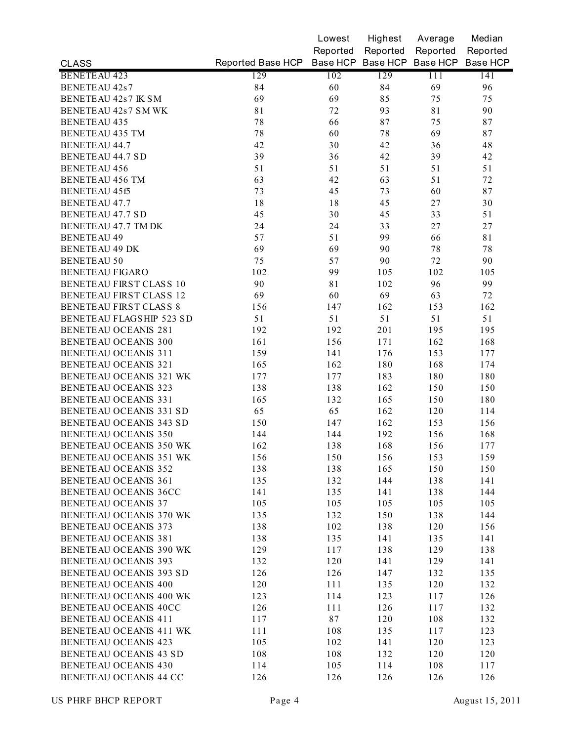| Reported<br>Reported<br>Reported<br>Reported<br>Reported Base HCP Base HCP Base HCP Base HCP Base HCP<br><b>CLASS</b><br>129<br>102<br>129<br>111<br><b>BENETEAU 423</b><br>141<br>69<br><b>BENETEAU 42s7</b><br>84<br>60<br>84<br>96<br>69<br>69<br>85<br>75<br><b>BENETEAU 42s7 IK SM</b><br>75<br>81<br>72<br>93<br>81<br>90<br>BENETEAU 42s7 SM WK<br>78<br>87<br>75<br>87<br><b>BENETEAU 435</b><br>66<br>78<br>60<br>78<br>69<br>87<br><b>BENETEAU 435 TM</b><br>42<br>30<br>42<br><b>BENETEAU 44.7</b><br>36<br>48<br>39<br>39<br>36<br>42<br>42<br><b>BENETEAU 44.7 SD</b><br>51<br>51<br>51<br>51<br>51<br><b>BENETEAU 456</b><br>63<br>42<br>63<br>51<br>72<br><b>BENETEAU 456 TM</b><br>73<br>45<br>73<br>60<br>87<br>BENETEAU 45f5<br>18<br>18<br>45<br>27<br>30<br><b>BENETEAU 47.7</b><br>45<br>30<br>45<br>33<br>51<br><b>BENETEAU 47.7 SD</b><br>24<br>24<br>33<br>27<br>$27\,$<br>BENETEAU 47.7 TM DK<br>57<br>51<br>99<br>66<br>81<br><b>BENETEAU 49</b><br>69<br>90<br><b>BENETEAU 49 DK</b><br>69<br>78<br>78<br><b>BENETEAU 50</b><br>75<br>57<br>90<br>72<br>90<br>102<br>99<br>105<br>102<br><b>BENETEAU FIGARO</b><br>105<br>BENETEAU FIRST CLASS 10<br>90<br>81<br>102<br>96<br>99<br>69<br>BENETEAU FIRST CLASS 12<br>69<br>60<br>63<br>72<br><b>BENETEAU FIRST CLASS 8</b><br>162<br>156<br>147<br>153<br>162<br>51<br>BENETEAU FLAGSHIP 523 SD<br>51<br>51<br>51<br>51<br><b>BENETEAU OCEANIS 281</b><br>192<br>192<br>201<br>195<br>195<br><b>BENETEAU OCEANIS 300</b><br>161<br>162<br>156<br>171<br>168<br><b>BENETEAU OCEANIS 311</b><br>141<br>159<br>176<br>153<br>177<br><b>BENETEAU OCEANIS 321</b><br>165<br>162<br>180<br>168<br>174<br>BENETEAU OCEANIS 321 WK<br>183<br>180<br>180<br>177<br>177<br><b>BENETEAU OCEANIS 323</b><br>138<br>138<br>162<br>150<br>150<br><b>BENETEAU OCEANIS 331</b><br>165<br>132<br>165<br>180<br>150<br>65<br><b>BENETEAU OCEANIS 331 SD</b><br>65<br>162<br>120<br>114<br><b>BENETEAU OCEANIS 343 SD</b><br>150<br>147<br>162<br>153<br>156<br><b>BENETEAU OCEANIS 350</b><br>144<br>144<br>192<br>156<br>168<br>162<br>168<br>BENETEAU OCEANIS 350 WK<br>138<br>156<br>177<br>156<br>156<br>159<br>BENETEAU OCEANIS 351 WK<br>150<br>153<br><b>BENETEAU OCEANIS 352</b><br>138<br>138<br>165<br>150<br>150<br><b>BENETEAU OCEANIS 361</b><br>132<br>138<br>135<br>144<br>141<br>BENETEAU OCEANIS 36CC<br>141<br>135<br>141<br>138<br>144<br><b>BENETEAU OCEANIS 37</b><br>105<br>105<br>105<br>105<br>105<br>BENETEAU OCEANIS 370 WK<br>150<br>135<br>132<br>138<br>144<br><b>BENETEAU OCEANIS 373</b><br>138<br>102<br>138<br>120<br>156<br><b>BENETEAU OCEANIS 381</b><br>138<br>135<br>141<br>135<br>141<br>BENETEAU OCEANIS 390 WK<br>129<br>117<br>138<br>129<br>138<br><b>BENETEAU OCEANIS 393</b><br>132<br>120<br>141<br>129<br>141<br><b>BENETEAU OCEANIS 393 SD</b><br>126<br>126<br>147<br>132<br>135<br><b>BENETEAU OCEANIS 400</b><br>120<br>120<br>111<br>135<br>132<br>BENETEAU OCEANIS 400 WK<br>123<br>114<br>123<br>117<br>126<br>BENETEAU OCEANIS 40CC<br>126<br>111<br>126<br>117<br>132<br>87<br><b>BENETEAU OCEANIS 411</b><br>120<br>108<br>117<br>132<br>BENETEAU OCEANIS 411 WK<br>111<br>108<br>135<br>117<br>123<br><b>BENETEAU OCEANIS 423</b><br>105<br>102<br>141<br>120<br>123<br><b>BENETEAU OCEANIS 43 SD</b><br>108<br>108<br>132<br>120<br>120<br><b>BENETEAU OCEANIS 430</b><br>105<br>114<br>114<br>108<br>117<br>BENETEAU OCEANIS 44 CC<br>126<br>126<br>126<br>126<br>126 |  | Lowest | Highest | Average | Median |
|--------------------------------------------------------------------------------------------------------------------------------------------------------------------------------------------------------------------------------------------------------------------------------------------------------------------------------------------------------------------------------------------------------------------------------------------------------------------------------------------------------------------------------------------------------------------------------------------------------------------------------------------------------------------------------------------------------------------------------------------------------------------------------------------------------------------------------------------------------------------------------------------------------------------------------------------------------------------------------------------------------------------------------------------------------------------------------------------------------------------------------------------------------------------------------------------------------------------------------------------------------------------------------------------------------------------------------------------------------------------------------------------------------------------------------------------------------------------------------------------------------------------------------------------------------------------------------------------------------------------------------------------------------------------------------------------------------------------------------------------------------------------------------------------------------------------------------------------------------------------------------------------------------------------------------------------------------------------------------------------------------------------------------------------------------------------------------------------------------------------------------------------------------------------------------------------------------------------------------------------------------------------------------------------------------------------------------------------------------------------------------------------------------------------------------------------------------------------------------------------------------------------------------------------------------------------------------------------------------------------------------------------------------------------------------------------------------------------------------------------------------------------------------------------------------------------------------------------------------------------------------------------------------------------------------------------------------------------------------------------------------------------------------------------------------------------------------------------------------------------------------------------------------------------------------------------------------------------------------------------------------------------------------------------------------------------------------------------------------------------------------------------------------------------------------------------------------------------------------------------|--|--------|---------|---------|--------|
|                                                                                                                                                                                                                                                                                                                                                                                                                                                                                                                                                                                                                                                                                                                                                                                                                                                                                                                                                                                                                                                                                                                                                                                                                                                                                                                                                                                                                                                                                                                                                                                                                                                                                                                                                                                                                                                                                                                                                                                                                                                                                                                                                                                                                                                                                                                                                                                                                                                                                                                                                                                                                                                                                                                                                                                                                                                                                                                                                                                                                                                                                                                                                                                                                                                                                                                                                                                                                                                                                            |  |        |         |         |        |
|                                                                                                                                                                                                                                                                                                                                                                                                                                                                                                                                                                                                                                                                                                                                                                                                                                                                                                                                                                                                                                                                                                                                                                                                                                                                                                                                                                                                                                                                                                                                                                                                                                                                                                                                                                                                                                                                                                                                                                                                                                                                                                                                                                                                                                                                                                                                                                                                                                                                                                                                                                                                                                                                                                                                                                                                                                                                                                                                                                                                                                                                                                                                                                                                                                                                                                                                                                                                                                                                                            |  |        |         |         |        |
|                                                                                                                                                                                                                                                                                                                                                                                                                                                                                                                                                                                                                                                                                                                                                                                                                                                                                                                                                                                                                                                                                                                                                                                                                                                                                                                                                                                                                                                                                                                                                                                                                                                                                                                                                                                                                                                                                                                                                                                                                                                                                                                                                                                                                                                                                                                                                                                                                                                                                                                                                                                                                                                                                                                                                                                                                                                                                                                                                                                                                                                                                                                                                                                                                                                                                                                                                                                                                                                                                            |  |        |         |         |        |
|                                                                                                                                                                                                                                                                                                                                                                                                                                                                                                                                                                                                                                                                                                                                                                                                                                                                                                                                                                                                                                                                                                                                                                                                                                                                                                                                                                                                                                                                                                                                                                                                                                                                                                                                                                                                                                                                                                                                                                                                                                                                                                                                                                                                                                                                                                                                                                                                                                                                                                                                                                                                                                                                                                                                                                                                                                                                                                                                                                                                                                                                                                                                                                                                                                                                                                                                                                                                                                                                                            |  |        |         |         |        |
|                                                                                                                                                                                                                                                                                                                                                                                                                                                                                                                                                                                                                                                                                                                                                                                                                                                                                                                                                                                                                                                                                                                                                                                                                                                                                                                                                                                                                                                                                                                                                                                                                                                                                                                                                                                                                                                                                                                                                                                                                                                                                                                                                                                                                                                                                                                                                                                                                                                                                                                                                                                                                                                                                                                                                                                                                                                                                                                                                                                                                                                                                                                                                                                                                                                                                                                                                                                                                                                                                            |  |        |         |         |        |
|                                                                                                                                                                                                                                                                                                                                                                                                                                                                                                                                                                                                                                                                                                                                                                                                                                                                                                                                                                                                                                                                                                                                                                                                                                                                                                                                                                                                                                                                                                                                                                                                                                                                                                                                                                                                                                                                                                                                                                                                                                                                                                                                                                                                                                                                                                                                                                                                                                                                                                                                                                                                                                                                                                                                                                                                                                                                                                                                                                                                                                                                                                                                                                                                                                                                                                                                                                                                                                                                                            |  |        |         |         |        |
|                                                                                                                                                                                                                                                                                                                                                                                                                                                                                                                                                                                                                                                                                                                                                                                                                                                                                                                                                                                                                                                                                                                                                                                                                                                                                                                                                                                                                                                                                                                                                                                                                                                                                                                                                                                                                                                                                                                                                                                                                                                                                                                                                                                                                                                                                                                                                                                                                                                                                                                                                                                                                                                                                                                                                                                                                                                                                                                                                                                                                                                                                                                                                                                                                                                                                                                                                                                                                                                                                            |  |        |         |         |        |
|                                                                                                                                                                                                                                                                                                                                                                                                                                                                                                                                                                                                                                                                                                                                                                                                                                                                                                                                                                                                                                                                                                                                                                                                                                                                                                                                                                                                                                                                                                                                                                                                                                                                                                                                                                                                                                                                                                                                                                                                                                                                                                                                                                                                                                                                                                                                                                                                                                                                                                                                                                                                                                                                                                                                                                                                                                                                                                                                                                                                                                                                                                                                                                                                                                                                                                                                                                                                                                                                                            |  |        |         |         |        |
|                                                                                                                                                                                                                                                                                                                                                                                                                                                                                                                                                                                                                                                                                                                                                                                                                                                                                                                                                                                                                                                                                                                                                                                                                                                                                                                                                                                                                                                                                                                                                                                                                                                                                                                                                                                                                                                                                                                                                                                                                                                                                                                                                                                                                                                                                                                                                                                                                                                                                                                                                                                                                                                                                                                                                                                                                                                                                                                                                                                                                                                                                                                                                                                                                                                                                                                                                                                                                                                                                            |  |        |         |         |        |
|                                                                                                                                                                                                                                                                                                                                                                                                                                                                                                                                                                                                                                                                                                                                                                                                                                                                                                                                                                                                                                                                                                                                                                                                                                                                                                                                                                                                                                                                                                                                                                                                                                                                                                                                                                                                                                                                                                                                                                                                                                                                                                                                                                                                                                                                                                                                                                                                                                                                                                                                                                                                                                                                                                                                                                                                                                                                                                                                                                                                                                                                                                                                                                                                                                                                                                                                                                                                                                                                                            |  |        |         |         |        |
|                                                                                                                                                                                                                                                                                                                                                                                                                                                                                                                                                                                                                                                                                                                                                                                                                                                                                                                                                                                                                                                                                                                                                                                                                                                                                                                                                                                                                                                                                                                                                                                                                                                                                                                                                                                                                                                                                                                                                                                                                                                                                                                                                                                                                                                                                                                                                                                                                                                                                                                                                                                                                                                                                                                                                                                                                                                                                                                                                                                                                                                                                                                                                                                                                                                                                                                                                                                                                                                                                            |  |        |         |         |        |
|                                                                                                                                                                                                                                                                                                                                                                                                                                                                                                                                                                                                                                                                                                                                                                                                                                                                                                                                                                                                                                                                                                                                                                                                                                                                                                                                                                                                                                                                                                                                                                                                                                                                                                                                                                                                                                                                                                                                                                                                                                                                                                                                                                                                                                                                                                                                                                                                                                                                                                                                                                                                                                                                                                                                                                                                                                                                                                                                                                                                                                                                                                                                                                                                                                                                                                                                                                                                                                                                                            |  |        |         |         |        |
|                                                                                                                                                                                                                                                                                                                                                                                                                                                                                                                                                                                                                                                                                                                                                                                                                                                                                                                                                                                                                                                                                                                                                                                                                                                                                                                                                                                                                                                                                                                                                                                                                                                                                                                                                                                                                                                                                                                                                                                                                                                                                                                                                                                                                                                                                                                                                                                                                                                                                                                                                                                                                                                                                                                                                                                                                                                                                                                                                                                                                                                                                                                                                                                                                                                                                                                                                                                                                                                                                            |  |        |         |         |        |
|                                                                                                                                                                                                                                                                                                                                                                                                                                                                                                                                                                                                                                                                                                                                                                                                                                                                                                                                                                                                                                                                                                                                                                                                                                                                                                                                                                                                                                                                                                                                                                                                                                                                                                                                                                                                                                                                                                                                                                                                                                                                                                                                                                                                                                                                                                                                                                                                                                                                                                                                                                                                                                                                                                                                                                                                                                                                                                                                                                                                                                                                                                                                                                                                                                                                                                                                                                                                                                                                                            |  |        |         |         |        |
|                                                                                                                                                                                                                                                                                                                                                                                                                                                                                                                                                                                                                                                                                                                                                                                                                                                                                                                                                                                                                                                                                                                                                                                                                                                                                                                                                                                                                                                                                                                                                                                                                                                                                                                                                                                                                                                                                                                                                                                                                                                                                                                                                                                                                                                                                                                                                                                                                                                                                                                                                                                                                                                                                                                                                                                                                                                                                                                                                                                                                                                                                                                                                                                                                                                                                                                                                                                                                                                                                            |  |        |         |         |        |
|                                                                                                                                                                                                                                                                                                                                                                                                                                                                                                                                                                                                                                                                                                                                                                                                                                                                                                                                                                                                                                                                                                                                                                                                                                                                                                                                                                                                                                                                                                                                                                                                                                                                                                                                                                                                                                                                                                                                                                                                                                                                                                                                                                                                                                                                                                                                                                                                                                                                                                                                                                                                                                                                                                                                                                                                                                                                                                                                                                                                                                                                                                                                                                                                                                                                                                                                                                                                                                                                                            |  |        |         |         |        |
|                                                                                                                                                                                                                                                                                                                                                                                                                                                                                                                                                                                                                                                                                                                                                                                                                                                                                                                                                                                                                                                                                                                                                                                                                                                                                                                                                                                                                                                                                                                                                                                                                                                                                                                                                                                                                                                                                                                                                                                                                                                                                                                                                                                                                                                                                                                                                                                                                                                                                                                                                                                                                                                                                                                                                                                                                                                                                                                                                                                                                                                                                                                                                                                                                                                                                                                                                                                                                                                                                            |  |        |         |         |        |
|                                                                                                                                                                                                                                                                                                                                                                                                                                                                                                                                                                                                                                                                                                                                                                                                                                                                                                                                                                                                                                                                                                                                                                                                                                                                                                                                                                                                                                                                                                                                                                                                                                                                                                                                                                                                                                                                                                                                                                                                                                                                                                                                                                                                                                                                                                                                                                                                                                                                                                                                                                                                                                                                                                                                                                                                                                                                                                                                                                                                                                                                                                                                                                                                                                                                                                                                                                                                                                                                                            |  |        |         |         |        |
|                                                                                                                                                                                                                                                                                                                                                                                                                                                                                                                                                                                                                                                                                                                                                                                                                                                                                                                                                                                                                                                                                                                                                                                                                                                                                                                                                                                                                                                                                                                                                                                                                                                                                                                                                                                                                                                                                                                                                                                                                                                                                                                                                                                                                                                                                                                                                                                                                                                                                                                                                                                                                                                                                                                                                                                                                                                                                                                                                                                                                                                                                                                                                                                                                                                                                                                                                                                                                                                                                            |  |        |         |         |        |
|                                                                                                                                                                                                                                                                                                                                                                                                                                                                                                                                                                                                                                                                                                                                                                                                                                                                                                                                                                                                                                                                                                                                                                                                                                                                                                                                                                                                                                                                                                                                                                                                                                                                                                                                                                                                                                                                                                                                                                                                                                                                                                                                                                                                                                                                                                                                                                                                                                                                                                                                                                                                                                                                                                                                                                                                                                                                                                                                                                                                                                                                                                                                                                                                                                                                                                                                                                                                                                                                                            |  |        |         |         |        |
|                                                                                                                                                                                                                                                                                                                                                                                                                                                                                                                                                                                                                                                                                                                                                                                                                                                                                                                                                                                                                                                                                                                                                                                                                                                                                                                                                                                                                                                                                                                                                                                                                                                                                                                                                                                                                                                                                                                                                                                                                                                                                                                                                                                                                                                                                                                                                                                                                                                                                                                                                                                                                                                                                                                                                                                                                                                                                                                                                                                                                                                                                                                                                                                                                                                                                                                                                                                                                                                                                            |  |        |         |         |        |
|                                                                                                                                                                                                                                                                                                                                                                                                                                                                                                                                                                                                                                                                                                                                                                                                                                                                                                                                                                                                                                                                                                                                                                                                                                                                                                                                                                                                                                                                                                                                                                                                                                                                                                                                                                                                                                                                                                                                                                                                                                                                                                                                                                                                                                                                                                                                                                                                                                                                                                                                                                                                                                                                                                                                                                                                                                                                                                                                                                                                                                                                                                                                                                                                                                                                                                                                                                                                                                                                                            |  |        |         |         |        |
|                                                                                                                                                                                                                                                                                                                                                                                                                                                                                                                                                                                                                                                                                                                                                                                                                                                                                                                                                                                                                                                                                                                                                                                                                                                                                                                                                                                                                                                                                                                                                                                                                                                                                                                                                                                                                                                                                                                                                                                                                                                                                                                                                                                                                                                                                                                                                                                                                                                                                                                                                                                                                                                                                                                                                                                                                                                                                                                                                                                                                                                                                                                                                                                                                                                                                                                                                                                                                                                                                            |  |        |         |         |        |
|                                                                                                                                                                                                                                                                                                                                                                                                                                                                                                                                                                                                                                                                                                                                                                                                                                                                                                                                                                                                                                                                                                                                                                                                                                                                                                                                                                                                                                                                                                                                                                                                                                                                                                                                                                                                                                                                                                                                                                                                                                                                                                                                                                                                                                                                                                                                                                                                                                                                                                                                                                                                                                                                                                                                                                                                                                                                                                                                                                                                                                                                                                                                                                                                                                                                                                                                                                                                                                                                                            |  |        |         |         |        |
|                                                                                                                                                                                                                                                                                                                                                                                                                                                                                                                                                                                                                                                                                                                                                                                                                                                                                                                                                                                                                                                                                                                                                                                                                                                                                                                                                                                                                                                                                                                                                                                                                                                                                                                                                                                                                                                                                                                                                                                                                                                                                                                                                                                                                                                                                                                                                                                                                                                                                                                                                                                                                                                                                                                                                                                                                                                                                                                                                                                                                                                                                                                                                                                                                                                                                                                                                                                                                                                                                            |  |        |         |         |        |
|                                                                                                                                                                                                                                                                                                                                                                                                                                                                                                                                                                                                                                                                                                                                                                                                                                                                                                                                                                                                                                                                                                                                                                                                                                                                                                                                                                                                                                                                                                                                                                                                                                                                                                                                                                                                                                                                                                                                                                                                                                                                                                                                                                                                                                                                                                                                                                                                                                                                                                                                                                                                                                                                                                                                                                                                                                                                                                                                                                                                                                                                                                                                                                                                                                                                                                                                                                                                                                                                                            |  |        |         |         |        |
|                                                                                                                                                                                                                                                                                                                                                                                                                                                                                                                                                                                                                                                                                                                                                                                                                                                                                                                                                                                                                                                                                                                                                                                                                                                                                                                                                                                                                                                                                                                                                                                                                                                                                                                                                                                                                                                                                                                                                                                                                                                                                                                                                                                                                                                                                                                                                                                                                                                                                                                                                                                                                                                                                                                                                                                                                                                                                                                                                                                                                                                                                                                                                                                                                                                                                                                                                                                                                                                                                            |  |        |         |         |        |
|                                                                                                                                                                                                                                                                                                                                                                                                                                                                                                                                                                                                                                                                                                                                                                                                                                                                                                                                                                                                                                                                                                                                                                                                                                                                                                                                                                                                                                                                                                                                                                                                                                                                                                                                                                                                                                                                                                                                                                                                                                                                                                                                                                                                                                                                                                                                                                                                                                                                                                                                                                                                                                                                                                                                                                                                                                                                                                                                                                                                                                                                                                                                                                                                                                                                                                                                                                                                                                                                                            |  |        |         |         |        |
|                                                                                                                                                                                                                                                                                                                                                                                                                                                                                                                                                                                                                                                                                                                                                                                                                                                                                                                                                                                                                                                                                                                                                                                                                                                                                                                                                                                                                                                                                                                                                                                                                                                                                                                                                                                                                                                                                                                                                                                                                                                                                                                                                                                                                                                                                                                                                                                                                                                                                                                                                                                                                                                                                                                                                                                                                                                                                                                                                                                                                                                                                                                                                                                                                                                                                                                                                                                                                                                                                            |  |        |         |         |        |
|                                                                                                                                                                                                                                                                                                                                                                                                                                                                                                                                                                                                                                                                                                                                                                                                                                                                                                                                                                                                                                                                                                                                                                                                                                                                                                                                                                                                                                                                                                                                                                                                                                                                                                                                                                                                                                                                                                                                                                                                                                                                                                                                                                                                                                                                                                                                                                                                                                                                                                                                                                                                                                                                                                                                                                                                                                                                                                                                                                                                                                                                                                                                                                                                                                                                                                                                                                                                                                                                                            |  |        |         |         |        |
|                                                                                                                                                                                                                                                                                                                                                                                                                                                                                                                                                                                                                                                                                                                                                                                                                                                                                                                                                                                                                                                                                                                                                                                                                                                                                                                                                                                                                                                                                                                                                                                                                                                                                                                                                                                                                                                                                                                                                                                                                                                                                                                                                                                                                                                                                                                                                                                                                                                                                                                                                                                                                                                                                                                                                                                                                                                                                                                                                                                                                                                                                                                                                                                                                                                                                                                                                                                                                                                                                            |  |        |         |         |        |
|                                                                                                                                                                                                                                                                                                                                                                                                                                                                                                                                                                                                                                                                                                                                                                                                                                                                                                                                                                                                                                                                                                                                                                                                                                                                                                                                                                                                                                                                                                                                                                                                                                                                                                                                                                                                                                                                                                                                                                                                                                                                                                                                                                                                                                                                                                                                                                                                                                                                                                                                                                                                                                                                                                                                                                                                                                                                                                                                                                                                                                                                                                                                                                                                                                                                                                                                                                                                                                                                                            |  |        |         |         |        |
|                                                                                                                                                                                                                                                                                                                                                                                                                                                                                                                                                                                                                                                                                                                                                                                                                                                                                                                                                                                                                                                                                                                                                                                                                                                                                                                                                                                                                                                                                                                                                                                                                                                                                                                                                                                                                                                                                                                                                                                                                                                                                                                                                                                                                                                                                                                                                                                                                                                                                                                                                                                                                                                                                                                                                                                                                                                                                                                                                                                                                                                                                                                                                                                                                                                                                                                                                                                                                                                                                            |  |        |         |         |        |
|                                                                                                                                                                                                                                                                                                                                                                                                                                                                                                                                                                                                                                                                                                                                                                                                                                                                                                                                                                                                                                                                                                                                                                                                                                                                                                                                                                                                                                                                                                                                                                                                                                                                                                                                                                                                                                                                                                                                                                                                                                                                                                                                                                                                                                                                                                                                                                                                                                                                                                                                                                                                                                                                                                                                                                                                                                                                                                                                                                                                                                                                                                                                                                                                                                                                                                                                                                                                                                                                                            |  |        |         |         |        |
|                                                                                                                                                                                                                                                                                                                                                                                                                                                                                                                                                                                                                                                                                                                                                                                                                                                                                                                                                                                                                                                                                                                                                                                                                                                                                                                                                                                                                                                                                                                                                                                                                                                                                                                                                                                                                                                                                                                                                                                                                                                                                                                                                                                                                                                                                                                                                                                                                                                                                                                                                                                                                                                                                                                                                                                                                                                                                                                                                                                                                                                                                                                                                                                                                                                                                                                                                                                                                                                                                            |  |        |         |         |        |
|                                                                                                                                                                                                                                                                                                                                                                                                                                                                                                                                                                                                                                                                                                                                                                                                                                                                                                                                                                                                                                                                                                                                                                                                                                                                                                                                                                                                                                                                                                                                                                                                                                                                                                                                                                                                                                                                                                                                                                                                                                                                                                                                                                                                                                                                                                                                                                                                                                                                                                                                                                                                                                                                                                                                                                                                                                                                                                                                                                                                                                                                                                                                                                                                                                                                                                                                                                                                                                                                                            |  |        |         |         |        |
|                                                                                                                                                                                                                                                                                                                                                                                                                                                                                                                                                                                                                                                                                                                                                                                                                                                                                                                                                                                                                                                                                                                                                                                                                                                                                                                                                                                                                                                                                                                                                                                                                                                                                                                                                                                                                                                                                                                                                                                                                                                                                                                                                                                                                                                                                                                                                                                                                                                                                                                                                                                                                                                                                                                                                                                                                                                                                                                                                                                                                                                                                                                                                                                                                                                                                                                                                                                                                                                                                            |  |        |         |         |        |
|                                                                                                                                                                                                                                                                                                                                                                                                                                                                                                                                                                                                                                                                                                                                                                                                                                                                                                                                                                                                                                                                                                                                                                                                                                                                                                                                                                                                                                                                                                                                                                                                                                                                                                                                                                                                                                                                                                                                                                                                                                                                                                                                                                                                                                                                                                                                                                                                                                                                                                                                                                                                                                                                                                                                                                                                                                                                                                                                                                                                                                                                                                                                                                                                                                                                                                                                                                                                                                                                                            |  |        |         |         |        |
|                                                                                                                                                                                                                                                                                                                                                                                                                                                                                                                                                                                                                                                                                                                                                                                                                                                                                                                                                                                                                                                                                                                                                                                                                                                                                                                                                                                                                                                                                                                                                                                                                                                                                                                                                                                                                                                                                                                                                                                                                                                                                                                                                                                                                                                                                                                                                                                                                                                                                                                                                                                                                                                                                                                                                                                                                                                                                                                                                                                                                                                                                                                                                                                                                                                                                                                                                                                                                                                                                            |  |        |         |         |        |
|                                                                                                                                                                                                                                                                                                                                                                                                                                                                                                                                                                                                                                                                                                                                                                                                                                                                                                                                                                                                                                                                                                                                                                                                                                                                                                                                                                                                                                                                                                                                                                                                                                                                                                                                                                                                                                                                                                                                                                                                                                                                                                                                                                                                                                                                                                                                                                                                                                                                                                                                                                                                                                                                                                                                                                                                                                                                                                                                                                                                                                                                                                                                                                                                                                                                                                                                                                                                                                                                                            |  |        |         |         |        |
|                                                                                                                                                                                                                                                                                                                                                                                                                                                                                                                                                                                                                                                                                                                                                                                                                                                                                                                                                                                                                                                                                                                                                                                                                                                                                                                                                                                                                                                                                                                                                                                                                                                                                                                                                                                                                                                                                                                                                                                                                                                                                                                                                                                                                                                                                                                                                                                                                                                                                                                                                                                                                                                                                                                                                                                                                                                                                                                                                                                                                                                                                                                                                                                                                                                                                                                                                                                                                                                                                            |  |        |         |         |        |
|                                                                                                                                                                                                                                                                                                                                                                                                                                                                                                                                                                                                                                                                                                                                                                                                                                                                                                                                                                                                                                                                                                                                                                                                                                                                                                                                                                                                                                                                                                                                                                                                                                                                                                                                                                                                                                                                                                                                                                                                                                                                                                                                                                                                                                                                                                                                                                                                                                                                                                                                                                                                                                                                                                                                                                                                                                                                                                                                                                                                                                                                                                                                                                                                                                                                                                                                                                                                                                                                                            |  |        |         |         |        |
|                                                                                                                                                                                                                                                                                                                                                                                                                                                                                                                                                                                                                                                                                                                                                                                                                                                                                                                                                                                                                                                                                                                                                                                                                                                                                                                                                                                                                                                                                                                                                                                                                                                                                                                                                                                                                                                                                                                                                                                                                                                                                                                                                                                                                                                                                                                                                                                                                                                                                                                                                                                                                                                                                                                                                                                                                                                                                                                                                                                                                                                                                                                                                                                                                                                                                                                                                                                                                                                                                            |  |        |         |         |        |
|                                                                                                                                                                                                                                                                                                                                                                                                                                                                                                                                                                                                                                                                                                                                                                                                                                                                                                                                                                                                                                                                                                                                                                                                                                                                                                                                                                                                                                                                                                                                                                                                                                                                                                                                                                                                                                                                                                                                                                                                                                                                                                                                                                                                                                                                                                                                                                                                                                                                                                                                                                                                                                                                                                                                                                                                                                                                                                                                                                                                                                                                                                                                                                                                                                                                                                                                                                                                                                                                                            |  |        |         |         |        |
|                                                                                                                                                                                                                                                                                                                                                                                                                                                                                                                                                                                                                                                                                                                                                                                                                                                                                                                                                                                                                                                                                                                                                                                                                                                                                                                                                                                                                                                                                                                                                                                                                                                                                                                                                                                                                                                                                                                                                                                                                                                                                                                                                                                                                                                                                                                                                                                                                                                                                                                                                                                                                                                                                                                                                                                                                                                                                                                                                                                                                                                                                                                                                                                                                                                                                                                                                                                                                                                                                            |  |        |         |         |        |
|                                                                                                                                                                                                                                                                                                                                                                                                                                                                                                                                                                                                                                                                                                                                                                                                                                                                                                                                                                                                                                                                                                                                                                                                                                                                                                                                                                                                                                                                                                                                                                                                                                                                                                                                                                                                                                                                                                                                                                                                                                                                                                                                                                                                                                                                                                                                                                                                                                                                                                                                                                                                                                                                                                                                                                                                                                                                                                                                                                                                                                                                                                                                                                                                                                                                                                                                                                                                                                                                                            |  |        |         |         |        |
|                                                                                                                                                                                                                                                                                                                                                                                                                                                                                                                                                                                                                                                                                                                                                                                                                                                                                                                                                                                                                                                                                                                                                                                                                                                                                                                                                                                                                                                                                                                                                                                                                                                                                                                                                                                                                                                                                                                                                                                                                                                                                                                                                                                                                                                                                                                                                                                                                                                                                                                                                                                                                                                                                                                                                                                                                                                                                                                                                                                                                                                                                                                                                                                                                                                                                                                                                                                                                                                                                            |  |        |         |         |        |
|                                                                                                                                                                                                                                                                                                                                                                                                                                                                                                                                                                                                                                                                                                                                                                                                                                                                                                                                                                                                                                                                                                                                                                                                                                                                                                                                                                                                                                                                                                                                                                                                                                                                                                                                                                                                                                                                                                                                                                                                                                                                                                                                                                                                                                                                                                                                                                                                                                                                                                                                                                                                                                                                                                                                                                                                                                                                                                                                                                                                                                                                                                                                                                                                                                                                                                                                                                                                                                                                                            |  |        |         |         |        |
|                                                                                                                                                                                                                                                                                                                                                                                                                                                                                                                                                                                                                                                                                                                                                                                                                                                                                                                                                                                                                                                                                                                                                                                                                                                                                                                                                                                                                                                                                                                                                                                                                                                                                                                                                                                                                                                                                                                                                                                                                                                                                                                                                                                                                                                                                                                                                                                                                                                                                                                                                                                                                                                                                                                                                                                                                                                                                                                                                                                                                                                                                                                                                                                                                                                                                                                                                                                                                                                                                            |  |        |         |         |        |
|                                                                                                                                                                                                                                                                                                                                                                                                                                                                                                                                                                                                                                                                                                                                                                                                                                                                                                                                                                                                                                                                                                                                                                                                                                                                                                                                                                                                                                                                                                                                                                                                                                                                                                                                                                                                                                                                                                                                                                                                                                                                                                                                                                                                                                                                                                                                                                                                                                                                                                                                                                                                                                                                                                                                                                                                                                                                                                                                                                                                                                                                                                                                                                                                                                                                                                                                                                                                                                                                                            |  |        |         |         |        |
|                                                                                                                                                                                                                                                                                                                                                                                                                                                                                                                                                                                                                                                                                                                                                                                                                                                                                                                                                                                                                                                                                                                                                                                                                                                                                                                                                                                                                                                                                                                                                                                                                                                                                                                                                                                                                                                                                                                                                                                                                                                                                                                                                                                                                                                                                                                                                                                                                                                                                                                                                                                                                                                                                                                                                                                                                                                                                                                                                                                                                                                                                                                                                                                                                                                                                                                                                                                                                                                                                            |  |        |         |         |        |
|                                                                                                                                                                                                                                                                                                                                                                                                                                                                                                                                                                                                                                                                                                                                                                                                                                                                                                                                                                                                                                                                                                                                                                                                                                                                                                                                                                                                                                                                                                                                                                                                                                                                                                                                                                                                                                                                                                                                                                                                                                                                                                                                                                                                                                                                                                                                                                                                                                                                                                                                                                                                                                                                                                                                                                                                                                                                                                                                                                                                                                                                                                                                                                                                                                                                                                                                                                                                                                                                                            |  |        |         |         |        |
|                                                                                                                                                                                                                                                                                                                                                                                                                                                                                                                                                                                                                                                                                                                                                                                                                                                                                                                                                                                                                                                                                                                                                                                                                                                                                                                                                                                                                                                                                                                                                                                                                                                                                                                                                                                                                                                                                                                                                                                                                                                                                                                                                                                                                                                                                                                                                                                                                                                                                                                                                                                                                                                                                                                                                                                                                                                                                                                                                                                                                                                                                                                                                                                                                                                                                                                                                                                                                                                                                            |  |        |         |         |        |
|                                                                                                                                                                                                                                                                                                                                                                                                                                                                                                                                                                                                                                                                                                                                                                                                                                                                                                                                                                                                                                                                                                                                                                                                                                                                                                                                                                                                                                                                                                                                                                                                                                                                                                                                                                                                                                                                                                                                                                                                                                                                                                                                                                                                                                                                                                                                                                                                                                                                                                                                                                                                                                                                                                                                                                                                                                                                                                                                                                                                                                                                                                                                                                                                                                                                                                                                                                                                                                                                                            |  |        |         |         |        |
|                                                                                                                                                                                                                                                                                                                                                                                                                                                                                                                                                                                                                                                                                                                                                                                                                                                                                                                                                                                                                                                                                                                                                                                                                                                                                                                                                                                                                                                                                                                                                                                                                                                                                                                                                                                                                                                                                                                                                                                                                                                                                                                                                                                                                                                                                                                                                                                                                                                                                                                                                                                                                                                                                                                                                                                                                                                                                                                                                                                                                                                                                                                                                                                                                                                                                                                                                                                                                                                                                            |  |        |         |         |        |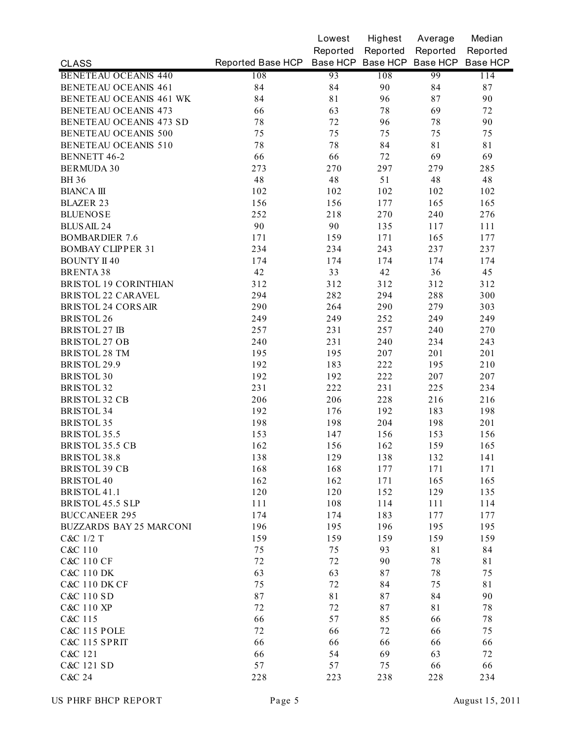|                                |                                              | Lowest   | Highest  | Average  | Median   |
|--------------------------------|----------------------------------------------|----------|----------|----------|----------|
|                                |                                              | Reported | Reported | Reported | Reported |
| <b>CLASS</b>                   | Reported Base HCP Base HCP Base HCP Base HCP |          |          |          | Base HCP |
| <b>BENETEAU OCEANIS 440</b>    | 108                                          | 93       | 108      | 99       | 114      |
| <b>BENETEAU OCEANIS 461</b>    | 84                                           | 84       | 90       | 84       | 87       |
| BENETEAU OCEANIS 461 WK        | 84                                           | 81       | 96       | 87       | 90       |
| <b>BENETEAU OCEANIS 473</b>    | 66                                           | 63       | 78       | 69       | 72       |
| <b>BENETEAU OCEANIS 473 SD</b> | 78                                           | 72       | 96       | 78       | 90       |
| <b>BENETEAU OCEANIS 500</b>    | 75                                           | 75       | 75       | 75       | 75       |
| <b>BENETEAU OCEANIS 510</b>    | 78                                           | 78       | 84       | 81       | 81       |
| <b>BENNETT 46-2</b>            | 66                                           | 66       | 72       | 69       | 69       |
| <b>BERMUDA 30</b>              | 273                                          | 270      | 297      | 279      | 285      |
| <b>BH</b> 36                   | 48                                           | 48       | 51       | 48       | 48       |
| <b>BIANCA III</b>              | 102                                          | 102      | 102      | 102      | 102      |
| <b>BLAZER 23</b>               | 156                                          | 156      | 177      | 165      | 165      |
| <b>BLUENOSE</b>                | 252                                          | 218      | 270      | 240      | 276      |
| <b>BLUS AIL 24</b>             | 90                                           | 90       | 135      | 117      | 111      |
| <b>BOMBARDIER 7.6</b>          | 171                                          | 159      | 171      | 165      | 177      |
| <b>BOMBAY CLIPPER 31</b>       | 234                                          | 234      | 243      | 237      | 237      |
| <b>BOUNTY II 40</b>            | 174                                          | 174      | 174      | 174      | 174      |
| <b>BRENTA 38</b>               | 42                                           | 33       | 42       | 36       | 45       |
| <b>BRISTOL 19 CORINTHIAN</b>   | 312                                          | 312      | 312      | 312      | 312      |
| <b>BRISTOL 22 CARAVEL</b>      | 294                                          | 282      | 294      | 288      | 300      |
| <b>BRISTOL 24 CORS AIR</b>     | 290                                          | 264      | 290      | 279      | 303      |
| <b>BRISTOL 26</b>              | 249                                          | 249      | 252      | 249      | 249      |
| <b>BRISTOL 27 IB</b>           | 257                                          | 231      | 257      | 240      | 270      |
| <b>BRISTOL 27 OB</b>           | 240                                          | 231      | 240      | 234      | 243      |
| BRISTOL 28 TM                  | 195                                          | 195      | 207      | 201      | 201      |
| BRISTOL 29.9                   | 192                                          | 183      | 222      | 195      | 210      |
| <b>BRISTOL 30</b>              | 192                                          | 192      | 222      | 207      | 207      |
| <b>BRISTOL 32</b>              | 231                                          | 222      | 231      | 225      | 234      |
| <b>BRISTOL 32 CB</b>           | 206                                          | 206      | 228      | 216      | 216      |
| <b>BRISTOL 34</b>              | 192                                          | 176      | 192      | 183      | 198      |
| <b>BRISTOL 35</b>              |                                              |          |          |          |          |
| <b>BRISTOL 35.5</b>            | 198                                          | 198      | 204      | 198      | 201      |
|                                | 153                                          | 147      | 156      | 153      | 156      |
| BRISTOL 35.5 CB                | 162                                          | 156      | 162      | 159      | 165      |
| BRISTOL 38.8                   | 138                                          | 129      | 138      | 132      | 141      |
| <b>BRISTOL 39 CB</b>           | 168                                          | 168      | 177      | 171      | 171      |
| <b>BRISTOL 40</b>              | 162                                          | 162      | 171      | 165      | 165      |
| BRISTOL 41.1                   | 120                                          | 120      | 152      | 129      | 135      |
| BRISTOL 45.5 SLP               | 111                                          | 108      | 114      | 111      | 114      |
| <b>BUCCANEER 295</b>           | 174                                          | 174      | 183      | 177      | 177      |
| <b>BUZZARDS BAY 25 MARCONI</b> | 196                                          | 195      | 196      | 195      | 195      |
| C&C 1/2 T                      | 159                                          | 159      | 159      | 159      | 159      |
| C&C 110                        | 75                                           | 75       | 93       | 81       | 84       |
| <b>C&amp;C 110 CF</b>          | 72                                           | 72       | 90       | 78       | 81       |
| C&C 110 DK                     | 63                                           | 63       | 87       | 78       | 75       |
| <b>C&amp;C 110 DK CF</b>       | 75                                           | 72       | 84       | 75       | 81       |
| C&C 110 SD                     | 87                                           | 81       | 87       | 84       | 90       |
| C&C 110 XP                     | 72                                           | 72       | 87       | 81       | 78       |
| C&C 115                        | 66                                           | 57       | 85       | 66       | 78       |
| <b>C&amp;C 115 POLE</b>        | 72                                           | 66       | 72       | 66       | 75       |
| <b>C&amp;C 115 SPRIT</b>       | 66                                           | 66       | 66       | 66       | 66       |
| C&C 121                        | 66                                           | 54       | 69       | 63       | 72       |
| C&C 121 SD                     | 57                                           | 57       | 75       | 66       | 66       |
| C&C 24                         | 228                                          | 223      | 238      | 228      | 234      |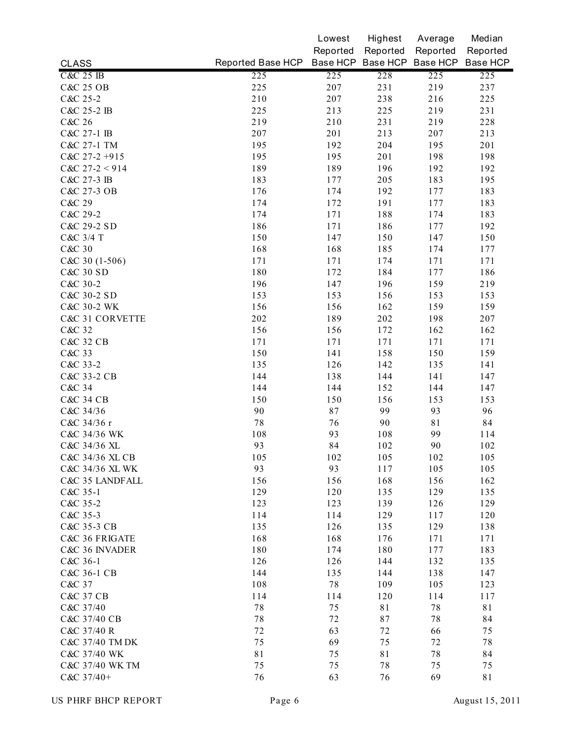|                      |                   | Lowest   | Highest  | Average                    | Median   |
|----------------------|-------------------|----------|----------|----------------------------|----------|
|                      |                   | Reported | Reported | Reported                   | Reported |
| <b>CLASS</b>         | Reported Base HCP |          |          | Base HCP Base HCP Base HCP | Base HCP |
| <b>C&amp;C 25 IB</b> | 225               | 225      | 228      | 225                        | 225      |
| <b>C&amp;C 25 OB</b> | 225               | 207      | 231      | 219                        | 237      |
| C&C 25-2             | 210               | 207      | 238      | 216                        | 225      |
| C&C 25-2 IB          | 225               | 213      | 225      | 219                        | 231      |
| C&C 26               | 219               | 210      | 231      | 219                        | 228      |
| C&C 27-1 IB          | 207               | 201      | 213      | 207                        | 213      |
| C&C 27-1 TM          | 195               | 192      | 204      | 195                        | 201      |
| $C&C$ 27-2 +915      | 195               | 195      | 201      | 198                        | 198      |
| $C&C$ 27-2 < 914     | 189               | 189      | 196      | 192                        | 192      |
| C&C 27-3 IB          | 183               | 177      | 205      | 183                        | 195      |
| C&C 27-3 OB          | 176               | 174      | 192      | 177                        | 183      |
| C&C 29               | 174               | 172      | 191      | 177                        | 183      |
| C&C 29-2             | 174               | 171      | 188      | 174                        | 183      |
| C&C 29-2 SD          | 186               | 171      | 186      | 177                        | 192      |
| C&C 3/4 T            | 150               | 147      | 150      | 147                        | 150      |
| C&C 30               | 168               | 168      | 185      | 174                        | 177      |
| $C&C30(1-506)$       | 171               | 171      | 174      | 171                        | 171      |
| C&C 30 SD            | 180               | 172      | 184      | 177                        | 186      |
| C&C 30-2             | 196               | 147      | 196      | 159                        | 219      |
| C&C 30-2 SD          | 153               | 153      | 156      | 153                        | 153      |
| C&C 30-2 WK          | 156               | 156      | 162      | 159                        | 159      |
| C&C 31 CORVETTE      | 202               | 189      | 202      | 198                        | 207      |
| C&C 32               | 156               | 156      | 172      | 162                        | 162      |
| <b>C&amp;C 32 CB</b> | 171               | 171      | 171      | 171                        | 171      |
| C&C 33               | 150               | 141      | 158      | 150                        | 159      |
| C&C 33-2             | 135               | 126      | 142      | 135                        | 141      |
| C&C 33-2 CB          | 144               | 138      | 144      | 141                        | 147      |
| C&C 34               | 144               | 144      | 152      | 144                        | 147      |
| <b>C&amp;C 34 CB</b> | 150               | 150      | 156      | 153                        | 153      |
| C&C 34/36            | 90                | 87       | 99       | 93                         | 96       |
| C&C 34/36 r          | $7\,$             | 76       | 90       | 81                         | 84       |
| C&C 34/36 WK         | 108               | 93       | 108      | 99                         | 114      |
| C&C 34/36 XL         | 93                | 84       | 102      | 90                         | 102      |
| C&C 34/36 XL CB      | 105               | 102      | 105      | 102                        | 105      |
| C&C 34/36 XL WK      | 93                | 93       | 117      | 105                        | 105      |
| C&C 35 LANDFALL      | 156               | 156      | 168      | 156                        | 162      |
| C&C 35-1             | 129               | 120      | 135      | 129                        | 135      |
| C&C 35-2             | 123               | 123      | 139      | 126                        | 129      |
| C&C 35-3             | 114               | 114      | 129      | 117                        | 120      |
| C&C 35-3 CB          | 135               | 126      | 135      | 129                        | 138      |
| C&C 36 FRIGATE       | 168               | 168      | 176      | 171                        | 171      |
| C&C 36 INVADER       | 180               | 174      | 180      | 177                        | 183      |
| C&C 36-1             | 126               | 126      | 144      | 132                        | 135      |
| C&C 36-1 CB          | 144               | 135      | 144      | 138                        | 147      |
| C&C 37               | 108               | 78       | 109      | 105                        | 123      |
| C&C 37 CB            | 114               | 114      | 120      | 114                        | 117      |
| C&C 37/40            | $7\,$             | 75       | 81       | 78                         | 81       |
| C&C 37/40 CB         | $7\,8$            | 72       | 87       | 78                         | 84       |
| C&C 37/40 R          | 72                | 63       | 72       | 66                         | 75       |
| C&C 37/40 TM DK      | 75                | 69       | 75       | 72                         | 78       |
| C&C 37/40 WK         | 81                | 75       | 81       | 78                         | 84       |
| C&C 37/40 WK TM      | 75                | 75       | 78       | 75                         | 75       |
| C&C 37/40+           | 76                | 63       | 76       | 69                         | 81       |
|                      |                   |          |          |                            |          |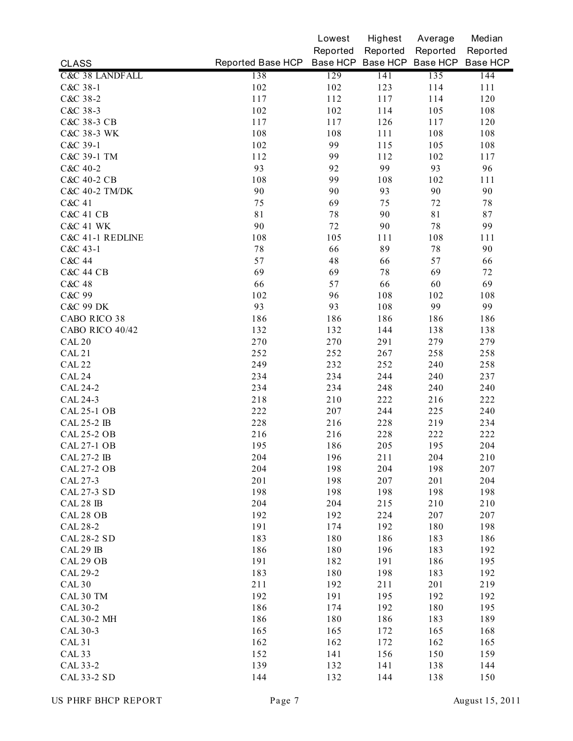|                            |                   | Lowest   | Highest  | Average                    | Median   |
|----------------------------|-------------------|----------|----------|----------------------------|----------|
|                            |                   | Reported | Reported | Reported                   | Reported |
| <b>CLASS</b>               | Reported Base HCP |          |          | Base HCP Base HCP Base HCP | Base HCP |
| <b>C&amp;C 38 LANDFALL</b> | 138               | 129      | 141      | 135                        | 144      |
| C&C 38-1                   | 102               | 102      | 123      | 114                        | 111      |
| C&C 38-2                   | 117               | 112      | 117      | 114                        | 120      |
| C&C 38-3                   | 102               | 102      | 114      | 105                        | 108      |
| C&C 38-3 CB                | 117               | 117      | 126      | 117                        | 120      |
| C&C 38-3 WK                | 108               | 108      | 111      | 108                        | 108      |
| C&C 39-1                   | 102               | 99       | 115      | 105                        | 108      |
| C&C 39-1 TM                | 112               | 99       | 112      | 102                        | 117      |
| C&C 40-2                   | 93                | 92       | 99       | 93                         | 96       |
| C&C 40-2 CB                | 108               | 99       | 108      | 102                        | 111      |
| C&C 40-2 TM/DK             | 90                | 90       | 93       | 90                         | 90       |
| C&C 41                     | 75                | 69       | 75       | 72                         | $7\,8$   |
| <b>C&amp;C 41 CB</b>       | 81                | 78       | 90       | 81                         | 87       |
| <b>C&amp;C 41 WK</b>       | 90                | 72       | 90       | 78                         | 99       |
| C&C 41-1 REDLINE           | 108               | 105      | 111      | 108                        | 111      |
| C&C 43-1                   | 78                | 66       | 89       | 78                         | 90       |
| C&C 44                     | 57                | 48       | 66       | 57                         | 66       |
| <b>C&amp;C 44 CB</b>       | 69                | 69       | 78       | 69                         | 72       |
| C&C 48                     | 66                | 57       | 66       | 60                         | 69       |
| C&C 99                     | 102               | 96       | 108      | 102                        | 108      |
| <b>C&amp;C 99 DK</b>       | 93                | 93       | 108      | 99                         | 99       |
| CABO RICO 38               | 186               | 186      | 186      | 186                        | 186      |
| CABO RICO 40/42            | 132               | 132      | 144      | 138                        | 138      |
| CAL <sub>20</sub>          | 270               | 270      | 291      | 279                        | 279      |
| <b>CAL 21</b>              | 252               | 252      | 267      | 258                        | 258      |
| <b>CAL 22</b>              | 249               | 232      | 252      | 240                        | 258      |
| CAL 24                     | 234               | 234      | 244      | 240                        | 237      |
| <b>CAL 24-2</b>            | 234               | 234      | 248      | 240                        | 240      |
| CAL 24-3                   | 218               | 210      | 222      | 216                        | 222      |
| <b>CAL 25-1 OB</b>         | 222               | 207      | 244      | 225                        | 240      |
| <b>CAL 25-2 IB</b>         | 228               | 216      | 228      | 219                        | 234      |
| <b>CAL 25-2 OB</b>         | 216               | 216      | 228      | 222                        | 222      |
| <b>CAL 27-1 OB</b>         | 195               | 186      | 205      | 195                        | 204      |
| CAL 27-2 IB                | 204               | 196      | 211      | 204                        | 210      |
| <b>CAL 27-2 OB</b>         | 204               | 198      | 204      | 198                        | 207      |
| CAL 27-3                   | 201               | 198      | 207      | 201                        | 204      |
| CAL 27-3 SD                | 198               | 198      | 198      | 198                        | 198      |
| CAL 28 IB                  | 204               | 204      | 215      | 210                        | 210      |
| CAL 28 OB                  | 192               | 192      | 224      | 207                        | 207      |
| CAL 28-2                   | 191               | 174      | 192      | 180                        | 198      |
| <b>CAL 28-2 SD</b>         | 183               | 180      | 186      | 183                        | 186      |
| CAL 29 IB                  | 186               | 180      | 196      | 183                        | 192      |
| CAL 29 OB                  | 191               | 182      | 191      | 186                        | 195      |
| CAL 29-2                   | 183               | 180      | 198      | 183                        | 192      |
| <b>CAL 30</b>              | 211               | 192      | 211      | 201                        | 219      |
| CAL 30 TM                  | 192               | 191      | 195      | 192                        | 192      |
| CAL 30-2                   | 186               | 174      | 192      | 180                        | 195      |
| <b>CAL 30-2 MH</b>         | 186               | 180      | 186      | 183                        | 189      |
| CAL 30-3                   | 165               | 165      | 172      | 165                        | 168      |
| <b>CAL 31</b>              | 162               | 162      | 172      | 162                        | 165      |
| CAL <sub>33</sub>          | 152               | 141      | 156      | 150                        | 159      |
| CAL 33-2                   | 139               | 132      | 141      | 138                        | 144      |
| <b>CAL 33-2 SD</b>         | 144               | 132      | 144      | 138                        | 150      |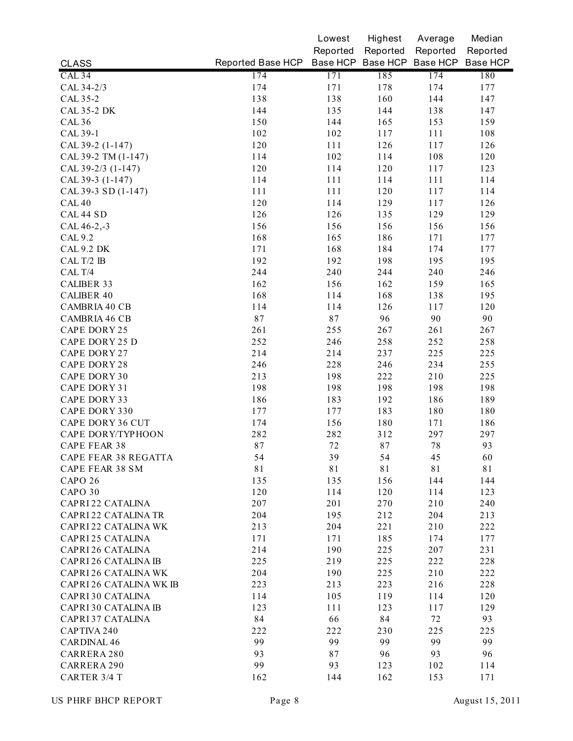|                         |                                              | Lowest   | Highest  | Average  | Median   |
|-------------------------|----------------------------------------------|----------|----------|----------|----------|
|                         |                                              | Reported | Reported | Reported | Reported |
| <b>CLASS</b>            | Reported Base HCP Base HCP Base HCP Base HCP |          |          |          | Base HCP |
| CAL <sub>34</sub>       | 174                                          | 171      | 185      | 174      | 180      |
| CAL 34-2/3              | 174                                          | 171      | 178      | 174      | 177      |
| CAL 35-2                | 138                                          | 138      | 160      | 144      | 147      |
| <b>CAL 35-2 DK</b>      | 144                                          | 135      | 144      | 138      | 147      |
| <b>CAL 36</b>           | 150                                          | 144      | 165      | 153      | 159      |
| CAL 39-1                | 102                                          | 102      | 117      | 111      | 108      |
| CAL 39-2 (1-147)        | 120                                          | 111      | 126      | 117      | 126      |
| CAL 39-2 TM (1-147)     | 114                                          | 102      | 114      | 108      | 120      |
| CAL 39-2/3 (1-147)      | 120                                          | 114      | 120      | 117      | 123      |
| CAL 39-3 (1-147)        | 114                                          | 111      | 114      | 111      | 114      |
| CAL 39-3 SD (1-147)     | 111                                          | 111      | 120      | 117      | 114      |
| <b>CAL 40</b>           | 120                                          | 114      | 129      | 117      | 126      |
| CAL 44 SD               | 126                                          | 126      | 135      | 129      | 129      |
| CAL 46-2,-3             | 156                                          | 156      | 156      | 156      | 156      |
| CAL 9.2                 | 168                                          | 165      | 186      | 171      | 177      |
| CAL 9.2 DK              | 171                                          | 168      | 184      | 174      | 177      |
| CAL T/2 IB              | 192                                          | 192      | 198      | 195      | 195      |
| CAL T/4                 | 244                                          | 240      | 244      | 240      | 246      |
| <b>CALIBER 33</b>       | 162                                          | 156      | 162      | 159      | 165      |
| <b>CALIBER 40</b>       | 168                                          | 114      | 168      | 138      | 195      |
| CAMBRIA 40 CB           | 114                                          | 114      | 126      | 117      | 120      |
| CAMBRIA 46 CB           | 87                                           | 87       | 96       | 90       | 90       |
| CAPE DORY 25            | 261                                          | 255      | 267      | 261      | 267      |
| CAPE DORY 25 D          | 252                                          | 246      | 258      | 252      | 258      |
| CAPE DORY 27            | 214                                          | 214      | 237      | 225      | 225      |
| CAPE DORY 28            | 246                                          | 228      | 246      | 234      | 255      |
| CAPE DORY 30            | 213                                          | 198      | 222      | 210      | 225      |
| CAPE DORY 31            | 198                                          | 198      | 198      | 198      | 198      |
| CAPE DORY 33            | 186                                          | 183      | 192      | 186      | 189      |
| CAPE DORY 330           | 177                                          | 177      | 183      | 180      | 180      |
| CAPE DORY 36 CUT        | 174                                          | 156      | 180      | 171      | 186      |
| CAPE DORY/TYPHOON       | 282                                          | 282      | 312      | 297      | 297      |
| CAPE FEAR 38            | 87                                           | 72       | 87       | 78       | 93       |
| CAPE FEAR 38 REGATTA    | 54                                           | 39       | 54       | 45       | 60       |
| CAPE FEAR 38 SM         | 81                                           | 81       | 81       | 81       | 81       |
| CAPO 26                 | 135                                          | 135      | 156      | 144      | 144      |
| CAPO 30                 | 120                                          | 114      | 120      | 114      | 123      |
| CAPRI22 CATALINA        | 207                                          | 201      | 270      | 210      | 240      |
| CAPRI 22 CATALINA TR    | 204                                          | 195      | 212      | 204      | 213      |
| CAPRI 22 CATALINA WK    | 213                                          | 204      | 221      | 210      | 222      |
| CAPRI 25 CATALINA       | 171                                          | 171      | 185      | 174      | 177      |
| CAPRI 26 CATALINA       | 214                                          | 190      | 225      | 207      | 231      |
| CAPRI 26 CATALINA IB    | 225                                          | 219      | 225      | 222      | 228      |
| CAPRI 26 CATALINA WK    | 204                                          | 190      | 225      | 210      | 222      |
| CAPRI 26 CATALINA WK IB | 223                                          | 213      | 223      | 216      | 228      |
| CAPRI 30 CATALINA       | 114                                          | 105      | 119      | 114      | 120      |
| CAPRI 30 CATALINA IB    | 123                                          | 111      | 123      | 117      | 129      |
| CAPRI 37 CATALINA       | 84                                           | 66       | 84       | 72       | 93       |
| CAPTIVA 240             | 222                                          | 222      | 230      | 225      | 225      |
| <b>CARDINAL 46</b>      | 99                                           | 99       | 99       | 99       | 99       |
| CARRERA 280             | 93                                           | 87       | 96       | 93       | 96       |
| CARRERA 290             | 99                                           | 93       | 123      | 102      | 114      |
| CARTER 3/4 T            | 162                                          | 144      | 162      | 153      | 171      |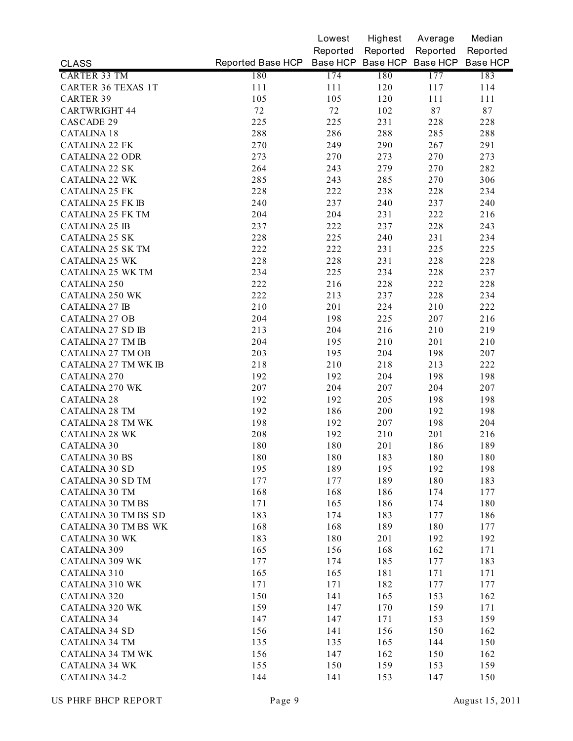|                             |                                              | Lowest   | Highest  | Average    | Median   |
|-----------------------------|----------------------------------------------|----------|----------|------------|----------|
|                             |                                              | Reported | Reported | Reported   | Reported |
| <b>CLASS</b>                | Reported Base HCP Base HCP Base HCP Base HCP |          |          |            | Base HCP |
| <b>CARTER 33 TM</b>         | 180                                          | 174      | 180      | 177        | 183      |
| <b>CARTER 36 TEXAS 1T</b>   | 111                                          | 111      | 120      | 117        | 114      |
| <b>CARTER 39</b>            | 105                                          | 105      | 120      | 111        | 111      |
| <b>CARTWRIGHT 44</b>        | 72                                           | 72       | 102      | 87         | 87       |
| CASCADE 29                  | 225                                          | 225      | 231      | 228        | 228      |
| <b>CATALINA 18</b>          | 288                                          | 286      | 288      | 285        | 288      |
| <b>CATALINA 22 FK</b>       | 270                                          | 249      | 290      | 267        | 291      |
| <b>CATALINA 22 ODR</b>      | 273                                          | 270      | 273      | 270        | 273      |
| <b>CATALINA 22 SK</b>       | 264                                          | 243      | 279      | 270        | 282      |
| <b>CATALINA 22 WK</b>       | 285                                          | 243      | 285      | 270        | 306      |
| <b>CATALINA 25 FK</b>       | 228                                          | 222      | 238      | 228        | 234      |
| <b>CATALINA 25 FK IB</b>    | 240                                          | 237      | 240      | 237        | 240      |
| <b>CATALINA 25 FK TM</b>    | 204                                          | 204      | 231      | 222        | 216      |
| <b>CATALINA 25 IB</b>       | 237                                          | 222      | 237      | 228        | 243      |
| <b>CATALINA 25 SK</b>       | 228                                          | 225      | 240      | 231        | 234      |
| CATALINA 25 SK TM           | 222                                          | 222      | 231      | 225        | 225      |
| <b>CATALINA 25 WK</b>       | 228                                          | 228      | 231      | 228        | 228      |
| <b>CATALINA 25 WK TM</b>    | 234                                          | 225      | 234      | 228        | 237      |
| CATALINA 250                | 222                                          | 216      | 228      | 222        | 228      |
| <b>CATALINA 250 WK</b>      | 222                                          | 213      | 237      | 228        | 234      |
| <b>CATALINA 27 IB</b>       | 210                                          | 201      | 224      | 210        | 222      |
| <b>CATALINA 27 OB</b>       | 204                                          | 198      | 225      | 207        | 216      |
| <b>CATALINA 27 SD IB</b>    | 213                                          | 204      | 216      | 210        | 219      |
| <b>CATALINA 27 TM IB</b>    | 204                                          | 195      | 210      | 201        | 210      |
| <b>CATALINA 27 TM OB</b>    | 203                                          | 195      | 204      | 198        | 207      |
| <b>CATALINA 27 TM WK IB</b> | 218                                          | 210      | 218      | 213        | 222      |
| CATALINA 270                | 192                                          | 192      | 204      | 198        | 198      |
| <b>CATALINA 270 WK</b>      | 207                                          | 204      | 207      | 204        | 207      |
| <b>CATALINA 28</b>          | 192                                          | 192      | 205      | 198        | 198      |
| <b>CATALINA 28 TM</b>       | 192                                          | 186      | 200      | 192        | 198      |
| <b>CATALINA 28 TM WK</b>    | 198                                          | 192      | 207      | 198        | 204      |
| <b>CATALINA 28 WK</b>       | 208                                          | 192      | 210      | 201        | 216      |
| <b>CATALINA 30</b>          | 180                                          | 180      | 201      | 186        | 189      |
| <b>CATALINA 30 BS</b>       | 180                                          | 180      | 183      | 180        | 180      |
| <b>CATALINA 30 SD</b>       | 195                                          | 189      | 195      | 192        | 198      |
| <b>CATALINA 30 SD TM</b>    | 177                                          | 177      | 189      | 180        | 183      |
| <b>CATALINA 30 TM</b>       | 168                                          | 168      | 186      | 174        | 177      |
| <b>CATALINA 30 TM BS</b>    | 171                                          | 165      | 186      | 174        | 180      |
| <b>CATALINA 30 TM BS SD</b> | 183                                          | 174      | 183      | 177        | 186      |
| <b>CATALINA 30 TM BS WK</b> | 168                                          | 168      | 189      | 180        | 177      |
| <b>CATALINA 30 WK</b>       | 183                                          | 180      | 201      | 192        | 192      |
| CATALINA 309                | 165                                          | 156      | 168      | 162        | 171      |
| <b>CATALINA 309 WK</b>      | 177                                          | 174      | 185      | 177        | 183      |
| CATALINA 310                | 165                                          | 165      | 181      | 171        | 171      |
| <b>CATALINA 310 WK</b>      | 171                                          | 171      | 182      |            |          |
| CATALINA 320                | 150                                          | 141      | 165      | 177<br>153 | 177      |
|                             |                                              |          |          |            | 162      |
| <b>CATALINA 320 WK</b>      | 159                                          | 147      | 170      | 159        | 171      |
| <b>CATALINA 34</b>          | 147                                          | 147      | 171      | 153        | 159      |
| <b>CATALINA 34 SD</b>       | 156                                          | 141      | 156      | 150        | 162      |
| <b>CATALINA 34 TM</b>       | 135                                          | 135      | 165      | 144        | 150      |
| <b>CATALINA 34 TM WK</b>    | 156                                          | 147      | 162      | 150        | 162      |
| <b>CATALINA 34 WK</b>       | 155                                          | 150      | 159      | 153        | 159      |
| CATALINA 34-2               | 144                                          | 141      | 153      | 147        | 150      |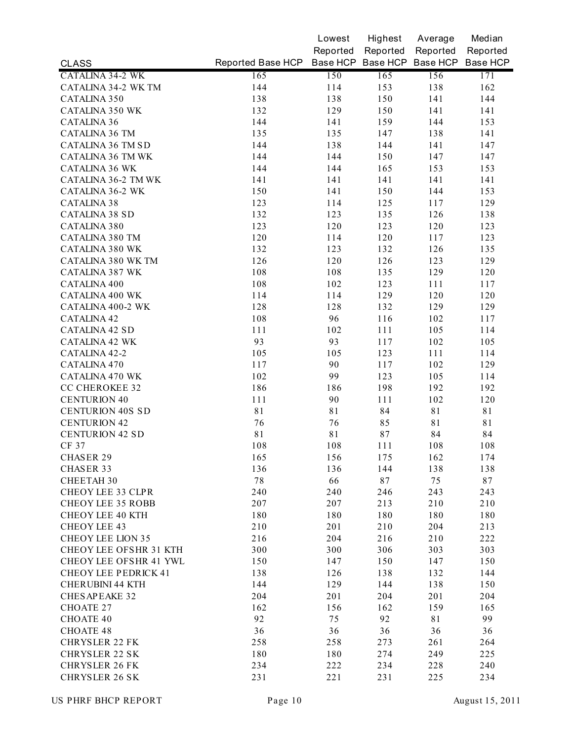|                               |                   | Lowest   | Highest  | Average                    | Median   |
|-------------------------------|-------------------|----------|----------|----------------------------|----------|
|                               |                   | Reported | Reported | Reported                   | Reported |
| <b>CLASS</b>                  | Reported Base HCP |          |          | Base HCP Base HCP Base HCP | Base HCP |
| <b>CATALINA 34-2 WK</b>       | 165               | 150      | 165      | 156                        | 171      |
| CATALINA 34-2 WK TM           | 144               | 114      | 153      | 138                        | 162      |
| CATALINA 350                  | 138               | 138      | 150      | 141                        | 144      |
| <b>CATALINA 350 WK</b>        | 132               | 129      | 150      | 141                        | 141      |
| <b>CATALINA 36</b>            | 144               | 141      | 159      | 144                        | 153      |
| <b>CATALINA 36 TM</b>         | 135               | 135      | 147      | 138                        | 141      |
| CATALINA 36 TM SD             | 144               | 138      | 144      | 141                        | 147      |
| <b>CATALINA 36 TM WK</b>      | 144               | 144      | 150      | 147                        | 147      |
| <b>CATALINA 36 WK</b>         | 144               | 144      | 165      | 153                        | 153      |
| CATALINA 36-2 TM WK           | 141               | 141      | 141      | 141                        | 141      |
| <b>CATALINA 36-2 WK</b>       | 150               | 141      | 150      | 144                        | 153      |
| <b>CATALINA 38</b>            | 123               | 114      | 125      | 117                        | 129      |
| <b>CATALINA 38 SD</b>         | 132               | 123      | 135      | 126                        | 138      |
| CATALINA 380                  | 123               | 120      | 123      | 120                        | 123      |
| <b>CATALINA 380 TM</b>        | 120               | 114      | 120      | 117                        | 123      |
| <b>CATALINA 380 WK</b>        | 132               | 123      | 132      | 126                        | 135      |
| CATALINA 380 WK TM            | 126               | 120      | 126      | 123                        | 129      |
| <b>CATALINA 387 WK</b>        | 108               | 108      | 135      | 129                        | 120      |
| CATALINA 400                  | 108               | 102      | 123      | 111                        | 117      |
| <b>CATALINA 400 WK</b>        | 114               | 114      | 129      | 120                        | 120      |
| CATALINA 400-2 WK             | 128               | 128      | 132      | 129                        | 129      |
| <b>CATALINA 42</b>            | 108               | 96       | 116      | 102                        | 117      |
| <b>CATALINA 42 SD</b>         | 111               | 102      | 111      | 105                        | 114      |
| <b>CATALINA 42 WK</b>         | 93                | 93       | 117      | 102                        | 105      |
| CATALINA 42-2                 | 105               | 105      | 123      | 111                        | 114      |
| CATALINA 470                  | 117               | 90       | 117      | 102                        | 129      |
| <b>CATALINA 470 WK</b>        | 102               | 99       | 123      | 105                        | 114      |
| <b>CC CHEROKEE 32</b>         | 186               | 186      | 198      | 192                        | 192      |
| <b>CENTURION 40</b>           | 111               | 90       | 111      | 102                        | 120      |
| <b>CENTURION 40S SD</b>       | 81                | 81       | 84       | 81                         | 81       |
| <b>CENTURION 42</b>           | 76                | 76       | 85       | 81                         | 81       |
| <b>CENTURION 42 SD</b>        | 81                | 81       | 87       | 84                         | 84       |
| CF 37                         | 108               | 108      | 111      | 108                        | 108      |
| CHASER 29                     | 165               | 156      | 175      | 162                        | 174      |
| CHASER 33                     | 136               | 136      | 144      | 138                        | 138      |
| CHEETAH 30                    | 78                | 66       | 87       | 75                         | 87       |
| <b>CHEOY LEE 33 CLPR</b>      | 240               | 240      | 246      | 243                        | 243      |
| <b>CHEOY LEE 35 ROBB</b>      | 207               | 207      | 213      | 210                        | 210      |
| <b>CHEOY LEE 40 KTH</b>       | 180               | 180      | 180      | 180                        | 180      |
| CHEOY LEE 43                  | 210               | 201      | 210      | 204                        | 213      |
| <b>CHEOY LEE LION 35</b>      | 216               | 204      | 216      | 210                        | 222      |
| <b>CHEOY LEE OFSHR 31 KTH</b> | 300               | 300      | 306      | 303                        | 303      |
| CHEOY LEE OFSHR 41 YWL        | 150               | 147      | 150      | 147                        | 150      |
| <b>CHEOY LEE PEDRICK 41</b>   | 138               | 126      | 138      | 132                        | 144      |
| <b>CHERUBINI 44 KTH</b>       | 144               | 129      | 144      | 138                        | 150      |
| CHESAPEAKE 32                 | 204               | 201      | 204      | 201                        | 204      |
| <b>CHOATE 27</b>              | 162               | 156      | 162      | 159                        | 165      |
| <b>CHOATE 40</b>              | 92                | 75       | 92       | 81                         | 99       |
| <b>CHOATE 48</b>              | 36                | 36       | 36       | 36                         | 36       |
| <b>CHRYSLER 22 FK</b>         | 258               | 258      | 273      | 261                        | 264      |
| <b>CHRYSLER 22 SK</b>         | 180               | 180      | 274      | 249                        | 225      |
| <b>CHRYSLER 26 FK</b>         | 234               | 222      | 234      | 228                        | 240      |
| <b>CHRYSLER 26 SK</b>         | 231               | 221      | 231      | 225                        | 234      |
|                               |                   |          |          |                            |          |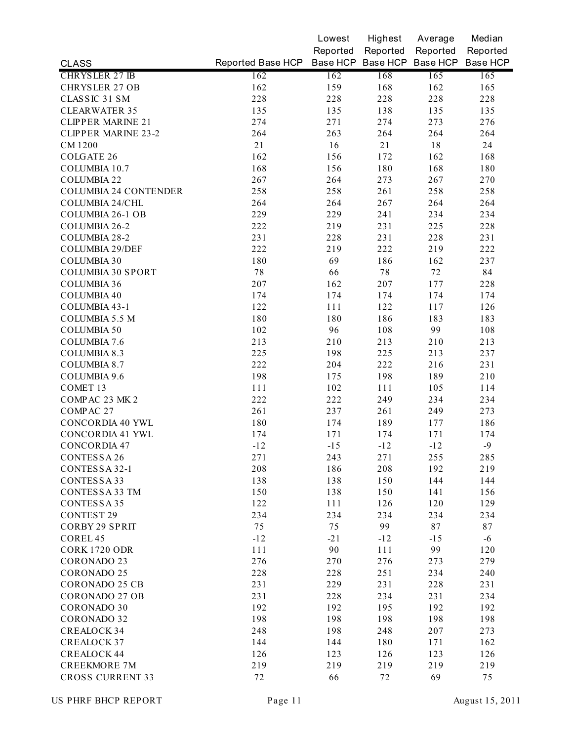|                              |                                              | Lowest   | Highest  | Average  | Median   |
|------------------------------|----------------------------------------------|----------|----------|----------|----------|
|                              |                                              | Reported | Reported | Reported | Reported |
| <b>CLASS</b>                 | Reported Base HCP Base HCP Base HCP Base HCP |          |          |          | Base HCP |
| <b>CHRYSLER 27 IB</b>        | 162                                          | 162      | 168      | 165      | 165      |
| <b>CHRYSLER 27 OB</b>        | 162                                          | 159      | 168      | 162      | 165      |
| CLASSIC 31 SM                | 228                                          | 228      | 228      | 228      | 228      |
| <b>CLEARWATER 35</b>         | 135                                          | 135      | 138      | 135      | 135      |
| <b>CLIPPER MARINE 21</b>     | 274                                          | 271      | 274      | 273      | 276      |
| <b>CLIPPER MARINE 23-2</b>   | 264                                          | 263      | 264      | 264      | 264      |
| <b>CM1200</b>                | 21                                           | 16       | 21       | 18       | 24       |
| <b>COLGATE 26</b>            | 162                                          | 156      | 172      | 162      | 168      |
| COLUMBIA 10.7                | 168                                          | 156      | 180      | 168      | 180      |
| <b>COLUMBIA 22</b>           | 267                                          | 264      | 273      | 267      | 270      |
| <b>COLUMBIA 24 CONTENDER</b> | 258                                          | 258      | 261      | 258      | 258      |
| COLUMBIA 24/CHL              | 264                                          | 264      | 267      | 264      | 264      |
| <b>COLUMBIA 26-1 OB</b>      | 229                                          | 229      | 241      | 234      | 234      |
| COLUMBIA 26-2                | 222                                          | 219      | 231      | 225      | 228      |
| COLUMBIA 28-2                | 231                                          | 228      | 231      | 228      | 231      |
| COLUMBIA 29/DEF              | 222                                          | 219      | 222      | 219      | 222      |
| <b>COLUMBIA 30</b>           | 180                                          | 69       | 186      | 162      | 237      |
| <b>COLUMBIA 30 SPORT</b>     | $7\,$                                        | 66       | 78       | 72       | 84       |
| <b>COLUMBIA 36</b>           | 207                                          | 162      | 207      | 177      | 228      |
| <b>COLUMBIA 40</b>           | 174                                          | 174      | 174      | 174      | 174      |
| COLUMBIA 43-1                | 122                                          | 111      | 122      | 117      | 126      |
| COLUMBIA 5.5 M               | 180                                          | 180      | 186      | 183      | 183      |
| <b>COLUMBIA 50</b>           | 102                                          | 96       | 108      | 99       | 108      |
| COLUMBIA 7.6                 | 213                                          | 210      | 213      | 210      | 213      |
| <b>COLUMBIA 8.3</b>          | 225                                          | 198      | 225      | 213      | 237      |
| <b>COLUMBIA 8.7</b>          | 222                                          | 204      | 222      | 216      | 231      |
| COLUMBIA 9.6                 | 198                                          | 175      | 198      | 189      | 210      |
| COMET 13                     | 111                                          | 102      | 111      | 105      | 114      |
| COMPAC 23 MK 2               | 222                                          | 222      | 249      | 234      | 234      |
| COMPAC 27                    | 261                                          | 237      | 261      | 249      | 273      |
| <b>CONCORDIA 40 YWL</b>      | 180                                          | 174      | 189      | 177      | 186      |
| CONCORDIA 41 YWL             | 174                                          | 171      | 174      | 171      | 174      |
| <b>CONCORDIA 47</b>          | $-12$                                        | $-15$    | $-12$    | $-12$    | $-9$     |
| CONTESSA 26                  | 271                                          | 243      | 271      | 255      | 285      |
| CONTESSA 32-1                | 208                                          | 186      | 208      | 192      | 219      |
| CONTESSA 33                  | 138                                          | 138      | 150      | 144      | 144      |
| CONTESSA 33 TM               | 150                                          | 138      | 150      | 141      | 156      |
| CONTESSA 35                  | 122                                          | 111      | 126      | 120      | 129      |
| <b>CONTEST 29</b>            | 234                                          | 234      | 234      | 234      | 234      |
| <b>CORBY 29 SPRIT</b>        | 75                                           | 75       | 99       | 87       | 87       |
| COREL 45                     | $-12$                                        | $-21$    | $-12$    | $-15$    | $-6$     |
| <b>CORK 1720 ODR</b>         | 111                                          | 90       | 111      | 99       | 120      |
| <b>CORONADO 23</b>           | 276                                          | 270      | 276      | 273      | 279      |
| <b>CORONADO 25</b>           | 228                                          | 228      | 251      | 234      | 240      |
| <b>CORONADO 25 CB</b>        | 231                                          | 229      | 231      | 228      | 231      |
| <b>CORONADO 27 OB</b>        | 231                                          | 228      | 234      | 231      | 234      |
| <b>CORONADO 30</b>           | 192                                          | 192      | 195      | 192      | 192      |
| <b>CORONADO 32</b>           | 198                                          | 198      | 198      | 198      | 198      |
| <b>CREALOCK 34</b>           | 248                                          | 198      | 248      | 207      | 273      |
| <b>CREALOCK 37</b>           | 144                                          | 144      | 180      | 171      | 162      |
| <b>CREALOCK 44</b>           | 126                                          | 123      | 126      | 123      | 126      |
| <b>CREEKMORE 7M</b>          | 219                                          | 219      | 219      | 219      | 219      |
| <b>CROSS CURRENT 33</b>      | 72                                           | 66       | 72       | 69       | 75       |
|                              |                                              |          |          |          |          |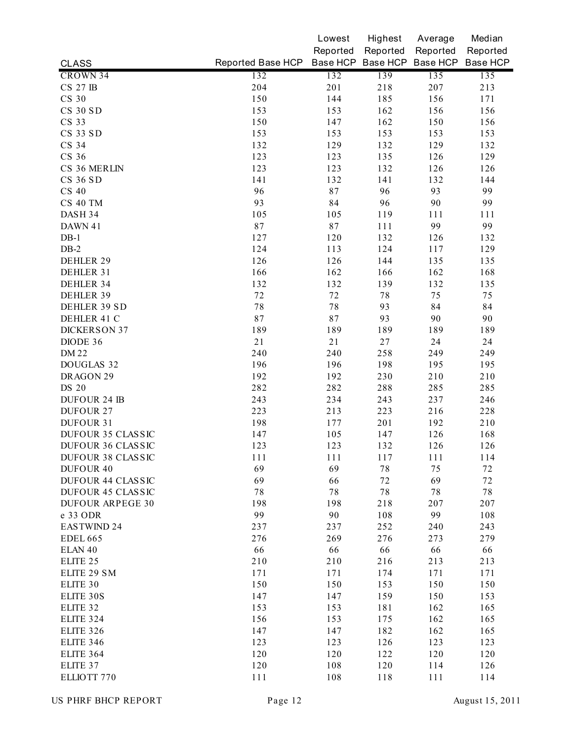|                          |                   | Lowest   | Highest  | Average                    | Median   |
|--------------------------|-------------------|----------|----------|----------------------------|----------|
|                          |                   | Reported | Reported | Reported                   | Reported |
| <b>CLASS</b>             | Reported Base HCP |          |          | Base HCP Base HCP Base HCP | Base HCP |
| CROWN 34                 | 132               | 132      | 139      | 135                        | 135      |
| <b>CS 27 IB</b>          | 204               | 201      | 218      | 207                        | 213      |
| <b>CS 30</b>             | 150               | 144      | 185      | 156                        | 171      |
| <b>CS 30 SD</b>          | 153               | 153      | 162      | 156                        | 156      |
| CS 33                    | 150               | 147      | 162      | 150                        | 156      |
| CS 33 SD                 | 153               | 153      | 153      | 153                        | 153      |
| CS 34                    | 132               | 129      | 132      | 129                        | 132      |
| CS 36                    | 123               | 123      | 135      | 126                        | 129      |
| CS 36 MERLIN             | 123               | 123      | 132      | 126                        | 126      |
| <b>CS 36 SD</b>          | 141               | 132      | 141      | 132                        | 144      |
| CS 40                    | 96                | 87       | 96       | 93                         | 99       |
| CS 40 TM                 | 93                | 84       | 96       | 90                         | 99       |
| DASH 34                  | 105               | 105      | 119      | 111                        | 111      |
| DAWN 41                  | 87                | 87       | 111      | 99                         | 99       |
| $DB-1$                   | 127               | 120      | 132      | 126                        | 132      |
| $DB-2$                   | 124               | 113      | 124      | 117                        | 129      |
| DEHLER 29                | 126               | 126      | 144      | 135                        | 135      |
| DEHLER 31                | 166               | 162      | 166      | 162                        | 168      |
| DEHLER 34                | 132               | 132      | 139      | 132                        | 135      |
| DEHLER 39                | 72                | 72       | 78       | 75                         | 75       |
| DEHLER 39 SD             | 78                | 78       | 93       | 84                         | 84       |
| DEHLER 41 C              | 87                | 87       | 93       | 90                         | 90       |
| <b>DICKERSON 37</b>      | 189               | 189      | 189      | 189                        | 189      |
| DIODE 36                 | 21                | 21       | 27       | 24                         | 24       |
| <b>DM22</b>              | 240               | 240      | 258      | 249                        | 249      |
| DOUGLAS 32               | 196               | 196      | 198      | 195                        | 195      |
| DRAGON 29                | 192               | 192      | 230      | 210                        | 210      |
| <b>DS 20</b>             | 282               | 282      | 288      | 285                        | 285      |
| <b>DUFOUR 24 IB</b>      | 243               | 234      | 243      | 237                        | 246      |
| <b>DUFOUR 27</b>         | 223               | 213      | 223      | 216                        | 228      |
| DUFOUR 31                | 198               | 177      | 201      | 192                        | 210      |
| DUFOUR 35 CLASSIC        | 147               | 105      | 147      | 126                        | 168      |
| DUFOUR 36 CLASSIC        | 123               | 123      | 132      | 126                        | 126      |
| DUFOUR 38 CLASSIC        | 111               | 111      | 117      | 111                        | 114      |
| <b>DUFOUR 40</b>         | 69                | 69       | 78       | 75                         | 72       |
| <b>DUFOUR 44 CLASSIC</b> | 69                | 66       | 72       | 69                         | 72       |
| <b>DUFOUR 45 CLASSIC</b> | $7\,$             | 78       | 78       | 78                         | 78       |
| <b>DUFOUR ARPEGE 30</b>  | 198               | 198      | 218      | 207                        | 207      |
| e 33 ODR                 | 99                | 90       | 108      | 99                         | 108      |
| EASTWIND 24              | 237               | 237      | 252      | 240                        | 243      |
| <b>EDEL 665</b>          | 276               | 269      | 276      | 273                        | 279      |
| ELAN <sub>40</sub>       | 66                | 66       | 66       | 66                         | 66       |
| ELITE 25                 | 210               | 210      | 216      | 213                        | 213      |
| ELITE 29 SM              | 171               | 171      | 174      | 171                        | 171      |
| ELITE 30                 | 150               | 150      | 153      | 150                        | 150      |
| ELITE 30S                | 147               | 147      | 159      | 150                        | 153      |
| ELITE 32                 | 153               | 153      | 181      | 162                        | 165      |
| <b>ELITE 324</b>         | 156               | 153      | 175      | 162                        | 165      |
| <b>ELITE 326</b>         | 147               | 147      | 182      | 162                        | 165      |
| <b>ELITE 346</b>         | 123               | 123      | 126      | 123                        | 123      |
| <b>ELITE 364</b>         | 120               | 120      | 122      | 120                        | 120      |
| ELITE 37                 | 120               | 108      | 120      | 114                        | 126      |
| ELLIOTT 770              | 111               | 108      | 118      | 111                        | 114      |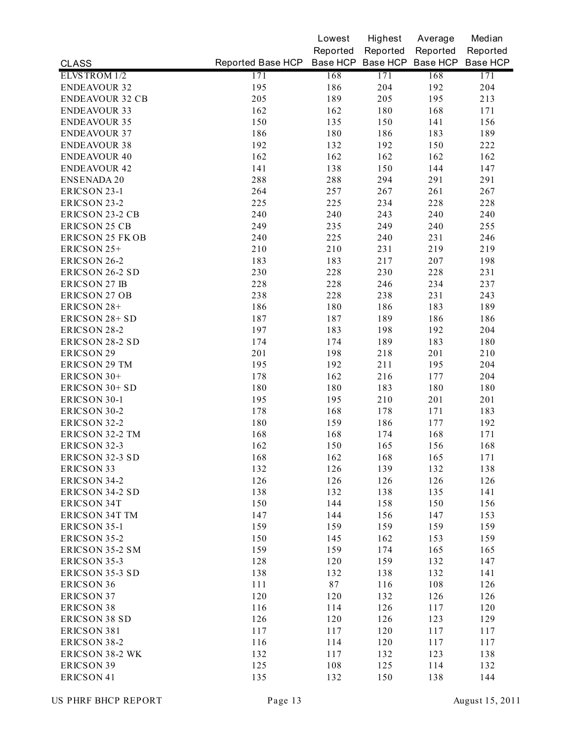|                         |                   | Lowest   | Highest  | Average                    | Median   |
|-------------------------|-------------------|----------|----------|----------------------------|----------|
|                         |                   | Reported | Reported | Reported                   | Reported |
| <b>CLASS</b>            | Reported Base HCP |          |          | Base HCP Base HCP Base HCP | Base HCP |
| ELVSTROM 1/2            | 171               | 168      | 171      | 168                        | 171      |
| <b>ENDEAVOUR 32</b>     | 195               | 186      | 204      | 192                        | 204      |
| <b>ENDEAVOUR 32 CB</b>  | 205               | 189      | 205      | 195                        | 213      |
| <b>ENDEAVOUR 33</b>     | 162               | 162      | 180      | 168                        | 171      |
| <b>ENDEAVOUR 35</b>     | 150               | 135      | 150      | 141                        | 156      |
| <b>ENDEAVOUR 37</b>     | 186               | 180      | 186      | 183                        | 189      |
| <b>ENDEAVOUR 38</b>     | 192               | 132      | 192      | 150                        | 222      |
| <b>ENDEAVOUR 40</b>     | 162               | 162      | 162      | 162                        | 162      |
| <b>ENDEAVOUR 42</b>     | 141               | 138      | 150      | 144                        | 147      |
| <b>ENSENADA 20</b>      | 288               | 288      | 294      | 291                        | 291      |
| ERICSON 23-1            | 264               | 257      | 267      | 261                        | 267      |
| ERICSON 23-2            | 225               | 225      | 234      | 228                        | 228      |
| ERICSON 23-2 CB         | 240               | 240      | 243      | 240                        | 240      |
| <b>ERICSON 25 CB</b>    | 249               | 235      | 249      | 240                        | 255      |
| <b>ERICSON 25 FK OB</b> | 240               | 225      | 240      | 231                        | 246      |
| ERICSON 25+             | 210               | 210      | 231      | 219                        | 219      |
| ERICSON 26-2            | 183               | 183      | 217      | 207                        | 198      |
| <b>ERICSON 26-2 SD</b>  | 230               | 228      | 230      | 228                        | 231      |
| <b>ERICSON 27 IB</b>    | 228               | 228      | 246      | 234                        | 237      |
| <b>ERICSON 27 OB</b>    | 238               | 228      | 238      | 231                        | 243      |
| ERICSON 28+             | 186               | 180      | 186      | 183                        | 189      |
| ERICSON 28+ SD          | 187               | 187      | 189      | 186                        | 186      |
| ERICSON 28-2            | 197               | 183      | 198      | 192                        | 204      |
| ERICSON 28-2 SD         | 174               | 174      | 189      | 183                        | 180      |
| <b>ERICSON 29</b>       | 201               | 198      | 218      | 201                        | 210      |
| <b>ERICSON 29 TM</b>    | 195               | 192      | 211      | 195                        | 204      |
| ERICSON 30+             | 178               | 162      | 216      | 177                        | 204      |
| ERICSON 30+ SD          | 180               | 180      | 183      | 180                        | 180      |
| ERICSON 30-1            | 195               | 195      | 210      | 201                        | 201      |
| ERICSON 30-2            | 178               | 168      | 178      | 171                        | 183      |
| ERICSON 32-2            | 180               | 159      | 186      | 177                        | 192      |
| ERICSON 32-2 TM         | 168               | 168      | 174      | 168                        | 171      |
| ERICSON 32-3            | 162               | 150      | 165      | 156                        | 168      |
| ERICSON 32-3 SD         | 168               | 162      | 168      | 165                        | 171      |
| <b>ERICSON 33</b>       | 132               | 126      | 139      | 132                        | 138      |
| ERICSON 34-2            | 126               | 126      | 126      | 126                        | 126      |
| <b>ERICSON 34-2 SD</b>  | 138               | 132      | 138      | 135                        | 141      |
| <b>ERICSON 34T</b>      | 150               | 144      | 158      | 150                        | 156      |
| <b>ERICSON 34T TM</b>   | 147               | 144      | 156      | 147                        | 153      |
| ERICSON 35-1            | 159               | 159      | 159      | 159                        | 159      |
| ERICSON 35-2            | 150               | 145      | 162      | 153                        | 159      |
| ERICSON 35-2 SM         | 159               | 159      | 174      | 165                        | 165      |
| ERICSON 35-3            | 128               | 120      | 159      | 132                        | 147      |
| ERICSON 35-3 SD         | 138               | 132      | 138      | 132                        | 141      |
| <b>ERICSON 36</b>       | 111               | 87       | 116      | 108                        | 126      |
| <b>ERICSON 37</b>       | 120               | 120      | 132      | 126                        | 126      |
| <b>ERICSON 38</b>       | 116               | 114      | 126      | 117                        | 120      |
| <b>ERICSON 38 SD</b>    | 126               | 120      | 126      | 123                        | 129      |
| ERICSON 381             | 117               | 117      | 120      | 117                        | 117      |
| ERICSON 38-2            | 116               | 114      | 120      | 117                        | 117      |
| <b>ERICSON 38-2 WK</b>  | 132               | 117      | 132      | 123                        | 138      |
| <b>ERICSON 39</b>       | 125               | 108      | 125      | 114                        | 132      |
| <b>ERICSON 41</b>       | 135               | 132      | 150      | 138                        | 144      |
|                         |                   |          |          |                            |          |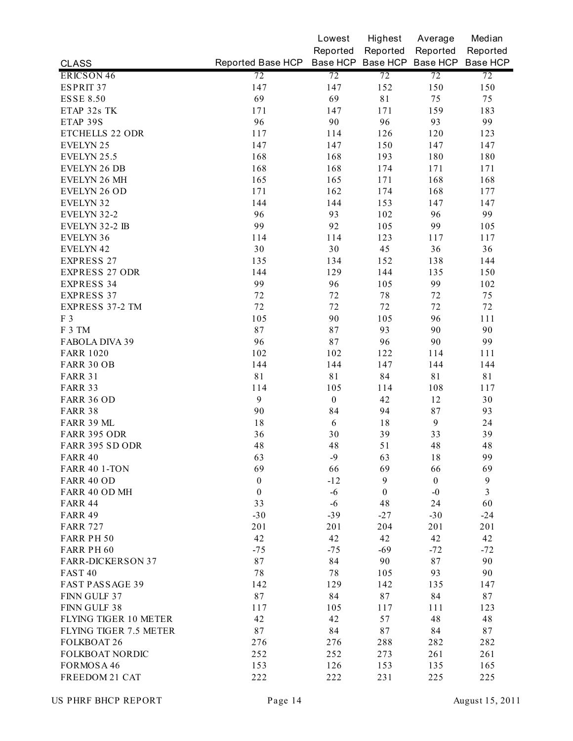|                          |                   | Lowest           | Highest          | Average                    | Median         |
|--------------------------|-------------------|------------------|------------------|----------------------------|----------------|
|                          |                   | Reported         | Reported         | Reported                   | Reported       |
| <b>CLASS</b>             | Reported Base HCP |                  |                  | Base HCP Base HCP Base HCP | Base HCP       |
| ERICSON 46               | 72                | 72               | 72               | 72                         | 72             |
| ESPRIT 37                | 147               | 147              | 152              | 150                        | 150            |
| <b>ESSE 8.50</b>         | 69                | 69               | 81               | 75                         | 75             |
| ETAP 32s TK              | 171               | 147              | 171              | 159                        | 183            |
| ETAP 39S                 | 96                | 90               | 96               | 93                         | 99             |
| <b>ETCHELLS 22 ODR</b>   | 117               | 114              | 126              | 120                        | 123            |
| <b>EVELYN 25</b>         | 147               | 147              | 150              | 147                        | 147            |
| EVELYN 25.5              | 168               | 168              | 193              | 180                        | 180            |
| <b>EVELYN 26 DB</b>      | 168               | 168              | 174              | 171                        | 171            |
| EVELYN 26 MH             | 165               | 165              | 171              | 168                        | 168            |
| EVELYN 26 OD             | 171               | 162              | 174              | 168                        | 177            |
| EVELYN 32                | 144               | 144              | 153              | 147                        | 147            |
| EVELYN 32-2              | 96                | 93               | 102              | 96                         | 99             |
| EVELYN 32-2 IB           | 99                | 92               | 105              | 99                         | 105            |
| EVELYN 36                | 114               | 114              | 123              | 117                        | 117            |
| EVELYN 42                | 30                | 30               | 45               | 36                         | 36             |
| <b>EXPRESS 27</b>        | 135               | 134              | 152              | 138                        | 144            |
| <b>EXPRESS 27 ODR</b>    | 144               | 129              | 144              | 135                        | 150            |
| <b>EXPRESS 34</b>        | 99                | 96               | 105              | 99                         | 102            |
| <b>EXPRESS 37</b>        | 72                | 72               | 78               | 72                         | 75             |
| EXPRESS 37-2 TM          | 72                | 72               | 72               | 72                         | 72             |
| F 3                      | 105               | 90               | 105              | 96                         | 111            |
| F 3 TM                   | 87                | 87               | 93               | 90                         | 90             |
| FABOLA DIVA 39           | 96                | 87               | 96               | 90                         | 99             |
| <b>FARR 1020</b>         | 102               | 102              | 122              | 114                        | 111            |
| FARR 30 OB               | 144               | 144              | 147              | 144                        | 144            |
| <b>FARR 31</b>           | 81                | 81               | 84               | 81                         | 81             |
| <b>FARR 33</b>           | 114               | 105              | 114              | 108                        | 117            |
| <b>FARR 36 OD</b>        | 9                 | $\boldsymbol{0}$ | 42               | 12                         | 30             |
| <b>FARR 38</b>           | 90                | 84               | 94               | 87                         | 93             |
| FARR 39 ML               | 18                | 6                | 18               | $\mathbf{9}$               | 24             |
| FARR 395 ODR             | 36                | 30               | 39               | 33                         | 39             |
| FARR 395 SD ODR          | 48                | 48               | 51               | 48                         | 48             |
| FARR 40                  | 63                | -9               | 63               | 18                         | 99             |
| <b>FARR 40 1-TON</b>     | 69                | 66               | 69               | 66                         | 69             |
| <b>FARR 40 OD</b>        | $\boldsymbol{0}$  | $-12$            | 9                | $\boldsymbol{0}$           | 9              |
| FARR 40 OD MH            | $\boldsymbol{0}$  | $-6$             | $\boldsymbol{0}$ | $-0$                       | $\overline{3}$ |
| <b>FARR 44</b>           | 33                | $-6$             | 48               | 24                         | 60             |
| <b>FARR 49</b>           | $-30$             | $-39$            | $-27$            | $-30$                      | $-24$          |
| <b>FARR 727</b>          | 201               | 201              | 204              | 201                        | 201            |
| FARR PH 50               | 42                | 42               | 42               | 42                         | 42             |
| FARR PH 60               | $-75$             | $-75$            | $-69$            | $-72$                      | $-72$          |
| <b>FARR-DICKERSON 37</b> | 87                | 84               | 90               | 87                         | 90             |
| FAST <sub>40</sub>       | 78                | 78               | 105              | 93                         | 90             |
| FAST PASSAGE 39          | 142               | 129              | 142              | 135                        | 147            |
| FINN GULF 37             | 87                | 84               | 87               | 84                         | 87             |
| FINN GULF 38             | 117               | 105              | 117              | 111                        | 123            |
| FLYING TIGER 10 METER    | 42                | 42               | 57               | 48                         | 48             |
| FLYING TIGER 7.5 METER   | 87                | 84               | 87               | 84                         | 87             |
| <b>FOLKBOAT 26</b>       | 276               | 276              | 288              | 282                        | 282            |
| FOLKBOAT NORDIC          | 252               | 252              | 273              | 261                        | 261            |
| FORMOSA 46               | 153               | 126              | 153              | 135                        | 165            |
| FREEDOM 21 CAT           | 222               | 222              | 231              | 225                        | 225            |
|                          |                   |                  |                  |                            |                |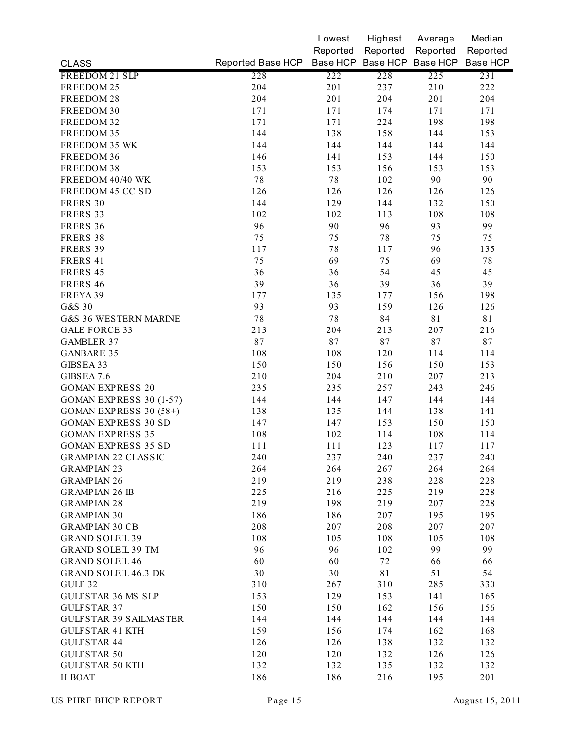|                                |                                              | Lowest   | Highest  | Average  | Median   |
|--------------------------------|----------------------------------------------|----------|----------|----------|----------|
|                                |                                              | Reported | Reported | Reported | Reported |
| <b>CLASS</b>                   | Reported Base HCP Base HCP Base HCP Base HCP |          |          |          | Base HCP |
| FREEDOM 21 SLP                 | 228                                          | 222      | 228      | 225      | 231      |
| FREEDOM 25                     | 204                                          | 201      | 237      | 210      | 222      |
| FREEDOM 28                     | 204                                          | 201      | 204      | 201      | 204      |
| FREEDOM 30                     | 171                                          | 171      | 174      | 171      | 171      |
| FREEDOM 32                     | 171                                          | 171      | 224      | 198      | 198      |
| FREEDOM 35                     | 144                                          | 138      | 158      | 144      | 153      |
| FREEDOM 35 WK                  | 144                                          | 144      | 144      | 144      | 144      |
| FREEDOM 36                     | 146                                          | 141      | 153      | 144      | 150      |
| FREEDOM 38                     | 153                                          | 153      | 156      | 153      | 153      |
| FREEDOM 40/40 WK               | $7\,8$                                       | 78       | 102      | 90       | 90       |
| FREEDOM 45 CC SD               | 126                                          | 126      | 126      | 126      | 126      |
| FRERS 30                       | 144                                          | 129      | 144      | 132      | 150      |
| FRERS 33                       | 102                                          | 102      | 113      | 108      | 108      |
| FRERS 36                       | 96                                           | 90       | 96       | 93       | 99       |
| FRERS 38                       | 75                                           | 75       | 78       | 75       | 75       |
| FRERS 39                       | 117                                          | 78       | 117      | 96       | 135      |
| FRERS 41                       | 75                                           | 69       | 75       | 69       | $7\,8$   |
| FRERS 45                       | 36                                           | 36       | 54       | 45       | 45       |
| FRERS 46                       | 39                                           | 36       | 39       | 36       | 39       |
| FREYA 39                       | 177                                          | 135      | 177      | 156      | 198      |
| G&S 30                         | 93                                           | 93       | 159      | 126      | 126      |
| G&S 36 WESTERN MARINE          | $7\,8$                                       | 78       | 84       | 81       | 81       |
| <b>GALE FORCE 33</b>           | 213                                          | 204      | 213      | 207      | 216      |
| <b>GAMBLER 37</b>              | 87                                           | 87       | 87       | 87       | 87       |
| <b>GANBARE 35</b>              | 108                                          | 108      | 120      | 114      | 114      |
| GIBSEA 33                      | 150                                          | 150      | 156      | 150      | 153      |
| GIBSEA 7.6                     | 210                                          | 204      | 210      | 207      | 213      |
| <b>GOMAN EXPRESS 20</b>        | 235                                          | 235      | 257      | 243      | 246      |
| <b>GOMAN EXPRESS 30 (1-57)</b> | 144                                          | 144      | 147      | 144      | 144      |
| <b>GOMAN EXPRESS 30 (58+)</b>  | 138                                          | 135      | 144      | 138      | 141      |
| <b>GOMAN EXPRESS 30 SD</b>     | 147                                          | 147      | 153      | 150      | 150      |
| <b>GOMAN EXPRESS 35</b>        | 108                                          | 102      | 114      | 108      | 114      |
| <b>GOMAN EXPRESS 35 SD</b>     | 111                                          | 111      | 123      | 117      | 117      |
| GRAMPIAN 22 CLASSIC            | 240                                          | 237      | 240      | 237      | 240      |
| <b>GRAMPIAN 23</b>             | 264                                          | 264      | 267      | 264      | 264      |
| <b>GRAMPIAN 26</b>             | 219                                          | 219      | 238      | 228      | 228      |
| <b>GRAMPIAN 26 IB</b>          | 225                                          | 216      | 225      | 219      | 228      |
| <b>GRAMPIAN 28</b>             | 219                                          | 198      | 219      | 207      | 228      |
| <b>GRAMPIAN 30</b>             | 186                                          | 186      | 207      | 195      | 195      |
| <b>GRAMPIAN 30 CB</b>          | 208                                          | 207      | 208      | 207      | 207      |
| <b>GRAND SOLEIL 39</b>         | 108                                          | 105      | 108      | 105      | 108      |
| <b>GRAND SOLEIL 39 TM</b>      | 96                                           | 96       | 102      | 99       | 99       |
| <b>GRAND SOLEIL 46</b>         | 60                                           | 60       | 72       | 66       | 66       |
| <b>GRAND SOLEIL 46.3 DK</b>    | 30                                           | 30       | 81       | 51       | 54       |
| GULF 32                        | 310                                          | 267      | 310      | 285      | 330      |
| <b>GULFSTAR 36 MS SLP</b>      | 153                                          | 129      | 153      | 141      |          |
| <b>GULFSTAR 37</b>             | 150                                          | 150      |          |          | 165      |
|                                |                                              |          | 162      | 156      | 156      |
| <b>GULFSTAR 39 SAILMASTER</b>  | 144                                          | 144      | 144      | 144      | 144      |
| <b>GULFSTAR 41 KTH</b>         | 159                                          | 156      | 174      | 162      | 168      |
| <b>GULFSTAR 44</b>             | 126                                          | 126      | 138      | 132      | 132      |
| <b>GULFSTAR 50</b>             | 120                                          | 120      | 132      | 126      | 126      |
| <b>GULFSTAR 50 KTH</b>         | 132                                          | 132      | 135      | 132      | 132      |
| H BOAT                         | 186                                          | 186      | 216      | 195      | 201      |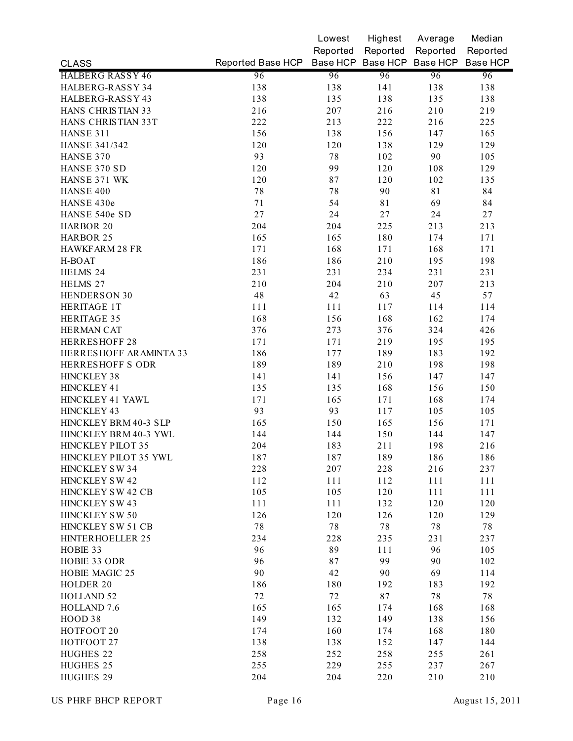|                         |                   | Lowest   | Highest  | Average                    | Median   |
|-------------------------|-------------------|----------|----------|----------------------------|----------|
|                         |                   | Reported | Reported | Reported                   | Reported |
| <b>CLASS</b>            | Reported Base HCP |          |          | Base HCP Base HCP Base HCP | Base HCP |
| <b>HALBERG RASSY 46</b> | 96                | 96       | 96       | 96                         | 96       |
| HALBERG-RASSY 34        | 138               | 138      | 141      | 138                        | 138      |
| HALBERG-RASSY 43        | 138               | 135      | 138      | 135                        | 138      |
| HANS CHRISTIAN 33       | 216               | 207      | 216      | 210                        | 219      |
| HANS CHRISTIAN 33T      | 222               | 213      | 222      | 216                        | 225      |
| HANSE 311               | 156               | 138      | 156      | 147                        | 165      |
| <b>HANSE 341/342</b>    | 120               | 120      | 138      | 129                        | 129      |
| HANSE 370               | 93                | 78       | 102      | 90                         | 105      |
| HANSE 370 SD            | 120               | 99       | 120      | 108                        | 129      |
| HANSE 371 WK            | 120               | 87       | 120      | 102                        | 135      |
| HANSE 400               | $7\,8$            | 78       | 90       | 81                         | 84       |
| HANSE 430e              | 71                | 54       | 81       | 69                         | 84       |
| HANSE 540e SD           | 27                | 24       | 27       | 24                         | 27       |
| HARBOR 20               | 204               | 204      | 225      | 213                        | 213      |
| <b>HARBOR 25</b>        | 165               | 165      | 180      | 174                        | 171      |
| <b>HAWKFARM 28 FR</b>   | 171               | 168      | 171      | 168                        | 171      |
| H-BOAT                  | 186               | 186      | 210      | 195                        | 198      |
| HELMS 24                | 231               | 231      | 234      | 231                        | 231      |
| HELMS 27                | 210               | 204      | 210      | 207                        | 213      |
| HENDERSON 30            | 48                | 42       | 63       | 45                         | 57       |
| <b>HERITAGE 1T</b>      | 111               | 111      | 117      | 114                        | 114      |
| <b>HERITAGE 35</b>      | 168               | 156      | 168      | 162                        | 174      |
| <b>HERMAN CAT</b>       | 376               | 273      | 376      | 324                        | 426      |
| <b>HERRESHOFF 28</b>    | 171               | 171      | 219      | 195                        | 195      |
| HERRESHOFF ARAMINTA 33  | 186               | 177      | 189      | 183                        | 192      |
| HERRESHOFF S ODR        | 189               | 189      | 210      | 198                        | 198      |
| <b>HINCKLEY 38</b>      | 141               | 141      | 156      | 147                        | 147      |
| HINCKLEY 41             | 135               | 135      | 168      | 156                        | 150      |
| HINCKLEY 41 YAWL        | 171               | 165      | 171      | 168                        | 174      |
| <b>HINCKLEY 43</b>      | 93                | 93       | 117      | 105                        | 105      |
| HINCKLEY BRM 40-3 SLP   | 165               | 150      | 165      | 156                        | 171      |
| HINCKLEY BRM 40-3 YWL   | 144               | 144      | 150      | 144                        | 147      |
| HINCKLEY PILOT 35       | 204               | 183      | 211      | 198                        | 216      |
| HINCKLEY PILOT 35 YWL   | 187               | 187      | 189      | 186                        | 186      |
| HINCKLEY SW 34          | 228               | 207      | 228      | 216                        | 237      |
| HINCKLEY SW 42          | 112               | 111      | 112      | 111                        | 111      |
| HINCKLEY SW 42 CB       | 105               | 105      | 120      | 111                        | 111      |
| HINCKLEY SW 43          | 111               | 111      | 132      | 120                        | 120      |
| HINCKLEY SW 50          | 126               | 120      | 126      | 120                        | 129      |
| HINCKLEY SW 51 CB       | 78                | 78       | 78       | 78                         | 78       |
| HINTERHOELLER 25        | 234               | 228      | 235      | 231                        | 237      |
| HOBIE 33                | 96                | 89       | 111      | 96                         | 105      |
| HOBIE 33 ODR            | 96                | 87       | 99       | 90                         | 102      |
| <b>HOBIE MAGIC 25</b>   | 90                | 42       | 90       | 69                         | 114      |
| HOLDER 20               | 186               | 180      | 192      | 183                        | 192      |
| HOLLAND 52              | 72                | 72       | 87       | 78                         | 78       |
| HOLLAND <sub>7.6</sub>  | 165               | 165      | 174      | 168                        | 168      |
| HOOD 38                 | 149               | 132      | 149      | 138                        | 156      |
| HOTFOOT 20              | 174               | 160      | 174      | 168                        | 180      |
|                         |                   |          |          |                            |          |
| HOTFOOT 27              | 138               | 138      | 152      | 147                        | 144      |
| HUGHES 22               | 258               | 252      | 258      | 255                        | 261      |
| <b>HUGHES 25</b>        | 255               | 229      | 255      | 237                        | 267      |
| <b>HUGHES 29</b>        | 204               | 204      | 220      | 210                        | 210      |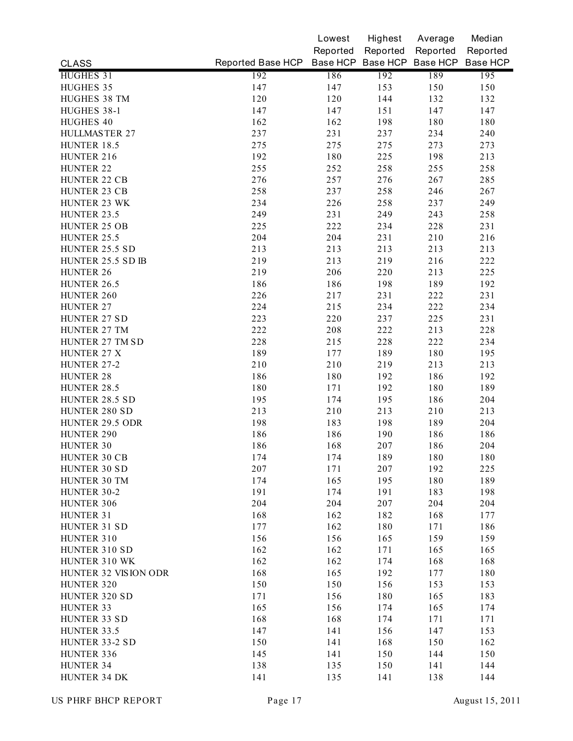|                              |                   | Lowest     | Highest  | Average                    | Median   |
|------------------------------|-------------------|------------|----------|----------------------------|----------|
|                              |                   | Reported   | Reported | Reported                   | Reported |
| <b>CLASS</b>                 | Reported Base HCP |            |          | Base HCP Base HCP Base HCP | Base HCP |
| HUGHES 31                    | 192               | 186        | 192      | 189                        | 195      |
| HUGHES 35                    | 147               | 147        | 153      | 150                        | 150      |
| HUGHES 38 TM                 | 120               | 120        | 144      | 132                        | 132      |
| HUGHES 38-1                  | 147               | 147        | 151      | 147                        | 147      |
| HUGHES 40                    | 162               | 162        | 198      | 180                        | 180      |
| HULLMASTER 27                | 237               | 231        | 237      | 234                        | 240      |
| HUNTER 18.5                  | 275               | 275        | 275      | 273                        | 273      |
| HUNTER 216                   | 192               | 180        | 225      | 198                        | 213      |
| HUNTER 22                    | 255               | 252        | 258      | 255                        | 258      |
| HUNTER 22 CB                 | 276               | 257        | 276      | 267                        | 285      |
| HUNTER 23 CB                 | 258               | 237        | 258      | 246                        | 267      |
| HUNTER 23 WK                 | 234               | 226        | 258      | 237                        | 249      |
| HUNTER 23.5                  | 249               | 231        | 249      | 243                        | 258      |
| HUNTER 25 OB                 | 225               | 222        | 234      | 228                        | 231      |
| HUNTER 25.5                  | 204               | 204        | 231      | 210                        | 216      |
| HUNTER 25.5 SD               | 213               | 213        | 213      | 213                        | 213      |
| HUNTER 25.5 SD IB            | 219               | 213        | 219      | 216                        | 222      |
| <b>HUNTER 26</b>             | 219               | 206        | 220      | 213                        | 225      |
| HUNTER 26.5                  | 186               | 186        | 198      | 189                        | 192      |
| HUNTER 260                   | 226               | 217        | 231      | 222                        | 231      |
| HUNTER 27                    | 224               | 215        | 234      | 222                        | 234      |
| HUNTER 27 SD                 | 223               | 220        | 237      | 225                        | 231      |
| HUNTER 27 TM                 | 222               | 208        | 222      | 213                        | 228      |
| HUNTER 27 TM SD              | 228               | 215        | 228      | 222                        | 234      |
| HUNTER 27 X                  | 189               | 177        | 189      | 180                        | 195      |
| HUNTER 27-2                  | 210               | 210        | 219      | 213                        | 213      |
| <b>HUNTER 28</b>             | 186               | 180        | 192      | 186                        | 192      |
| HUNTER 28.5                  | 180               | 171        | 192      | 180                        | 189      |
| HUNTER 28.5 SD               | 195               | 174        | 195      | 186                        | 204      |
| HUNTER 280 SD                | 213               | 210        | 213      | 210                        | 213      |
| HUNTER 29.5 ODR              | 198               | 183        | 198      | 189                        | 204      |
| <b>HUNTER 290</b>            | 186               | 186        | 190      | 186                        | 186      |
| HUNTER 30                    | 186               | 168        | 207      | 186                        | 204      |
|                              |                   |            | 189      |                            | 180      |
| HUNTER 30 CB<br>HUNTER 30 SD | 174<br>207        | 174<br>171 | 207      | 180<br>192                 | 225      |
| HUNTER 30 TM                 | 174               | 165        | 195      | 180                        | 189      |
| HUNTER 30-2                  | 191               | 174        | 191      | 183                        | 198      |
| HUNTER 306                   | 204               | 204        | 207      | 204                        | 204      |
| HUNTER 31                    | 168               | 162        | 182      | 168                        | 177      |
| HUNTER 31 SD                 | 177               | 162        | 180      | 171                        | 186      |
| HUNTER 310                   | 156               | 156        | 165      | 159                        | 159      |
| HUNTER 310 SD                | 162               | 162        | 171      | 165                        | 165      |
| HUNTER 310 WK                | 162               | 162        | 174      | 168                        | 168      |
| HUNTER 32 VISION ODR         | 168               | 165        | 192      |                            | 180      |
| HUNTER 320                   |                   |            |          | 177                        |          |
|                              | 150               | 150        | 156      | 153                        | 153      |
| HUNTER 320 SD                | 171               | 156        | 180      | 165                        | 183      |
| HUNTER 33                    | 165               | 156        | 174      | 165                        | 174      |
| HUNTER 33 SD                 | 168               | 168        | 174      | 171                        | 171      |
| HUNTER 33.5                  | 147               | 141        | 156      | 147                        | 153      |
| HUNTER 33-2 SD               | 150               | 141        | 168      | 150                        | 162      |
| HUNTER 336                   | 145               | 141        | 150      | 144                        | 150      |
| HUNTER 34                    | 138               | 135        | 150      | 141                        | 144      |
| HUNTER 34 DK                 | 141               | 135        | 141      | 138                        | 144      |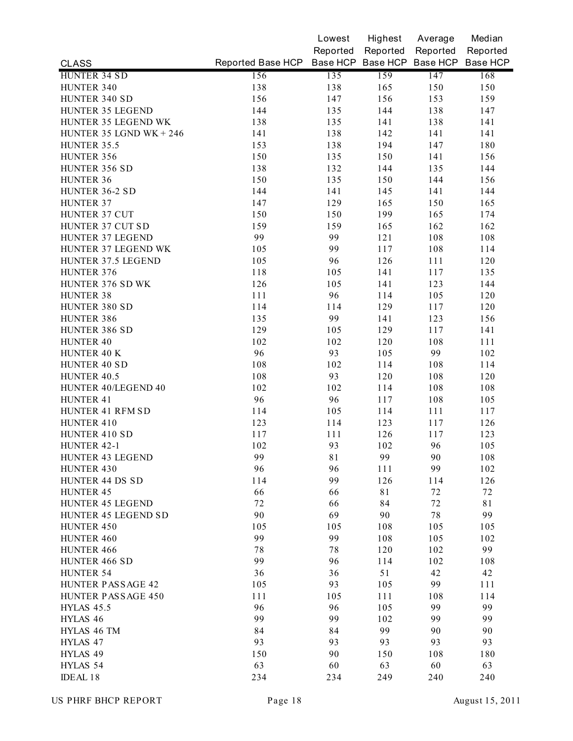|                         |                                                       | Lowest   | Highest  | Average  | Median   |
|-------------------------|-------------------------------------------------------|----------|----------|----------|----------|
|                         |                                                       | Reported | Reported | Reported | Reported |
| <b>CLASS</b>            | Reported Base HCP Base HCP Base HCP Base HCP Base HCP |          |          |          |          |
| HUNTER 34 SD            | 156                                                   | 135      | 159      | 147      | 168      |
| HUNTER 340              | 138                                                   | 138      | 165      | 150      | 150      |
| HUNTER 340 SD           | 156                                                   | 147      | 156      | 153      | 159      |
| HUNTER 35 LEGEND        | 144                                                   | 135      | 144      | 138      | 147      |
| HUNTER 35 LEGEND WK     | 138                                                   | 135      | 141      | 138      | 141      |
| HUNTER 35 LGND WK + 246 | 141                                                   | 138      | 142      | 141      | 141      |
| HUNTER 35.5             | 153                                                   | 138      | 194      | 147      | 180      |
| HUNTER 356              | 150                                                   | 135      | 150      | 141      | 156      |
| HUNTER 356 SD           | 138                                                   | 132      | 144      | 135      | 144      |
| HUNTER 36               | 150                                                   | 135      | 150      | 144      | 156      |
| HUNTER 36-2 SD          | 144                                                   | 141      | 145      | 141      | 144      |
| HUNTER 37               | 147                                                   | 129      | 165      | 150      | 165      |
| HUNTER 37 CUT           | 150                                                   | 150      | 199      | 165      | 174      |
| HUNTER 37 CUT SD        | 159                                                   | 159      | 165      | 162      | 162      |
| HUNTER 37 LEGEND        | 99                                                    | 99       | 121      | 108      | 108      |
| HUNTER 37 LEGEND WK     | 105                                                   | 99       | 117      | 108      | 114      |
| HUNTER 37.5 LEGEND      | 105                                                   | 96       | 126      | 111      | 120      |
| HUNTER 376              | 118                                                   | 105      | 141      | 117      | 135      |
| HUNTER 376 SD WK        | 126                                                   | 105      | 141      | 123      | 144      |
| <b>HUNTER 38</b>        | 111                                                   | 96       | 114      | 105      | 120      |
| HUNTER 380 SD           | 114                                                   | 114      | 129      | 117      | 120      |
| HUNTER 386              | 135                                                   | 99       | 141      | 123      | 156      |
| HUNTER 386 SD           | 129                                                   | 105      | 129      | 117      | 141      |
| HUNTER 40               | 102                                                   | 102      | 120      | 108      | 111      |
| HUNTER 40 K             | 96                                                    | 93       | 105      | 99       | 102      |
| HUNTER 40 SD            | 108                                                   | 102      | 114      | 108      | 114      |
| HUNTER 40.5             | 108                                                   | 93       | 120      | 108      | 120      |
| HUNTER 40/LEGEND 40     | 102                                                   | 102      | 114      | 108      | 108      |
| HUNTER 41               | 96                                                    | 96       | 117      | 108      | 105      |
| HUNTER 41 RFM SD        | 114                                                   | 105      |          | 111      |          |
|                         |                                                       |          | 114      |          | 117      |
| HUNTER 410              | 123                                                   | 114      | 123      | 117      | 126      |
| HUNTER 410 SD           | 117                                                   | 111      | 126      | 117      | 123      |
| HUNTER 42-1             | 102                                                   | 93       | 102      | 96       | 105      |
| HUNTER 43 LEGEND        | 99                                                    | 81       | 99       | 90       | 108      |
| HUNTER 430              | 96                                                    | 96       | 111      | 99       | 102      |
| HUNTER 44 DS SD         | 114                                                   | 99       | 126      | 114      | 126      |
| <b>HUNTER 45</b>        | 66                                                    | 66       | 81       | 72       | 72       |
| HUNTER 45 LEGEND        | 72                                                    | 66       | 84       | 72       | 81       |
| HUNTER 45 LEGEND SD     | 90                                                    | 69       | 90       | $7\,$    | 99       |
| HUNTER 450              | 105                                                   | 105      | 108      | 105      | 105      |
| HUNTER 460              | 99                                                    | 99       | 108      | 105      | 102      |
| HUNTER 466              | $7\,$                                                 | 78       | 120      | 102      | 99       |
| HUNTER 466 SD           | 99                                                    | 96       | 114      | 102      | 108      |
| HUNTER 54               | 36                                                    | 36       | 51       | 42       | 42       |
| HUNTER PASSAGE 42       | 105                                                   | 93       | 105      | 99       | 111      |
| HUNTER PASSAGE 450      | 111                                                   | 105      | 111      | 108      | 114      |
| <b>HYLAS 45.5</b>       | 96                                                    | 96       | 105      | 99       | 99       |
| HYLAS 46                | 99                                                    | 99       | 102      | 99       | 99       |
| HYLAS 46 TM             | 84                                                    | 84       | 99       | 90       | 90       |
| HYLAS 47                | 93                                                    | 93       | 93       | 93       | 93       |
| HYLAS 49                | 150                                                   | 90       | 150      | 108      | 180      |
| HYLAS 54                | 63                                                    | 60       | 63       | 60       | 63       |
| IDEAL 18                | 234                                                   | 234      | 249      | 240      | 240      |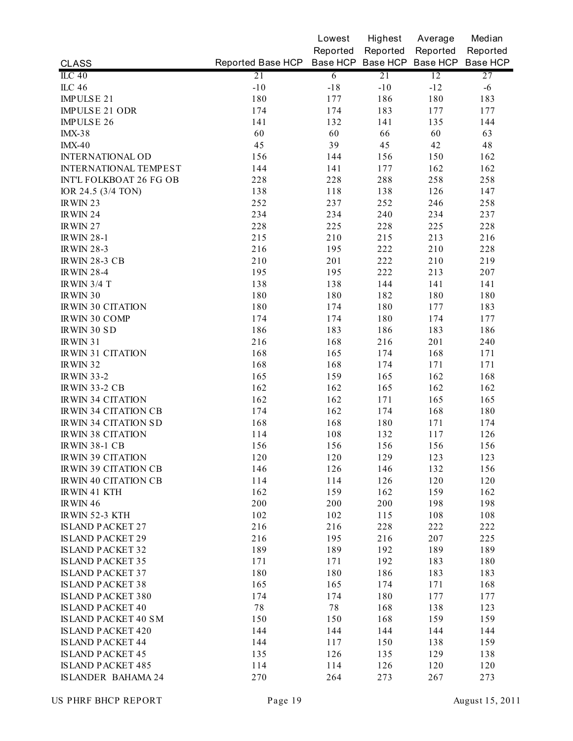|                              |                                              | Lowest         | Highest  | Average  | Median   |
|------------------------------|----------------------------------------------|----------------|----------|----------|----------|
|                              |                                              | Reported       | Reported | Reported | Reported |
| <b>CLASS</b>                 | Reported Base HCP Base HCP Base HCP Base HCP |                |          |          | Base HCP |
| $ILC$ 40                     | 21                                           | $\overline{6}$ | 21       | 12       | 27       |
| <b>ILC 46</b>                | $-10$                                        | $-18$          | $-10$    | $-12$    | $-6$     |
| IMPULSE 21                   | 180                                          | 177            | 186      | 180      | 183      |
| IMPULSE 21 ODR               | 174                                          | 174            | 183      | 177      | 177      |
| <b>IMPULSE 26</b>            | 141                                          | 132            | 141      | 135      | 144      |
| <b>IMX-38</b>                | 60                                           | 60             | 66       | 60       | 63       |
| $IMX-40$                     | 45                                           | 39             | 45       | 42       | 48       |
| <b>INTERNATIONAL OD</b>      | 156                                          | 144            | 156      | 150      | 162      |
| <b>INTERNATIONAL TEMPEST</b> | 144                                          | 141            | 177      | 162      | 162      |
| INT'L FOLKBOAT 26 FG OB      | 228                                          | 228            | 288      | 258      | 258      |
| IOR 24.5 (3/4 TON)           | 138                                          | 118            | 138      | 126      | 147      |
| IRWIN <sub>23</sub>          | 252                                          | 237            | 252      | 246      | 258      |
| IRWIN 24                     | 234                                          | 234            | 240      | 234      | 237      |
| IRWIN 27                     | 228                                          | 225            | 228      | 225      | 228      |
| <b>IRWIN 28-1</b>            | 215                                          | 210            | 215      | 213      | 216      |
| <b>IRWIN 28-3</b>            | 216                                          | 195            | 222      | 210      | 228      |
| <b>IRWIN 28-3 CB</b>         | 210                                          | 201            | 222      | 210      | 219      |
| <b>IRWIN 28-4</b>            | 195                                          | 195            | 222      | 213      | 207      |
| <b>IRWIN 3/4 T</b>           | 138                                          | 138            | 144      | 141      | 141      |
| IRWIN 30                     | 180                                          | 180            | 182      | 180      | 180      |
| IRWIN 30 CITATION            | 180                                          | 174            | 180      | 177      | 183      |
| IRWIN 30 COMP                | 174                                          | 174            | 180      | 174      | 177      |
| <b>IRWIN 30 SD</b>           | 186                                          | 183            | 186      | 183      | 186      |
| IRWIN 31                     | 216                                          | 168            | 216      | 201      | 240      |
| <b>IRWIN 31 CITATION</b>     | 168                                          | 165            | 174      | 168      | 171      |
| IRWIN 32                     | 168                                          | 168            | 174      | 171      | 171      |
| <b>IRWIN 33-2</b>            | 165                                          | 159            | 165      | 162      | 168      |
| <b>IRWIN 33-2 CB</b>         | 162                                          | 162            | 165      | 162      | 162      |
| <b>IRWIN 34 CITATION</b>     | 162                                          | 162            | 171      | 165      | 165      |
| <b>IRWIN 34 CITATION CB</b>  | 174                                          | 162            | 174      | 168      | 180      |
| IRWIN 34 CITATION SD         | 168                                          | 168            | 180      | 171      | 174      |
| <b>IRWIN 38 CITATION</b>     | 114                                          | 108            | 132      | 117      | 126      |
| <b>IRWIN 38-1 CB</b>         | 156                                          | 156            | 156      | 156      | 156      |
| IRWIN 39 CITATION            | 120                                          | 120            | 129      | 123      | 123      |
| <b>IRWIN 39 CITATION CB</b>  | 146                                          | 126            | 146      | 132      | 156      |
| <b>IRWIN 40 CITATION CB</b>  | 114                                          | 114            | 126      | 120      | 120      |
| <b>IRWIN 41 KTH</b>          | 162                                          | 159            | 162      | 159      | 162      |
| IRWIN 46                     | 200                                          | 200            | 200      | 198      | 198      |
| IRWIN 52-3 KTH               | 102                                          | 102            | 115      | 108      | 108      |
| <b>ISLAND PACKET 27</b>      | 216                                          | 216            | 228      | 222      | 222      |
| <b>ISLAND PACKET 29</b>      | 216                                          | 195            | 216      | 207      | 225      |
| <b>ISLAND PACKET 32</b>      | 189                                          | 189            | 192      | 189      | 189      |
| <b>ISLAND PACKET 35</b>      | 171                                          | 171            | 192      | 183      | 180      |
| <b>ISLAND PACKET 37</b>      | 180                                          | 180            | 186      | 183      | 183      |
| <b>ISLAND PACKET 38</b>      | 165                                          | 165            | 174      | 171      | 168      |
| <b>ISLAND PACKET 380</b>     | 174                                          | 174            | 180      | 177      | 177      |
| <b>ISLAND PACKET 40</b>      | 78                                           | $7\,$          | 168      | 138      | 123      |
| <b>ISLAND PACKET 40 SM</b>   | 150                                          | 150            | 168      | 159      | 159      |
| <b>ISLAND PACKET 420</b>     | 144                                          | 144            | 144      | 144      | 144      |
| <b>ISLAND PACKET 44</b>      | 144                                          | 117            | 150      | 138      | 159      |
| <b>ISLAND PACKET 45</b>      | 135                                          | 126            | 135      | 129      | 138      |
| <b>ISLAND PACKET 485</b>     | 114                                          | 114            | 126      | 120      | 120      |
| ISLANDER BAHAMA 24           | 270                                          | 264            | 273      | 267      | 273      |
|                              |                                              |                |          |          |          |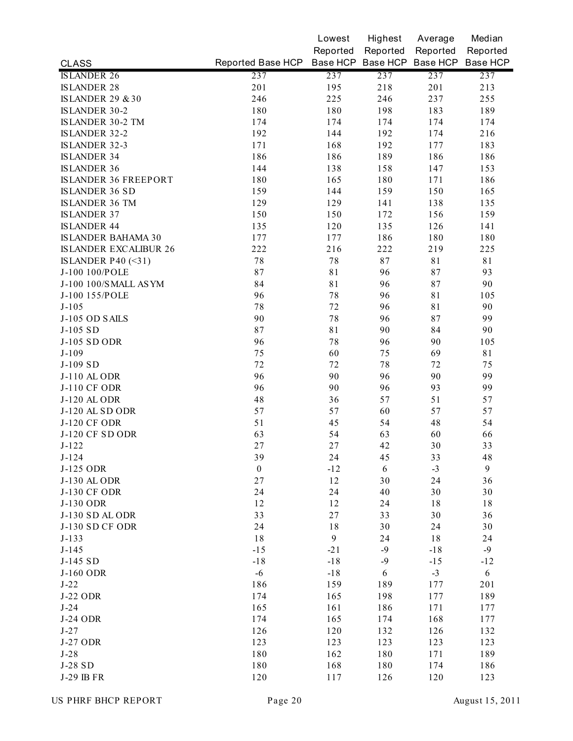|                              |                                              | Lowest           | Highest          | Average  | Median           |
|------------------------------|----------------------------------------------|------------------|------------------|----------|------------------|
|                              |                                              | Reported         | Reported         | Reported | Reported         |
| <b>CLASS</b>                 | Reported Base HCP Base HCP Base HCP Base HCP |                  |                  |          | Base HCP         |
| <b>ISLANDER 26</b>           | 237                                          | 237              | 237              | 237      | 237              |
| <b>ISLANDER 28</b>           | 201                                          | 195              | 218              | 201      | 213              |
| <b>ISLANDER 29 &amp; 30</b>  | 246                                          | 225              | 246              | 237      | 255              |
| <b>ISLANDER 30-2</b>         | 180                                          | 180              | 198              | 183      | 189              |
| ISLANDER 30-2 TM             | 174                                          | 174              | 174              | 174      | 174              |
| <b>ISLANDER 32-2</b>         | 192                                          | 144              | 192              | 174      | 216              |
| <b>ISLANDER 32-3</b>         | 171                                          | 168              | 192              | 177      | 183              |
| <b>ISLANDER 34</b>           | 186                                          | 186              | 189              | 186      | 186              |
| <b>ISLANDER 36</b>           | 144                                          | 138              | 158              | 147      | 153              |
| <b>ISLANDER 36 FREEPORT</b>  | 180                                          | 165              | 180              | 171      | 186              |
| <b>ISLANDER 36 SD</b>        | 159                                          | 144              | 159              | 150      | 165              |
| <b>ISLANDER 36 TM</b>        | 129                                          | 129              | 141              | 138      | 135              |
| <b>ISLANDER 37</b>           | 150                                          | 150              | 172              | 156      | 159              |
| <b>ISLANDER 44</b>           | 135                                          | 120              | 135              | 126      | 141              |
| IS LANDER BAHAMA 30          | 177                                          | 177              | 186              | 180      | 180              |
| <b>ISLANDER EXCALIBUR 26</b> | 222                                          | 216              | 222              | 219      | 225              |
| ISLANDER P40 $(\leq$ 31)     | $7\,$                                        | 78               | 87               | 81       | 81               |
| J-100 100/POLE               | 87                                           | 81               | 96               | 87       | 93               |
| J-100 100/SMALL ASYM         | 84                                           | 81               | 96               | 87       | 90               |
| J-100 155/POLE               | 96                                           | 78               | 96               | 81       | 105              |
| $J-105$                      | 78                                           | 72               | 96               | 81       | 90               |
| J-105 OD SAILS               | 90                                           | 78               | 96               | 87       | 99               |
| J-105 SD                     | 87                                           | 81               | 90               | 84       | 90               |
| J-105 SD ODR                 | 96                                           | 78               | 96               | 90       | 105              |
| $J-109$                      | 75                                           | 60               | 75               | 69       | 81               |
| J-109 SD                     | 72                                           | 72               | 78               | 72       | 75               |
| J-110 AL ODR                 | 96                                           | 90               | 96               | 90       | 99               |
| J-110 CF ODR                 | 96                                           | 90               | 96               | 93       | 99               |
| J-120 AL ODR                 | 48                                           | 36               | 57               | 51       | 57               |
| J-120 AL SD ODR              | 57                                           | 57               | 60               | 57       | 57               |
| <b>J-120 CF ODR</b>          | 51                                           | 45               | 54               | 48       | 54               |
| J-120 CF SD ODR              | 63                                           | 54               | 63               | 60       | 66               |
| $J-122$                      | 27                                           | 27               | 42               | 30       | 33               |
| $J-124$                      | 39                                           | 24               | 45               | 33       | 48               |
| J-125 ODR                    | $\boldsymbol{0}$                             | $-12$            | 6                | $-3$     | $\boldsymbol{9}$ |
| J-130 AL ODR                 | 27                                           | 12               | 30               | 24       | 36               |
| <b>J-130 CF ODR</b>          | 24                                           | 24               | 40               | 30       | 30               |
| J-130 ODR                    | 12                                           | 12               | 24               | 18       | 18               |
| J-130 SD ALODR               | 33                                           | $27\,$           | 33               | 30       | 36               |
| <b>J-130 SD CF ODR</b>       | 24                                           | 18               | 30               | 24       | 30               |
| $J-133$                      | 18                                           | $\boldsymbol{9}$ | 24               | 18       | 24               |
| $J-145$                      | $-15$                                        | $-21$            | $-9$             | $-18$    | $-9$             |
| J-145 SD                     | $-18$                                        | $-18$            | $-9$             | $-15$    | $-12$            |
| J-160 ODR                    | $-6$                                         | $-18$            | $\boldsymbol{6}$ | $-3$     | 6                |
| $J-22$                       | 186                                          | 159              | 189              | 177      | 201              |
| <b>J-22 ODR</b>              | 174                                          | 165              | 198              | 177      | 189              |
| $J-24$                       | 165                                          | 161              | 186              | 171      | 177              |
| <b>J-24 ODR</b>              | 174                                          | 165              | 174              | 168      | 177              |
| $J-27$                       | 126                                          | 120              | 132              | 126      | 132              |
| <b>J-27 ODR</b>              | 123                                          | 123              | 123              | 123      | 123              |
| $J-28$                       | 180                                          | 162              | 180              | 171      | 189              |
| J-28 SD                      | 180                                          | 168              | 180              | 174      | 186              |
| J-29 IB FR                   | 120                                          | 117              | 126              | 120      | 123              |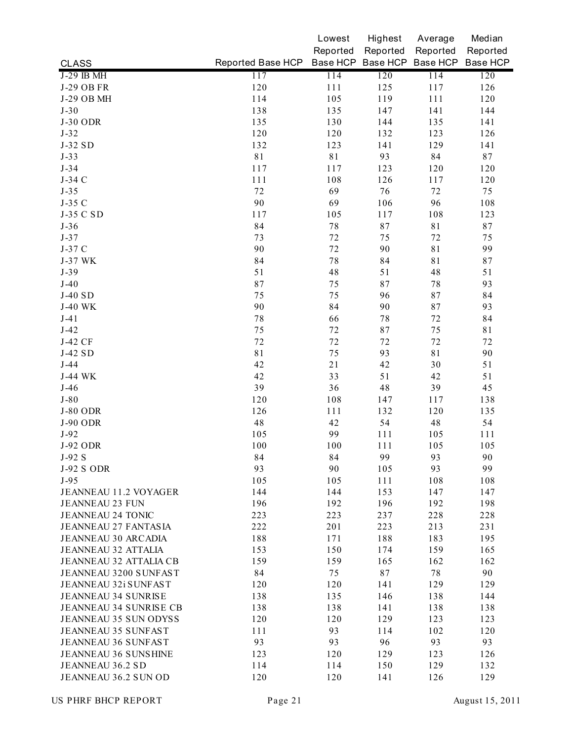|                               |                   | Lowest      | Highest  | Average                    | Median   |
|-------------------------------|-------------------|-------------|----------|----------------------------|----------|
|                               |                   | Reported    | Reported | Reported                   | Reported |
| <b>CLASS</b>                  | Reported Base HCP |             |          | Base HCP Base HCP Base HCP | Base HCP |
| J-29 IB MH                    | 117               | 114         | 120      | 114                        | 120      |
| J-29 OB FR                    | 120               | 111         | 125      | 117                        | 126      |
| J-29 OB MH                    | 114               | 105         | 119      | 111                        | 120      |
| $J-30$                        | 138               | 135         | 147      | 141                        | 144      |
| <b>J-30 ODR</b>               | 135               | 130         | 144      | 135                        | 141      |
| $J-32$                        | 120               | 120         | 132      | 123                        | 126      |
| J-32 SD                       | 132               | 123         | 141      | 129                        | 141      |
| $J-33$                        | 81                | $8\sqrt{1}$ | 93       | 84                         | 87       |
| $J-34$                        | 117               | 117         | 123      | 120                        | 120      |
| J-34 C                        | 111               | 108         | 126      | 117                        | 120      |
| $J-35$                        | 72                | 69          | 76       | 72                         | 75       |
| J-35 C                        | 90                | 69          | 106      | 96                         | 108      |
| J-35 C SD                     | 117               | 105         | 117      | 108                        | 123      |
| $J-36$                        | 84                | 78          | 87       | $8\sqrt{1}$                | 87       |
| $J-37$                        | 73                | 72          | 75       | 72                         | 75       |
| J-37 C                        | 90                | 72          | 90       | 81                         | 99       |
| J-37 WK                       | 84                | 78          | 84       | 81                         | 87       |
| $J-39$                        | 51                | 48          | 51       | 48                         | 51       |
| $J-40$                        | 87                | 75          | 87       | 78                         | 93       |
| $J-40$ SD                     | 75                | 75          | 96       | 87                         | 84       |
| <b>J-40 WK</b>                | 90                | 84          | 90       | 87                         | 93       |
| $J-41$                        | 78                | 66          | 78       | 72                         | 84       |
| $J-42$                        | 75                | 72          | 87       | 75                         | 81       |
| J-42 CF                       | 72                | 72          | 72       | 72                         | 72       |
| J-42 SD                       | 81                | 75          | 93       | 81                         | 90       |
| $J-44$                        | 42                | 21          | 42       | 30                         | 51       |
| J-44 WK                       | 42                | 33          | 51       | 42                         | 51       |
| $J-46$                        | 39                | 36          | 48       | 39                         | 45       |
| $J-80$                        | 120               | 108         | 147      | 117                        | 138      |
| <b>J-80 ODR</b>               | 126               | 111         | 132      | 120                        | 135      |
| <b>J-90 ODR</b>               | 48                | 42          | 54       | 48                         | 54       |
| $J-92$                        | 105               | 99          | 111      | 105                        | 111      |
| J-92 ODR                      | 100               | 100         | 111      | 105                        | 105      |
| $J-92S$                       | 84                | 84          | 99       | 93                         | 90       |
| <b>J-92 S ODR</b>             | 93                | 90          | 105      | 93                         | 99       |
| $J-95$                        | 105               | 105         | 111      | 108                        | 108      |
| <b>JEANNEAU 11.2 VOYAGER</b>  | 144               | 144         | 153      | 147                        | 147      |
| <b>JEANNEAU 23 FUN</b>        | 196               | 192         | 196      | 192                        | 198      |
| <b>JEANNEAU 24 TONIC</b>      | 223               | 223         | 237      | 228                        | 228      |
| <b>JEANNEAU 27 FANTASIA</b>   | 222               | 201         | 223      | 213                        | 231      |
| <b>JEANNEAU 30 ARCADIA</b>    | 188               | 171         | 188      | 183                        | 195      |
| <b>JEANNEAU 32 ATTALIA</b>    | 153               | 150         | 174      | 159                        | 165      |
| <b>JEANNEAU 32 ATTALIA CB</b> | 159               | 159         | 165      | 162                        | 162      |
| JEANNEAU 3200 SUNFAST         | 84                | 75          | $8\,7$   | 78                         | 90       |
| JEANNEAU 32i SUNFAST          | 120               | 120         | 141      | 129                        | 129      |
| <b>JEANNEAU 34 SUNRISE</b>    | 138               | 135         | 146      | 138                        | 144      |
| <b>JEANNEAU 34 SUNRISE CB</b> | 138               | 138         | 141      | 138                        | 138      |
| JEANNEAU 35 SUN ODYSS         | 120               | 120         | 129      | 123                        | 123      |
| JEANNEAU 35 SUNFAST           | 111               | 93          | 114      | 102                        | 120      |
| JEANNEAU 36 SUNFAST           | 93                | 93          | 96       | 93                         | 93       |
| <b>JEANNEAU 36 SUNSHINE</b>   | 123               | 120         | 129      | 123                        | 126      |
| JEANNEAU 36.2 SD              | 114               | 114         | 150      | 129                        | 132      |
| JEANNEAU 36.2 SUN OD          | 120               | 120         | 141      | 126                        | 129      |
|                               |                   |             |          |                            |          |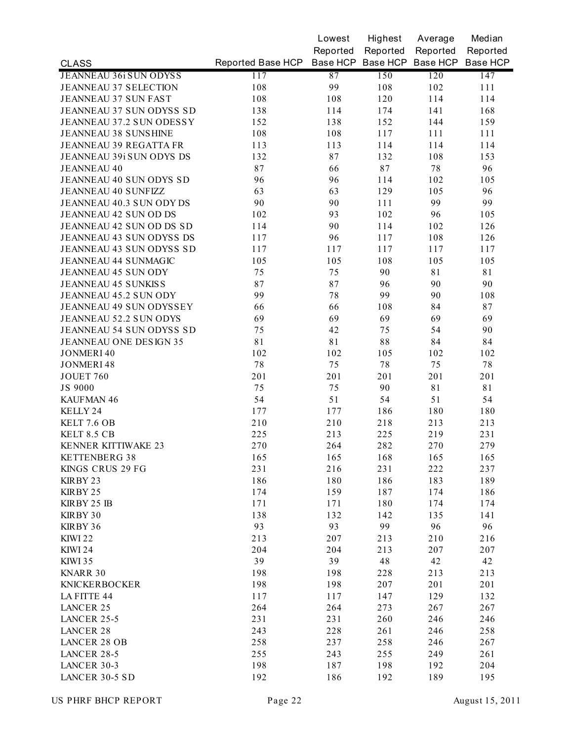|                               |                                              | Lowest   | Highest  | Average  | Median   |
|-------------------------------|----------------------------------------------|----------|----------|----------|----------|
|                               |                                              | Reported | Reported | Reported | Reported |
| <b>CLASS</b>                  | Reported Base HCP Base HCP Base HCP Base HCP |          |          |          | Base HCP |
| <b>JEANNEAU 36i SUN ODYSS</b> | 117                                          | 87       | 150      | 120      | 147      |
| <b>JEANNEAU 37 SELECTION</b>  | 108                                          | 99       | 108      | 102      | 111      |
| JEANNEAU 37 SUN FAST          | 108                                          | 108      | 120      | 114      | 114      |
| JEANNEAU 37 SUN ODYSS SD      | 138                                          | 114      | 174      | 141      | 168      |
| JEANNEAU 37.2 SUN ODESSY      | 152                                          | 138      | 152      | 144      | 159      |
| JEANNEAU 38 SUNSHINE          | 108                                          | 108      | 117      | 111      | 111      |
| <b>JEANNEAU 39 REGATTA FR</b> | 113                                          | 113      | 114      | 114      | 114      |
| JEANNEAU 39i SUN ODYS DS      | 132                                          | 87       | 132      | 108      | 153      |
| <b>JEANNEAU 40</b>            | 87                                           | 66       | 87       | $7\,8$   | 96       |
| JEANNEAU 40 SUN ODYS SD       | 96                                           | 96       | 114      | 102      | 105      |
| <b>JEANNEAU 40 SUNFIZZ</b>    | 63                                           | 63       | 129      | 105      | 96       |
| JEANNEAU 40.3 SUN ODY DS      | 90                                           | 90       | 111      | 99       | 99       |
| JEANNEAU 42 SUN OD DS         | 102                                          | 93       | 102      | 96       | 105      |
| JEANNEAU 42 SUN OD DS SD      | 114                                          | 90       | 114      | 102      | 126      |
| JEANNEAU 43 SUN ODYSS DS      | 117                                          | 96       | 117      | 108      | 126      |
| JEANNEAU 43 SUN ODYSS SD      | 117                                          | 117      | 117      | 117      | 117      |
| <b>JEANNEAU 44 SUNMAGIC</b>   | 105                                          | 105      | 108      | 105      | 105      |
| <b>JEANNEAU 45 SUN ODY</b>    | 75                                           | 75       | 90       | 81       | 81       |
| <b>JEANNEAU 45 SUNKISS</b>    | 87                                           | 87       | 96       | 90       | 90       |
| JEANNEAU 45.2 SUN ODY         | 99                                           | 78       | 99       | 90       | 108      |
| JEANNEAU 49 SUN ODYSSEY       | 66                                           | 66       | 108      | 84       | 87       |
| JEANNEAU 52.2 SUN ODYS        | 69                                           | 69       | 69       | 69       | 69       |
| JEANNEAU 54 SUN ODYSS SD      | 75                                           | 42       | 75       | 54       | 90       |
| JEANNEAU ONE DESIGN 35        | 81                                           | 81       | 88       | 84       | 84       |
| JONMERI40                     | 102                                          | 102      | 105      | 102      | 102      |
| JONMERI48                     | $7\,$                                        | 75       | 78       | 75       | 78       |
| JOUET 760                     | 201                                          | 201      | 201      | 201      | 201      |
| JS 9000                       | 75                                           | 75       | 90       | 81       | 81       |
| KAUFMAN 46                    | 54                                           | 51       | 54       | 51       | 54       |
| KELLY <sub>24</sub>           | 177                                          | 177      | 186      | 180      | 180      |
| KELT 7.6 OB                   | 210                                          | 210      | 218      | 213      | 213      |
| KELT 8.5 CB                   | 225                                          | 213      | 225      | 219      | 231      |
| <b>KENNER KITTIWAKE 23</b>    | 270                                          | 264      | 282      | 270      | 279      |
| <b>KETTENBERG 38</b>          | 165                                          | 165      | 168      | 165      | 165      |
| KINGS CRUS 29 FG              | 231                                          | 216      | 231      | 222      | 237      |
| KIRBY 23                      | 186                                          | 180      | 186      | 183      | 189      |
| KIRBY 25                      | 174                                          | 159      | 187      | 174      | 186      |
| KIRBY 25 IB                   | 171                                          | 171      | 180      | 174      | 174      |
| KIRBY 30                      | 138                                          | 132      | 142      | 135      | 141      |
| KIRBY 36                      | 93                                           | 93       | 99       | 96       | 96       |
| KIWI 22                       | 213                                          | 207      | 213      | 210      | 216      |
| KIWI 24                       | 204                                          | 204      | 213      | 207      | 207      |
| KIWI 35                       | 39                                           | 39       | 48       | 42       | 42       |
| <b>KNARR 30</b>               | 198                                          | 198      | 228      | 213      | 213      |
| <b>KNICKERBOCKER</b>          | 198                                          | 198      | 207      | 201      | 201      |
| LA FITTE 44                   | 117                                          | 117      | 147      | 129      | 132      |
| <b>LANCER 25</b>              | 264                                          | 264      | 273      | 267      | 267      |
| LANCER 25-5                   | 231                                          | 231      | 260      | 246      | 246      |
| <b>LANCER 28</b>              | 243                                          | 228      | 261      | 246      | 258      |
| <b>LANCER 28 OB</b>           | 258                                          | 237      | 258      | 246      | 267      |
| LANCER 28-5                   | 255                                          | 243      | 255      | 249      | 261      |
| LANCER 30-3                   | 198                                          | 187      | 198      | 192      | 204      |
| LANCER 30-5 SD                | 192                                          | 186      | 192      | 189      | 195      |
|                               |                                              |          |          |          |          |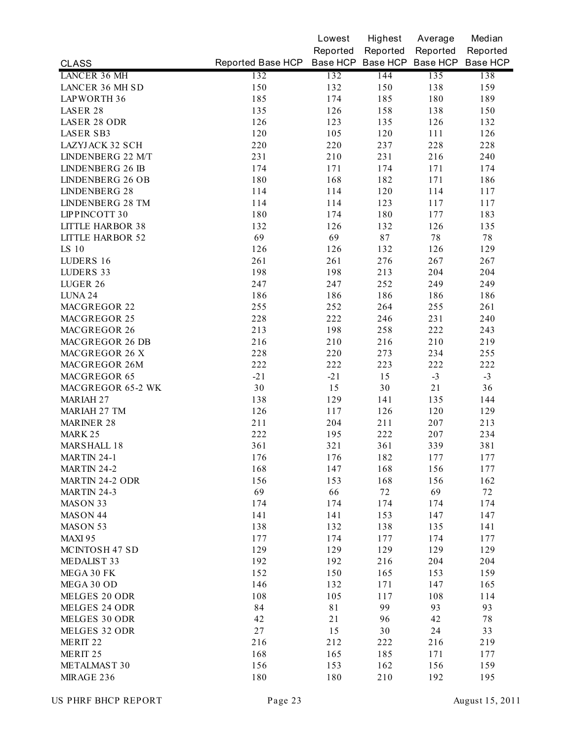|                         |                                              | Lowest   | Highest  | Average  | Median   |
|-------------------------|----------------------------------------------|----------|----------|----------|----------|
|                         |                                              | Reported | Reported | Reported | Reported |
| <b>CLASS</b>            | Reported Base HCP Base HCP Base HCP Base HCP |          |          |          | Base HCP |
| <b>LANCER 36 MH</b>     | 132                                          | 132      | 144      | 135      | 138      |
| LANCER 36 MH SD         | 150                                          | 132      | 150      | 138      | 159      |
| LAPWORTH 36             | 185                                          | 174      | 185      | 180      | 189      |
| LASER 28                | 135                                          | 126      | 158      | 138      | 150      |
| <b>LASER 28 ODR</b>     | 126                                          | 123      | 135      | 126      | 132      |
| LASER SB3               | 120                                          | 105      | 120      | 111      | 126      |
| LAZYJACK 32 SCH         | 220                                          | 220      | 237      | 228      | 228      |
| LINDENBERG 22 M/T       | 231                                          | 210      | 231      | 216      | 240      |
| <b>LINDENBERG 26 IB</b> | 174                                          | 171      | 174      | 171      | 174      |
| LINDENBERG 26 OB        | 180                                          | 168      | 182      | 171      | 186      |
| <b>LINDENBERG 28</b>    | 114                                          | 114      | 120      | 114      | 117      |
| <b>LINDENBERG 28 TM</b> | 114                                          | 114      | 123      | 117      | 117      |
| LIPPINCOTT 30           | 180                                          | 174      | 180      | 177      | 183      |
| <b>LITTLE HARBOR 38</b> | 132                                          | 126      | 132      | 126      | 135      |
| <b>LITTLE HARBOR 52</b> | 69                                           | 69       | 87       | $7\,$    | 78       |
| LS 10                   | 126                                          | 126      | 132      | 126      | 129      |
| LUDERS 16               | 261                                          | 261      | 276      | 267      | 267      |
| LUDERS 33               | 198                                          | 198      | 213      | 204      | 204      |
| LUGER 26                | 247                                          | 247      | 252      | 249      | 249      |
| LUNA 24                 | 186                                          | 186      | 186      | 186      | 186      |
| MACGREGOR 22            | 255                                          | 252      | 264      | 255      | 261      |
| MACGREGOR 25            | 228                                          | 222      | 246      | 231      | 240      |
| MACGREGOR 26            | 213                                          | 198      | 258      | 222      | 243      |
| <b>MACGREGOR 26 DB</b>  | 216                                          | 210      | 216      | 210      | 219      |
| MACGREGOR 26 X          | 228                                          | 220      | 273      | 234      | 255      |
| MACGREGOR 26M           | 222                                          | 222      | 223      | 222      | 222      |
| MACGREGOR 65            | $-21$                                        | $-21$    | 15       | $-3$     | $-3$     |
| MACGREGOR 65-2 WK       | 30                                           | 15       | 30       | 21       | 36       |
| MARIAH 27               | 138                                          | 129      | 141      | 135      | 144      |
| MARIAH 27 TM            | 126                                          | 117      | 126      | 120      | 129      |
| <b>MARINER 28</b>       | 211                                          | 204      | 211      | 207      | 213      |
| MARK 25                 | 222                                          | 195      | 222      | 207      | 234      |
| <b>MARSHALL 18</b>      | 361                                          | 321      | 361      | 339      | 381      |
| MARTIN 24-1             | 176                                          | 176      | 182      | 177      | 177      |
| <b>MARTIN 24-2</b>      | 168                                          | 147      | 168      | 156      | 177      |
| <b>MARTIN 24-2 ODR</b>  | 156                                          | 153      | 168      | 156      | 162      |
| MARTIN 24-3             | 69                                           | 66       | 72       | 69       | 72       |
| MASON 33                | 174                                          | 174      | 174      | 174      | 174      |
| MASON 44                | 141                                          | 141      | 153      | 147      | 147      |
| MASON 53                | 138                                          | 132      | 138      | 135      | 141      |
| MAXI 95                 | 177                                          | 174      | 177      | 174      | 177      |
| MCINTOSH 47 SD          | 129                                          | 129      | 129      | 129      | 129      |
| MEDALIST 33             | 192                                          | 192      | 216      | 204      | 204      |
| MEGA 30 FK              | 152                                          | 150      | 165      | 153      | 159      |
| MEGA 30 OD              | 146                                          | 132      | 171      | 147      | 165      |
| MELGES 20 ODR           | 108                                          | 105      | 117      | 108      | 114      |
| MELGES 24 ODR           | 84                                           | 81       | 99       | 93       | 93       |
| MELGES 30 ODR           | 42                                           | 21       | 96       | 42       | 78       |
| MELGES 32 ODR           | 27                                           | 15       | 30       | 24       | 33       |
| MERIT 22                | 216                                          | 212      | 222      | 216      | 219      |
| MERIT 25                | 168                                          | 165      | 185      | 171      | 177      |
| METALMAST 30            | 156                                          | 153      | 162      | 156      | 159      |
| MIRAGE 236              | 180                                          | 180      | 210      | 192      | 195      |
|                         |                                              |          |          |          |          |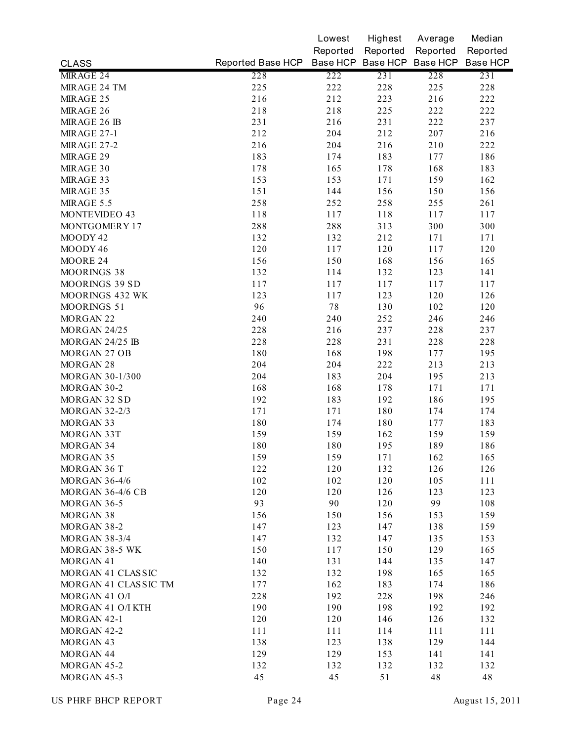|                         |                   | Lowest   | Highest  | Average                    | Median   |
|-------------------------|-------------------|----------|----------|----------------------------|----------|
|                         |                   | Reported | Reported | Reported                   | Reported |
| <b>CLASS</b>            | Reported Base HCP |          |          | Base HCP Base HCP Base HCP | Base HCP |
| MIRAGE 24               | 228               | 222      | 231      | 228                        | 231      |
| MIRAGE 24 TM            | 225               | 222      | 228      | 225                        | 228      |
| MIRAGE 25               | 216               | 212      | 223      | 216                        | 222      |
| MIRAGE 26               | 218               | 218      | 225      | 222                        | 222      |
| MIRAGE 26 IB            | 231               | 216      | 231      | 222                        | 237      |
| <b>MIRAGE 27-1</b>      | 212               | 204      | 212      | 207                        | 216      |
| <b>MIRAGE 27-2</b>      | 216               | 204      | 216      | 210                        | 222      |
| MIRAGE 29               | 183               | 174      | 183      | 177                        | 186      |
| MIRAGE 30               | 178               | 165      | 178      | 168                        | 183      |
| MIRAGE 33               | 153               | 153      | 171      | 159                        | 162      |
| MIRAGE 35               | 151               | 144      | 156      | 150                        | 156      |
| MIRAGE 5.5              | 258               | 252      | 258      | 255                        | 261      |
| MONTEVIDEO 43           | 118               | 117      | 118      | 117                        | 117      |
| MONTGOMERY 17           | 288               | 288      | 313      | 300                        | 300      |
| MOODY 42                | 132               | 132      | 212      | 171                        | 171      |
| MOODY 46                | 120               | 117      | 120      | 117                        | 120      |
| MOORE 24                | 156               | 150      | 168      | 156                        | 165      |
| MOORINGS 38             | 132               | 114      | 132      | 123                        | 141      |
| MOORINGS 39 SD          | 117               | 117      | 117      | 117                        | 117      |
| MOORINGS 432 WK         | 123               | 117      | 123      | 120                        | 126      |
| MOORINGS 51             | 96                | 78       | 130      | 102                        | 120      |
| MORGAN 22               | 240               | 240      | 252      | 246                        | 246      |
| <b>MORGAN 24/25</b>     | 228               | 216      | 237      | 228                        | 237      |
| MORGAN 24/25 IB         | 228               | 228      | 231      | 228                        | 228      |
| MORGAN 27 OB            | 180               | 168      | 198      | 177                        | 195      |
| MORGAN 28               | 204               | 204      | 222      | 213                        | 213      |
| MORGAN 30-1/300         | 204               | 183      | 204      | 195                        | 213      |
| MORGAN 30-2             | 168               | 168      | 178      | 171                        | 171      |
| MORGAN 32 SD            | 192               | 183      | 192      | 186                        | 195      |
| <b>MORGAN 32-2/3</b>    | 171               | 171      | 180      | 174                        | 174      |
| MORGAN 33               | 180               | 174      | 180      | 177                        | 183      |
| MORGAN 33T              | 159               | 159      | 162      | 159                        | 159      |
| MORGAN 34               | 180               | 180      | 195      | 189                        | 186      |
| MORGAN 35               | 159               | 159      | 171      | 162                        | 165      |
| MORGAN 36 T             | 122               | 120      | 132      | 126                        | 126      |
| <b>MORGAN 36-4/6</b>    | 102               | 102      | 120      | 105                        | 111      |
| <b>MORGAN 36-4/6 CB</b> | 120               | 120      | 126      | 123                        | 123      |
| MORGAN 36-5             | 93                | 90       | 120      | 99                         | 108      |
| MORGAN 38               | 156               | 150      | 156      | 153                        | 159      |
| MORGAN 38-2             | 147               | 123      | 147      | 138                        | 159      |
| <b>MORGAN 38-3/4</b>    | 147               | 132      | 147      | 135                        | 153      |
| MORGAN 38-5 WK          | 150               | 117      | 150      | 129                        | 165      |
| MORGAN 41               | 140               | 131      | 144      | 135                        | 147      |
| MORGAN 41 CLASSIC       | 132               | 132      | 198      | 165                        | 165      |
| MORGAN 41 CLASSIC TM    | 177               | 162      | 183      | 174                        | 186      |
| MORGAN 41 O/I           | 228               | 192      | 228      | 198                        | 246      |
| MORGAN 41 O/I KTH       | 190               | 190      | 198      | 192                        | 192      |
| MORGAN 42-1             | 120               | 120      | 146      | 126                        | 132      |
| MORGAN 42-2             | 111               | 111      | 114      | 111                        | 111      |
| MORGAN 43               | 138               | 123      | 138      | 129                        | 144      |
| MORGAN 44               |                   | 129      | 153      |                            |          |
|                         | 129               |          |          | 141                        | 141      |
| MORGAN 45-2             | 132               | 132      | 132      | 132                        | 132      |
| MORGAN 45-3             | 45                | 45       | 51       | 48                         | 48       |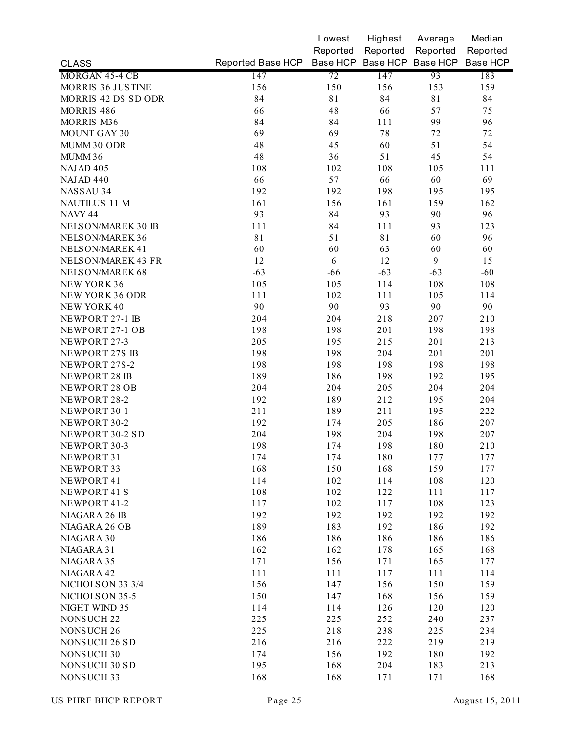|                       |                   | Lowest   | Highest  | Average                    | Median   |
|-----------------------|-------------------|----------|----------|----------------------------|----------|
|                       |                   | Reported | Reported | Reported                   | Reported |
| <b>CLASS</b>          | Reported Base HCP |          |          | Base HCP Base HCP Base HCP | Base HCP |
| MORGAN 45-4 CB        | 147               | 72       | 147      | 93                         | 183      |
| MORRIS 36 JUSTINE     | 156               | 150      | 156      | 153                        | 159      |
| MORRIS 42 DS SD ODR   | 84                | 81       | 84       | 81                         | 84       |
| MORRIS <sub>486</sub> | 66                | 48       | 66       | 57                         | 75       |
| MORRIS M36            | 84                | 84       | 111      | 99                         | 96       |
| <b>MOUNT GAY 30</b>   | 69                | 69       | 78       | 72                         | 72       |
| MUMM 30 ODR           | 48                | 45       | 60       | 51                         | 54       |
| MUMM 36               | 48                | 36       | 51       | 45                         | 54       |
| NAJAD <sub>405</sub>  | 108               | 102      | 108      | 105                        | 111      |
| NAJAD 440             | 66                | 57       | 66       | 60                         | 69       |
| NASSAU 34             | 192               | 192      | 198      | 195                        | 195      |
| NAUTILUS 11 M         | 161               | 156      | 161      | 159                        | 162      |
| NAVY 44               | 93                | 84       | 93       | 90                         | 96       |
| NELSON/MAREK 30 IB    | 111               | 84       | 111      | 93                         | 123      |
| NELSON/MAREK 36       | 81                | 51       | 81       | 60                         | 96       |
| NELSON/MAREK 41       | 60                | 60       | 63       | 60                         | 60       |
| NELSON/MAREK 43 FR    | 12                | 6        | 12       | 9                          | 15       |
| NELSON/MAREK 68       | $-63$             | $-66$    | $-63$    | $-63$                      | $-60$    |
| NEW YORK 36           | 105               | 105      | 114      | 108                        | 108      |
| NEW YORK 36 ODR       | 111               | 102      | 111      | 105                        | 114      |
| <b>NEW YORK 40</b>    | 90                | 90       | 93       | 90                         | 90       |
| NEWPORT 27-1 IB       | 204               | 204      | 218      | 207                        | 210      |
| NEWPORT 27-1 OB       | 198               | 198      | 201      | 198                        | 198      |
| NEWPORT 27-3          | 205               | 195      | 215      | 201                        | 213      |
| NEWPORT 27S IB        | 198               | 198      | 204      | 201                        | 201      |
| NEWPORT 27S-2         | 198               | 198      | 198      | 198                        | 198      |
| NEWPORT 28 IB         | 189               | 186      | 198      | 192                        | 195      |
| NEWPORT 28 OB         | 204               | 204      | 205      | 204                        | 204      |
| NEWPORT 28-2          | 192               | 189      | 212      | 195                        | 204      |
| NEWPORT 30-1          | 211               | 189      | 211      | 195                        | 222      |
| NEWPORT 30-2          | 192               | 174      | 205      | 186                        | 207      |
| NEWPORT 30-2 SD       | 204               | 198      | 204      | 198                        | 207      |
| NEWPORT 30-3          | 198               | 174      | 198      | 180                        | 210      |
| NEWPORT 31            | 174               | 174      | 180      | 177                        | 177      |
| NEWPORT 33            | 168               | 150      | 168      | 159                        | 177      |
| NEWPORT 41            | 114               | 102      | 114      | 108                        | 120      |
| NEWPORT 41 S          | 108               | 102      | 122      | 111                        | 117      |
| NEWPORT 41-2          | 117               | 102      | 117      | 108                        | 123      |
| NIAGARA 26 IB         | 192               | 192      | 192      | 192                        | 192      |
| NIAGARA 26 OB         | 189               | 183      | 192      | 186                        | 192      |
| NIAGARA 30            | 186               | 186      | 186      | 186                        | 186      |
| NIAGARA 31            | 162               | 162      | 178      | 165                        | 168      |
| NIAGARA 35            | 171               | 156      | 171      | 165                        | 177      |
| NIAGARA 42            | 111               | 111      | 117      | 111                        | 114      |
| NICHOLSON 33 3/4      | 156               | 147      | 156      | 150                        | 159      |
| NICHOLSON 35-5        | 150               | 147      | 168      | 156                        | 159      |
| NIGHT WIND 35         | 114               | 114      | 126      | 120                        | 120      |
| NONSUCH <sub>22</sub> | 225               | 225      | 252      | 240                        | 237      |
| NONSUCH 26            | 225               | 218      | 238      | 225                        | 234      |
| NONSUCH 26 SD         | 216               | 216      | 222      | 219                        | 219      |
| <b>NONSUCH 30</b>     | 174               | 156      | 192      | 180                        | 192      |
| <b>NONSUCH 30 SD</b>  | 195               | 168      | 204      | 183                        | 213      |
| <b>NONSUCH 33</b>     | 168               | 168      | 171      | 171                        | 168      |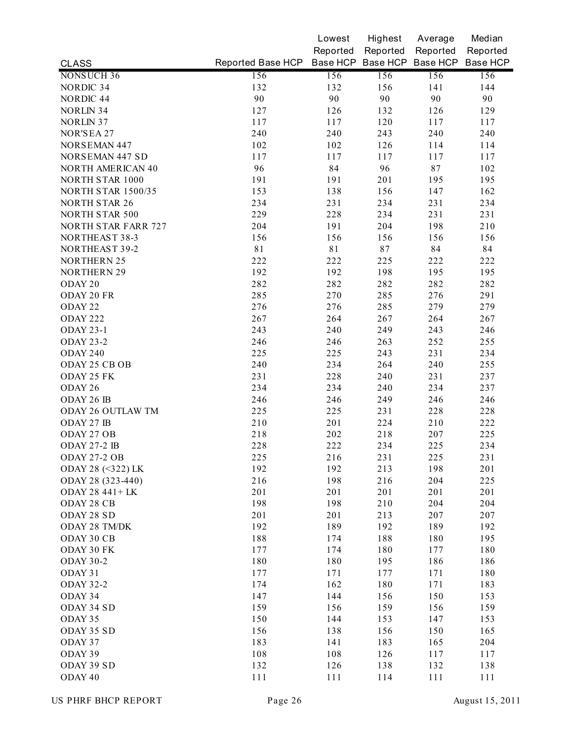|                            |                   | Lowest   | Highest  | Average                             | Median   |
|----------------------------|-------------------|----------|----------|-------------------------------------|----------|
|                            |                   | Reported | Reported | Reported                            | Reported |
| <b>CLASS</b>               | Reported Base HCP |          |          | Base HCP Base HCP Base HCP Base HCP |          |
| NONSUCH 36                 | 156               | 156      | 156      | 156                                 | 156      |
| <b>NORDIC 34</b>           | 132               | 132      | 156      | 141                                 | 144      |
| NORDIC 44                  | 90                | 90       | 90       | 90                                  | 90       |
| <b>NORLIN 34</b>           | 127               | 126      | 132      | 126                                 | 129      |
| <b>NORLIN 37</b>           | 117               | 117      | 120      | 117                                 | 117      |
| NOR'SEA 27                 | 240               | 240      | 243      | 240                                 | 240      |
| <b>NORSEMAN 447</b>        | 102               | 102      | 126      | 114                                 | 114      |
| <b>NORSEMAN 447 SD</b>     | 117               | 117      | 117      | 117                                 | 117      |
| <b>NORTH AMERICAN 40</b>   | 96                | 84       | 96       | 87                                  | 102      |
| NORTH STAR 1000            | 191               | 191      | 201      | 195                                 | 195      |
| <b>NORTH STAR 1500/35</b>  | 153               | 138      | 156      | 147                                 | 162      |
| <b>NORTH STAR 26</b>       | 234               | 231      | 234      | 231                                 | 234      |
| <b>NORTH STAR 500</b>      | 229               | 228      | 234      | 231                                 | 231      |
| <b>NORTH STAR FARR 727</b> | 204               | 191      | 204      | 198                                 | 210      |
| NORTHEAST 38-3             | 156               | 156      | 156      | 156                                 | 156      |
| NORTHEAST 39-2             | 81                | 81       | 87       | 84                                  | 84       |
| <b>NORTHERN 25</b>         | 222               | 222      | 225      | 222                                 | 222      |
| <b>NORTHERN 29</b>         | 192               | 192      | 198      | 195                                 | 195      |
| ODAY 20                    | 282               | 282      | 282      | 282                                 | 282      |
| ODAY 20 FR                 | 285               | 270      | 285      | 276                                 | 291      |
| ODAY <sub>22</sub>         | 276               | 276      | 285      | 279                                 | 279      |
| <b>ODAY 222</b>            | 267               | 264      | 267      | 264                                 | 267      |
| <b>ODAY 23-1</b>           | 243               | 240      | 249      | 243                                 | 246      |
| <b>ODAY 23-2</b>           | 246               | 246      | 263      | 252                                 | 255      |
| ODAY 240                   | 225               | 225      | 243      | 231                                 | 234      |
| ODAY 25 CB OB              | 240               | 234      | 264      | 240                                 | 255      |
| ODAY 25 FK                 | 231               | 228      | 240      | 231                                 | 237      |
| ODAY 26                    | 234               | 234      | 240      | 234                                 | 237      |
| ODAY 26 IB                 | 246               | 246      | 249      | 246                                 | 246      |
| ODAY 26 OUTLAW TM          | 225               | 225      | 231      | 228                                 | 228      |
| ODAY 27 IB                 | 210               | 201      | 224      | 210                                 | 222      |
| ODAY 27 OB                 | 218               | 202      | 218      | 207                                 | 225      |
| <b>ODAY 27-2 IB</b>        | 228               | 222      | 234      | 225                                 | 234      |
| ODAY 27-2 OB               | 225               | 216      | 231      | 225                                 | 231      |
| ODAY 28 (<322) LK          | 192               | 192      | 213      | 198                                 | 201      |
| ODAY 28 (323-440)          | 216               | 198      | 216      | 204                                 | 225      |
| ODAY 28 441 + LK           | 201               | 201      | 201      | 201                                 | 201      |
| ODAY 28 CB                 | 198               | 198      | 210      | 204                                 | 204      |
| ODAY 28 SD                 | 201               | 201      | 213      | 207                                 | 207      |
| ODAY 28 TM/DK              | 192               | 189      | 192      | 189                                 | 192      |
| ODAY 30 CB                 | 188               | 174      | 188      | 180                                 | 195      |
| ODAY 30 FK                 | 177               | 174      | 180      | 177                                 | 180      |
| <b>ODAY 30-2</b>           | 180               | 180      | 195      | 186                                 | 186      |
| ODAY 31                    | 177               | 171      | 177      | 171                                 | 180      |
| <b>ODAY 32-2</b>           | 174               | 162      | 180      | 171                                 | 183      |
| ODAY 34                    | 147               | 144      | 156      | 150                                 | 153      |
| ODAY 34 SD                 | 159               | 156      | 159      | 156                                 | 159      |
| ODAY 35                    | 150               | 144      | 153      | 147                                 | 153      |
| ODAY 35 SD                 | 156               | 138      | 156      | 150                                 | 165      |
| ODAY 37                    | 183               | 141      | 183      | 165                                 | 204      |
| ODAY 39                    | 108               | 108      | 126      | 117                                 | 117      |
| ODAY 39 SD                 | 132               | 126      | 138      | 132                                 | 138      |
| ODAY 40                    | 111               | 111      | 114      | 111                                 | 111      |
|                            |                   |          |          |                                     |          |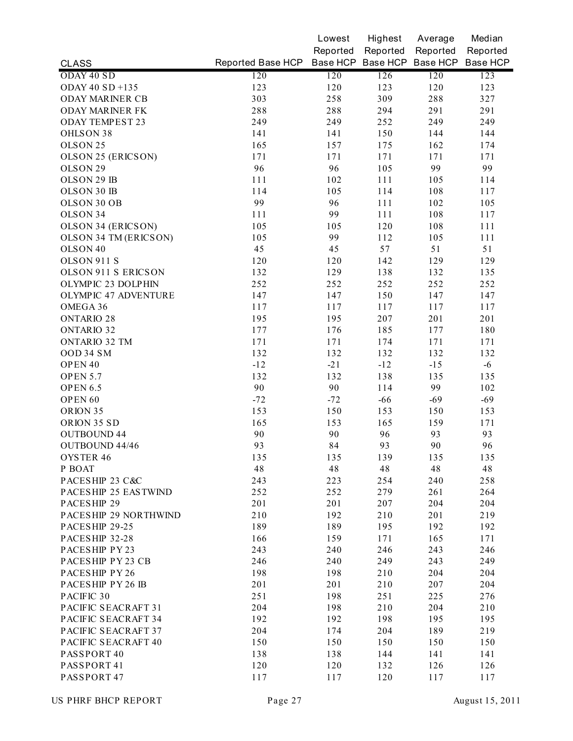|                           |                                              | Lowest   | Highest  | Average  | Median   |
|---------------------------|----------------------------------------------|----------|----------|----------|----------|
|                           |                                              | Reported | Reported | Reported | Reported |
| <b>CLASS</b>              | Reported Base HCP Base HCP Base HCP Base HCP |          |          |          | Base HCP |
| ODAY 40 SD                | 120                                          | 120      | 126      | 120      | 123      |
| ODAY 40 SD +135           | 123                                          | 120      | 123      | 120      | 123      |
| <b>ODAY MARINER CB</b>    | 303                                          | 258      | 309      | 288      | 327      |
| <b>ODAY MARINER FK</b>    | 288                                          | 288      | 294      | 291      | 291      |
| <b>ODAY TEMPEST 23</b>    | 249                                          | 249      | 252      | 249      | 249      |
| OHLSON 38                 | 141                                          | 141      | 150      | 144      | 144      |
| OLSON <sub>25</sub>       | 165                                          | 157      | 175      | 162      | 174      |
| OLSON 25 (ERICSON)        | 171                                          | 171      | 171      | 171      | 171      |
| OLSON <sub>29</sub>       | 96                                           | 96       | 105      | 99       | 99       |
| OLSON 29 IB               | 111                                          | 102      | 111      | 105      | 114      |
| OLSON 30 IB               | 114                                          | 105      | 114      | 108      | 117      |
| OLSON 30 OB               | 99                                           | 96       | 111      | 102      | 105      |
| OLSON 34                  | 111                                          | 99       | 111      | 108      | 117      |
| <b>OLSON 34 (ERICSON)</b> | 105                                          | 105      | 120      | 108      | 111      |
| OLSON 34 TM (ERICSON)     | 105                                          | 99       | 112      | 105      | 111      |
| OLSON <sub>40</sub>       | 45                                           | 45       | 57       | 51       | 51       |
| OLSON 911 S               | 120                                          | 120      | 142      | 129      | 129      |
| OLSON 911 S ERICSON       | 132                                          | 129      | 138      | 132      | 135      |
| OLYMPIC 23 DOLPHIN        | 252                                          | 252      | 252      | 252      | 252      |
| OLYMPIC 47 ADVENTURE      | 147                                          | 147      | 150      | 147      | 147      |
| OMEGA 36                  | 117                                          | 117      | 117      | 117      | 117      |
| <b>ONTARIO 28</b>         | 195                                          | 195      | 207      | 201      | 201      |
| <b>ONTARIO 32</b>         | 177                                          | 176      | 185      | 177      | 180      |
| <b>ONTARIO 32 TM</b>      | 171                                          | 171      | 174      | 171      | 171      |
| OOD 34 SM                 | 132                                          | 132      | 132      | 132      | 132      |
| OPEN 40                   | $-12$                                        | $-21$    | $-12$    | $-15$    | $-6$     |
| OPEN 5.7                  | 132                                          | 132      | 138      | 135      | 135      |
| <b>OPEN 6.5</b>           | 90                                           | 90       | 114      | 99       | 102      |
| OPEN <sub>60</sub>        | $-72$                                        | $-72$    | $-66$    | $-69$    | $-69$    |
| ORION 35                  | 153                                          | 150      | 153      | 150      | 153      |
| ORION 35 SD               | 165                                          | 153      | 165      | 159      | 171      |
| <b>OUTBOUND 44</b>        | 90                                           | 90       | 96       | 93       | 93       |
| <b>OUTBOUND 44/46</b>     | 93                                           | 84       | 93       | 90       | 96       |
| OYSTER 46                 | 135                                          | 135      | 139      | 135      | 135      |
| P BOAT                    | 48                                           | 48       | 48       | 48       | 48       |
| PACESHIP 23 C&C           | 243                                          | 223      | 254      | 240      | 258      |
| PACESHIP 25 EASTWIND      | 252                                          | 252      | 279      | 261      | 264      |
| PACESHIP 29               | 201                                          | 201      | 207      | 204      | 204      |
| PACESHIP 29 NORTHWIND     | 210                                          | 192      | 210      | 201      | 219      |
| PACESHIP 29-25            | 189                                          | 189      | 195      | 192      | 192      |
| PACESHIP 32-28            | 166                                          | 159      | 171      | 165      | 171      |
| PACESHIP PY 23            | 243                                          | 240      | 246      | 243      | 246      |
| PACESHIP PY 23 CB         | 246                                          | 240      | 249      | 243      | 249      |
| PACESHIP PY 26            | 198                                          | 198      | 210      | 204      | 204      |
| PACESHIP PY 26 IB         | 201                                          | 201      | 210      | 207      | 204      |
| PACIFIC 30                | 251                                          | 198      | 251      | 225      | 276      |
| PACIFIC SEACRAFT 31       | 204                                          | 198      | 210      | 204      | 210      |
| PACIFIC SEACRAFT 34       | 192                                          | 192      | 198      | 195      | 195      |
| PACIFIC SEACRAFT 37       | 204                                          | 174      | 204      | 189      | 219      |
| PACIFIC SEACRAFT 40       | 150                                          | 150      | 150      | 150      |          |
|                           |                                              |          |          |          | 150      |
| PASSPORT 40               | 138                                          | 138      | 144      | 141      | 141      |
| PASSPORT 41               | 120                                          | 120      | 132      | 126      | 126      |
| PASSPORT 47               | 117                                          | 117      | 120      | 117      | 117      |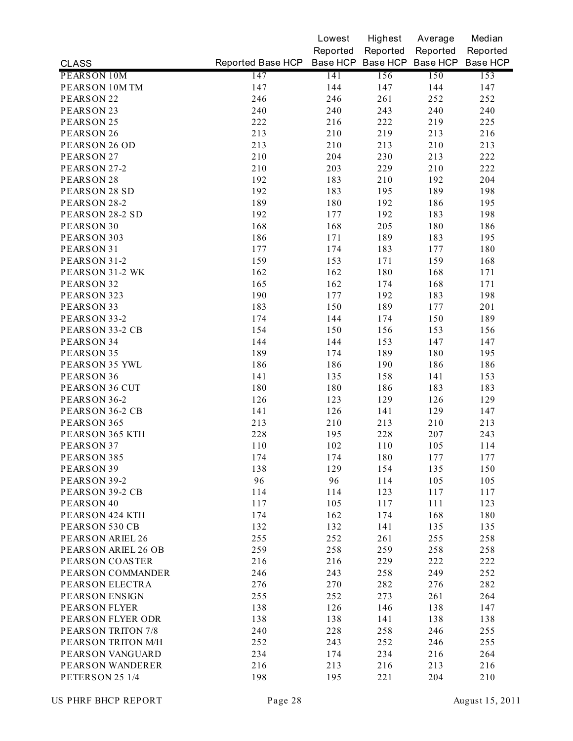|                         |                                              | Lowest   | Highest  | Average  | Median   |
|-------------------------|----------------------------------------------|----------|----------|----------|----------|
|                         |                                              | Reported | Reported | Reported | Reported |
| <b>CLASS</b>            | Reported Base HCP Base HCP Base HCP Base HCP |          |          |          | Base HCP |
| PEARSON 10M             | 147                                          | 141      | 156      | 150      | 153      |
| PEARSON 10M TM          | 147                                          | 144      | 147      | 144      | 147      |
| PEARSON <sub>22</sub>   | 246                                          | 246      | 261      | 252      | 252      |
| PEARSON <sub>23</sub>   | 240                                          | 240      | 243      | 240      | 240      |
| PEARSON <sub>25</sub>   | 222                                          | 216      | 222      | 219      | 225      |
| PEARSON 26              | 213                                          | 210      | 219      | 213      | 216      |
| PEARSON 26 OD           | 213                                          | 210      | 213      | 210      | 213      |
| PEARSON <sub>27</sub>   | 210                                          | 204      | 230      | 213      | 222      |
| PEARSON 27-2            | 210                                          | 203      | 229      | 210      | 222      |
| PEARSON 28              | 192                                          | 183      | 210      | 192      | 204      |
| PEARSON 28 SD           | 192                                          | 183      | 195      | 189      | 198      |
| PEARSON 28-2            | 189                                          | 180      | 192      | 186      | 195      |
| PEARSON 28-2 SD         | 192                                          | 177      | 192      | 183      | 198      |
| PEARSON 30              | 168                                          | 168      | 205      | 180      | 186      |
| PEARSON 303             | 186                                          | 171      | 189      | 183      | 195      |
| PEARSON 31              | 177                                          | 174      | 183      | 177      | 180      |
| PEARSON 31-2            | 159                                          | 153      | 171      | 159      | 168      |
| PEARSON 31-2 WK         | 162                                          | 162      | 180      | 168      | 171      |
| PEARSON 32              | 165                                          | 162      | 174      | 168      | 171      |
| PEARSON 323             | 190                                          | 177      | 192      | 183      | 198      |
| PEARSON 33              | 183                                          | 150      | 189      | 177      | 201      |
| PEARSON 33-2            | 174                                          | 144      | 174      | 150      | 189      |
| PEARSON 33-2 CB         | 154                                          | 150      | 156      | 153      | 156      |
| PEARSON 34              | 144                                          | 144      | 153      | 147      | 147      |
| PEARSON 35              | 189                                          | 174      | 189      | 180      | 195      |
| PEARSON 35 YWL          | 186                                          | 186      | 190      | 186      | 186      |
| PEARSON 36              | 141                                          | 135      | 158      | 141      | 153      |
| PEARSON 36 CUT          | 180                                          | 180      | 186      | 183      | 183      |
| PEARSON 36-2            | 126                                          | 123      | 129      | 126      | 129      |
| PEARSON 36-2 CB         | 141                                          | 126      | 141      | 129      | 147      |
| PEARSON 365             | 213                                          | 210      | 213      | 210      | 213      |
| PEARSON 365 KTH         | 228                                          | 195      | 228      | 207      | 243      |
| PEARSON 37              | 110                                          | 102      | 110      | 105      | 114      |
| PEARSON 385             | 174                                          | 174      | 180      | 177      | 177      |
| PEARSON 39              | 138                                          | 129      | 154      | 135      | 150      |
| PEARSON 39-2            | 96                                           | 96       | 114      | 105      | 105      |
| PEARSON 39-2 CB         | 114                                          | 114      | 123      | 117      | 117      |
| PEARSON 40              | 117                                          | 105      | 117      | 111      | 123      |
| PEARSON 424 KTH         | 174                                          | 162      | 174      | 168      | 180      |
| PEARSON 530 CB          | 132                                          | 132      | 141      | 135      | 135      |
| PEARSON ARIEL 26        | 255                                          | 252      | 261      | 255      | 258      |
| PEARSON ARIEL 26 OB     | 259                                          | 258      | 259      | 258      | 258      |
| PEARSON COASTER         | 216                                          | 216      | 229      | 222      | 222      |
| PEARSON COMMANDER       | 246                                          | 243      | 258      | 249      | 252      |
| PEARSON ELECTRA         | 276                                          | 270      | 282      | 276      | 282      |
| PEARSON ENSIGN          | 255                                          | 252      | 273      | 261      | 264      |
| <b>PEARSON FLYER</b>    | 138                                          | 126      | 146      | 138      | 147      |
| PEARSON FLYER ODR       | 138                                          | 138      | 141      | 138      | 138      |
| PEARSON TRITON 7/8      | 240                                          | 228      | 258      | 246      | 255      |
| PEARSON TRITON M/H      | 252                                          | 243      | 252      | 246      | 255      |
| PEARSON VANGUARD        | 234                                          | 174      | 234      | 216      | 264      |
| <b>PEARSON WANDERER</b> | 216                                          | 213      | 216      | 213      | 216      |
| PETERSON 25 1/4         | 198                                          | 195      | 221      | 204      | 210      |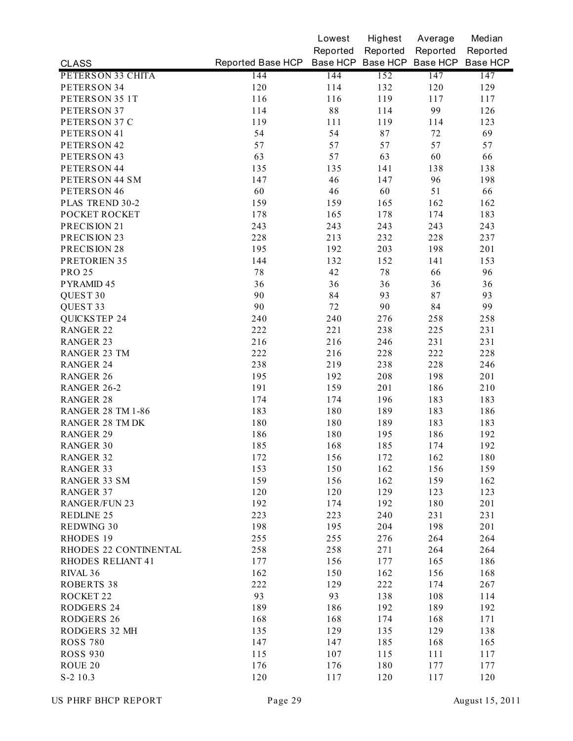|                                        |                                              | Lowest     | Highest  | Average  | Median   |
|----------------------------------------|----------------------------------------------|------------|----------|----------|----------|
|                                        |                                              | Reported   | Reported | Reported | Reported |
| <b>CLASS</b>                           | Reported Base HCP Base HCP Base HCP Base HCP |            |          |          | Base HCP |
| PETERSON 33 CHITA                      | 144                                          | 144        | 152      | 147      | 147      |
| PETERSON 34                            | 120                                          | 114        | 132      | 120      | 129      |
| PETERSON 35 1T                         | 116                                          | 116        | 119      | 117      | 117      |
| PETERSON 37                            | 114                                          | 88         | 114      | 99       | 126      |
| PETERSON 37 C                          | 119                                          | 111        | 119      | 114      | 123      |
| PETERSON 41                            | 54                                           | 54         | 87       | $72\,$   | 69       |
| PETERSON 42                            | 57                                           | 57         | 57       | 57       | 57       |
| PETERSON 43                            | 63                                           | 57         | 63       | 60       | 66       |
| PETERSON 44                            | 135                                          | 135        | 141      | 138      | 138      |
| PETERSON 44 SM                         | 147                                          | 46         | 147      | 96       | 198      |
| PETERSON 46                            | 60                                           | 46         | 60       | 51       | 66       |
| PLAS TREND 30-2                        | 159                                          | 159        | 165      | 162      | 162      |
| POCKET ROCKET                          | 178                                          | 165        | 178      | 174      | 183      |
| PRECISION 21                           | 243                                          | 243        | 243      | 243      | 243      |
| PRECISION 23                           | 228                                          | 213        | 232      | 228      | 237      |
| PRECISION 28                           | 195                                          | 192        | 203      | 198      | 201      |
| PRETORIEN 35                           | 144                                          | 132        | 152      | 141      | 153      |
| <b>PRO 25</b>                          | $7\,8$                                       | 42         | 78       | 66       | 96       |
| PYRAMID 45                             | 36                                           | 36         | 36       | 36       | 36       |
| QUEST <sub>30</sub>                    | 90                                           | 84         | 93       | 87       | 93       |
| QUEST 33                               | 90                                           | 72         | 90       | 84       | 99       |
| <b>QUICKSTEP 24</b>                    | 240                                          | 240        | 276      | 258      | 258      |
| <b>RANGER 22</b>                       | 222                                          | 221        | 238      | 225      | 231      |
| <b>RANGER 23</b>                       | 216                                          | 216        | 246      | 231      | 231      |
| <b>RANGER 23 TM</b>                    | 222                                          | 216        | 228      | 222      | 228      |
| <b>RANGER 24</b>                       | 238                                          | 219        | 238      | 228      | 246      |
| <b>RANGER 26</b>                       | 195                                          | 192        | 208      | 198      | 201      |
| RANGER 26-2                            | 191                                          | 159        | 201      | 186      | 210      |
| <b>RANGER 28</b>                       | 174                                          | 174        | 196      | 183      | 183      |
| <b>RANGER 28 TM 1-86</b>               | 183                                          | 180        | 189      | 183      | 186      |
| <b>RANGER 28 TM DK</b>                 | 180                                          | 180        | 189      | 183      | 183      |
| <b>RANGER 29</b>                       | 186                                          | 180        | 195      | 186      | 192      |
| <b>RANGER 30</b>                       | 185                                          | 168        | 185      | 174      | 192      |
| RANGER 32                              | 172                                          | 156        | 172      | 162      | 180      |
| <b>RANGER 33</b>                       | 153                                          | 150        | 162      | 156      | 159      |
| <b>RANGER 33 SM</b>                    | 159                                          | 156        | 162      | 159      | 162      |
| <b>RANGER 37</b>                       | 120                                          | 120        | 129      | 123      | 123      |
| <b>RANGER/FUN 23</b>                   | 192                                          | 174        | 192      | 180      | 201      |
| <b>REDLINE 25</b>                      | 223                                          | 223        | 240      | 231      | 231      |
| <b>REDWING 30</b>                      | 198                                          | 195        | 204      | 198      | 201      |
| RHODES 19                              | 255                                          | 255        | 276      | 264      | 264      |
| RHODES 22 CONTINENTAL                  | 258                                          | 258        | 271      | 264      | 264      |
| <b>RHODES RELIANT 41</b>               | 177                                          | 156        | 177      | 165      | 186      |
| RIVAL <sub>36</sub>                    | 162                                          | 150        | 162      | 156      | 168      |
| <b>ROBERTS 38</b>                      | 222                                          | 129        | 222      | 174      | 267      |
| ROCKET 22                              | 93                                           | 93         | 138      | 108      | 114      |
|                                        |                                              |            |          |          |          |
| <b>RODGERS 24</b><br><b>RODGERS 26</b> | 189                                          | 186<br>168 | 192      | 189      | 192      |
|                                        | 168                                          |            | 174      | 168      | 171      |
| RODGERS 32 MH                          | 135                                          | 129        | 135      | 129      | 138      |
| <b>ROSS 780</b>                        | 147                                          | 147        | 185      | 168      | 165      |
| <b>ROSS 930</b>                        | 115                                          | 107        | 115      | 111      | 117      |
| ROUE 20                                | 176                                          | 176        | 180      | 177      | 177      |
| S-2 10.3                               | 120                                          | 117        | 120      | 117      | 120      |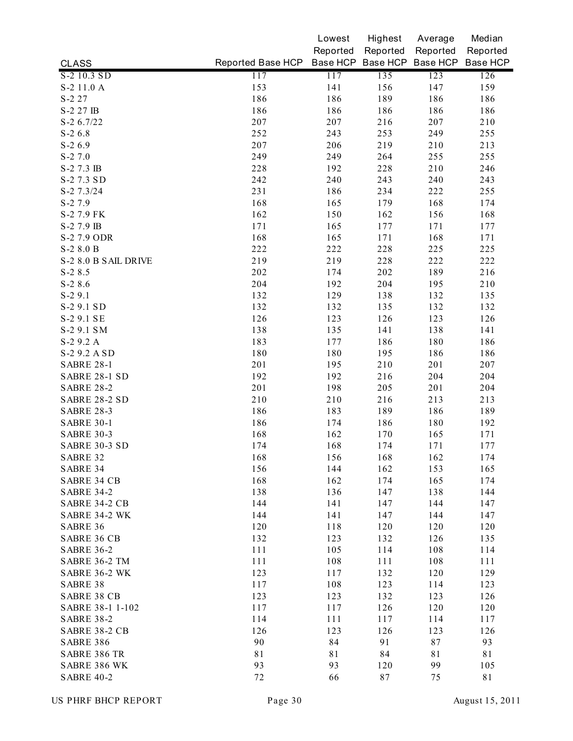|                                       |                   | Lowest   | Highest  | Average                    | Median   |
|---------------------------------------|-------------------|----------|----------|----------------------------|----------|
|                                       |                   | Reported | Reported | Reported                   | Reported |
| <b>CLASS</b>                          | Reported Base HCP |          |          | Base HCP Base HCP Base HCP | Base HCP |
| S-2 10.3 SD                           | 117               | 117      | 135      | 123                        | 126      |
| S-2 11.0 A                            | 153               | 141      | 156      | 147                        | 159      |
| $S-227$                               | 186               | 186      | 189      | 186                        | 186      |
| S-2 27 IB                             | 186               | 186      | 186      | 186                        | 186      |
| $S-2$ 6.7/22                          | 207               | 207      | 216      | 207                        | 210      |
| $S-26.8$                              | 252               | 243      | 253      | 249                        | 255      |
| $S-26.9$                              | 207               | 206      | 219      | 210                        | 213      |
| $S - 27.0$                            | 249               | 249      | 264      | 255                        | 255      |
| S-2 7.3 IB                            | 228               | 192      | 228      | 210                        | 246      |
| S-2 7.3 SD                            | 242               | 240      | 243      | 240                        | 243      |
| $S-2$ 7.3/24                          | 231               | 186      | 234      | 222                        | 255      |
| S-2 7.9                               | 168               | 165      | 179      | 168                        | 174      |
| S-2 7.9 FK                            | 162               | 150      | 162      | 156                        | 168      |
| S-2 7.9 IB                            | 171               | 165      | 177      | 171                        | 177      |
| S-2 7.9 ODR                           | 168               | 165      | 171      | 168                        | 171      |
| S-2 8.0 B                             | 222               | 222      | 228      | 225                        | 225      |
| S-2 8.0 B SAIL DRIVE                  | 219               | 219      | 228      | 222                        | 222      |
| $S-28.5$                              | 202               | 174      | 202      | 189                        | 216      |
| $S-28.6$                              | 204               | 192      | 204      | 195                        | 210      |
| $S-29.1$                              | 132               | 129      | 138      | 132                        | 135      |
| S-2 9.1 SD                            | 132               | 132      | 135      | 132                        | 132      |
| S-2 9.1 SE                            | 126               | 123      | 126      | 123                        | 126      |
| S-2 9.1 SM                            | 138               | 135      | 141      | 138                        | 141      |
| S-2 9.2 A                             | 183               | 177      | 186      | 180                        | 186      |
| S-2 9.2 A SD                          | 180               | 180      | 195      | 186                        | 186      |
| <b>SABRE 28-1</b>                     | 201               | 195      | 210      | 201                        | 207      |
| SABRE 28-1 SD                         | 192               | 192      | 216      | 204                        | 204      |
| <b>SABRE 28-2</b>                     | 201               | 198      | 205      | 201                        | 204      |
| <b>SABRE 28-2 SD</b>                  | 210               | 210      | 216      | 213                        | 213      |
| <b>SABRE 28-3</b>                     | 186               | 183      | 189      | 186                        | 189      |
| <b>SABRE 30-1</b>                     | 186               | 174      | 186      | 180                        | 192      |
| <b>SABRE 30-3</b>                     | 168               | 162      | 170      | 165                        | 171      |
| SABRE 30-3 SD                         | 174               | 168      | 174      | 171                        | 177      |
| SABRE 32                              | 168               | 156      | 168      | 162                        | 174      |
| SABRE 34                              | 156               | 144      | 162      | 153                        | 165      |
| <b>SABRE 34 CB</b>                    | 168               | 162      | 174      | 165                        | 174      |
| <b>SABRE 34-2</b>                     | 138               | 136      | 147      | 138                        | 144      |
| SABRE 34-2 CB                         | 144               | 141      | 147      | 144                        | 147      |
| SABRE 34-2 WK                         | 144               | 141      | 147      | 144                        | 147      |
| SABRE 36                              | 120               | 118      | 120      | 120                        | 120      |
| <b>SABRE 36 CB</b>                    | 132               | 123      | 132      | 126                        | 135      |
| <b>SABRE 36-2</b>                     | 111               | 105      |          | 108                        |          |
|                                       |                   |          | 114      |                            | 114      |
| SABRE 36-2 TM<br><b>SABRE 36-2 WK</b> | 111               | 108      | 111      | 108                        | 111      |
|                                       | 123               | 117      | 132      | 120                        | 129      |
| SABRE 38                              | 117               | 108      | 123      | 114                        | 123      |
| <b>SABRE 38 CB</b>                    | 123               | 123      | 132      | 123                        | 126      |
| SABRE 38-1 1-102                      | 117               | 117      | 126      | 120                        | 120      |
| <b>SABRE 38-2</b>                     | 114               | 111      | 117      | 114                        | 117      |
| SABRE 38-2 CB                         | 126               | 123      | 126      | 123                        | 126      |
| <b>SABRE 386</b>                      | 90                | 84       | 91       | 87                         | 93       |
| <b>SABRE 386 TR</b>                   | 81                | 81       | 84       | 81                         | 81       |
| SABRE 386 WK                          | 93                | 93       | 120      | 99                         | 105      |
| <b>SABRE 40-2</b>                     | 72                | 66       | 87       | 75                         | 81       |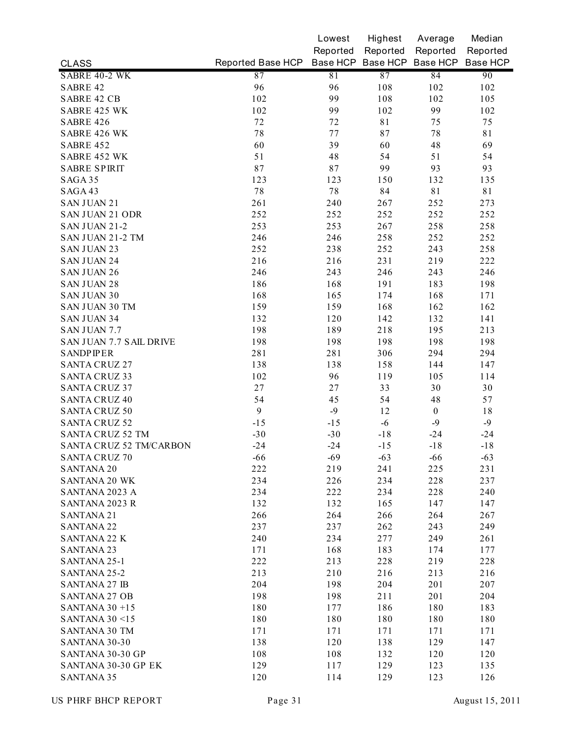|                                |                   | Lowest   | Highest           | Average          | Median   |
|--------------------------------|-------------------|----------|-------------------|------------------|----------|
|                                |                   | Reported | Reported          | Reported         | Reported |
| <b>CLASS</b>                   | Reported Base HCP |          | Base HCP Base HCP | Base HCP         | Base HCP |
| SABRE 40-2 WK                  | 87                | 81       | 87                | 84               | 90       |
| <b>SABRE 42</b>                | 96                | 96       | 108               | 102              | 102      |
| <b>SABRE 42 CB</b>             | 102               | 99       | 108               | 102              | 105      |
| <b>SABRE 425 WK</b>            | 102               | 99       | 102               | 99               | 102      |
| <b>SABRE 426</b>               | 72                | 72       | 81                | 75               | 75       |
| SABRE 426 WK                   | 78                | 77       | 87                | 78               | 81       |
| <b>SABRE 452</b>               | 60                | 39       | 60                | 48               | 69       |
| SABRE 452 WK                   | 51                | 48       | 54                | 51               | 54       |
| <b>SABRE SPIRIT</b>            | 87                | $8\,7$   | 99                | 93               | 93       |
| SAGA 35                        | 123               | 123      | 150               | 132              | 135      |
| SAGA 43                        | $7\,8$            | $7\,$    | 84                | 81               | 81       |
| <b>SAN JUAN 21</b>             | 261               | 240      | 267               | 252              | 273      |
| <b>SAN JUAN 21 ODR</b>         | 252               | 252      | 252               | 252              | 252      |
| SAN JUAN 21-2                  | 253               | 253      | 267               | 258              | 258      |
| SAN JUAN 21-2 TM               | 246               | 246      | 258               | 252              | 252      |
| <b>SAN JUAN 23</b>             | 252               | 238      | 252               | 243              | 258      |
| <b>SAN JUAN 24</b>             | 216               | 216      | 231               | 219              | 222      |
| <b>SAN JUAN 26</b>             | 246               | 243      | 246               | 243              | 246      |
| <b>SAN JUAN 28</b>             | 186               | 168      | 191               | 183              | 198      |
| <b>SAN JUAN 30</b>             | 168               | 165      | 174               | 168              | 171      |
| <b>SAN JUAN 30 TM</b>          | 159               | 159      | 168               | 162              | 162      |
| <b>SAN JUAN 34</b>             | 132               | 120      | 142               | 132              | 141      |
| <b>SAN JUAN 7.7</b>            | 198               | 189      | 218               | 195              | 213      |
| SAN JUAN 7.7 SAIL DRIVE        | 198               | 198      | 198               | 198              | 198      |
| <b>SANDPIPER</b>               | 281               | 281      | 306               | 294              | 294      |
| <b>SANTA CRUZ 27</b>           | 138               | 138      | 158               | 144              | 147      |
| <b>SANTA CRUZ 33</b>           | 102               | 96       | 119               | 105              | 114      |
| <b>SANTA CRUZ 37</b>           | 27                | 27       | 33                | 30               | 30       |
| <b>SANTA CRUZ 40</b>           | 54                | 45       | 54                | 48               | 57       |
| <b>SANTA CRUZ 50</b>           | 9                 | $-9$     | 12                | $\boldsymbol{0}$ | 18       |
| <b>SANTA CRUZ 52</b>           | $-15$             | $-15$    | $-6$              | $-9$             | $-9$     |
| <b>SANTA CRUZ 52 TM</b>        | $-30$             | $-30$    | $-18$             | $-24$            | $-24$    |
| <b>SANTA CRUZ 52 TM/CARBON</b> | $-24$             | $-24$    | $-15$             | $-18$            | $-18$    |
| SANTA CRUZ 70                  | $-66$             | $-69$    | $-63$             | $-66$            | $-63$    |
| <b>SANTANA 20</b>              | 222               | 219      | 241               | 225              | 231      |
| <b>SANTANA 20 WK</b>           | 234               | 226      | 234               | 228              | 237      |
| SANTANA 2023 A                 | 234               | 222      | 234               | 228              | 240      |
| SANTANA 2023 R                 | 132               | 132      | 165               | 147              | 147      |
| <b>SANTANA 21</b>              | 266               | 264      | 266               | 264              | 267      |
| <b>SANTANA 22</b>              | 237               | 237      | 262               | 243              | 249      |
| <b>SANTANA 22 K</b>            | 240               | 234      | 277               | 249              | 261      |
| <b>SANTANA 23</b>              | 171               | 168      | 183               | 174              | 177      |
| SANTANA 25-1                   | 222               | 213      | 228               | 219              | 228      |
| SANTANA 25-2                   | 213               | 210      | 216               | 213              | 216      |
| <b>SANTANA 27 IB</b>           | 204               | 198      | 204               | 201              | 207      |
| <b>SANTANA 27 OB</b>           | 198               | 198      | 211               | 201              | 204      |
| SANTANA $30 + 15$              | 180               | 177      | 186               | 180              | 183      |
| <b>SANTANA 30 &lt;15</b>       | 180               | 180      | 180               | 180              | 180      |
| <b>SANTANA 30 TM</b>           | 171               | 171      | 171               | 171              | 171      |
| SANTANA 30-30                  | 138               | 120      | 138               | 129              | 147      |
| SANTANA 30-30 GP               | 108               | 108      | 132               | 120              | 120      |
| SANTANA 30-30 GP EK            | 129               | 117      | 129               | 123              | 135      |
| <b>SANTANA 35</b>              | 120               | 114      | 129               | 123              | 126      |
|                                |                   |          |                   |                  |          |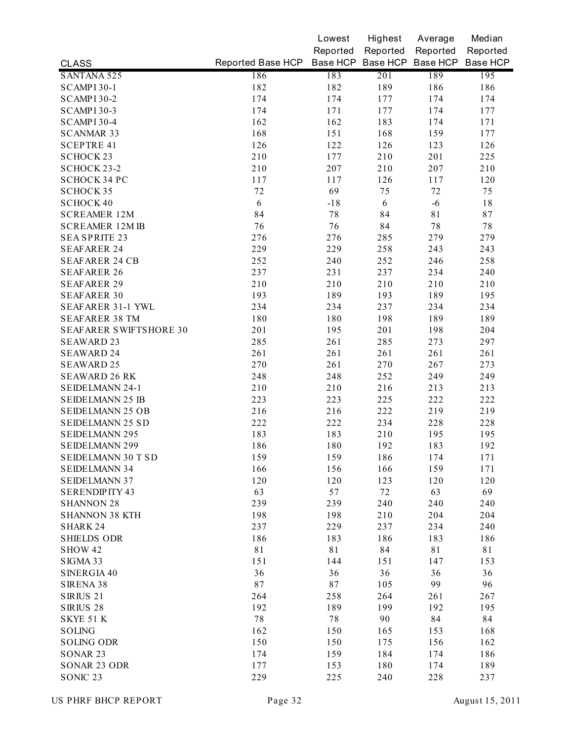|                               |                                              | Lowest   | Highest  | Average  | Median   |
|-------------------------------|----------------------------------------------|----------|----------|----------|----------|
|                               |                                              | Reported | Reported | Reported | Reported |
| <b>CLASS</b>                  | Reported Base HCP Base HCP Base HCP Base HCP |          |          |          | Base HCP |
| <b>SANTANA 525</b>            | 186                                          | 183      | 201      | 189      | 195      |
| SCAMPI 30-1                   | 182                                          | 182      | 189      | 186      | 186      |
| SCAMPI 30-2                   | 174                                          | 174      | 177      | 174      | 174      |
| SCAMPI 30-3                   | 174                                          | 171      | 177      | 174      | 177      |
| SCAMPI 30-4                   | 162                                          | 162      | 183      | 174      | 171      |
| <b>SCANMAR 33</b>             | 168                                          | 151      | 168      | 159      | 177      |
| <b>SCEPTRE 41</b>             | 126                                          | 122      | 126      | 123      | 126      |
| <b>SCHOCK23</b>               | 210                                          | 177      | 210      | 201      | 225      |
| SCHOCK 23-2                   | 210                                          | 207      | 210      | 207      | 210      |
| SCHOCK 34 PC                  | 117                                          | 117      | 126      | 117      | 120      |
| <b>SCHOCK 35</b>              | 72                                           | 69       | 75       | 72       | 75       |
| <b>SCHOCK 40</b>              | 6                                            | $-18$    | 6        | $-6$     | 18       |
| <b>SCREAMER 12M</b>           | 84                                           | 78       | 84       | 81       | 87       |
| <b>SCREAMER 12M IB</b>        | 76                                           | 76       | 84       | 78       | 78       |
| <b>SEA SPRITE 23</b>          | 276                                          | 276      | 285      | 279      | 279      |
| <b>SEAFARER 24</b>            | 229                                          | 229      | 258      | 243      | 243      |
| <b>SEAFARER 24 CB</b>         | 252                                          | 240      | 252      | 246      | 258      |
| <b>SEAFARER 26</b>            | 237                                          | 231      | 237      | 234      | 240      |
| <b>SEAFARER 29</b>            | 210                                          | 210      | 210      | 210      | 210      |
| <b>SEAFARER 30</b>            | 193                                          | 189      | 193      | 189      | 195      |
| SEAFARER 31-1 YWL             | 234                                          | 234      | 237      | 234      | 234      |
| <b>SEAFARER 38 TM</b>         | 180                                          | 180      | 198      | 189      | 189      |
| <b>SEAFARER SWIFTSHORE 30</b> | 201                                          | 195      | 201      | 198      | 204      |
| <b>SEAWARD 23</b>             | 285                                          | 261      | 285      | 273      | 297      |
| <b>SEAWARD 24</b>             | 261                                          | 261      | 261      | 261      | 261      |
| <b>SEAWARD 25</b>             | 270                                          | 261      | 270      | 267      | 273      |
| <b>SEAWARD 26 RK</b>          | 248                                          | 248      | 252      | 249      | 249      |
| SEIDELMANN 24-1               | 210                                          | 210      | 216      | 213      | 213      |
| <b>SEIDELMANN 25 IB</b>       | 223                                          | 223      | 225      | 222      | 222      |
| <b>SEIDELMANN 25 OB</b>       | 216                                          | 216      | 222      | 219      | 219      |
| SEIDELMANN 25 SD              | 222                                          | 222      | 234      | 228      | 228      |
| <b>SEIDELMANN 295</b>         | 183                                          | 183      | 210      | 195      | 195      |
| <b>SEIDELMANN 299</b>         | 186                                          | 180      | 192      | 183      | 192      |
| SEIDELMANN 30 T SD            | 159                                          | 159      | 186      | 174      | 171      |
| <b>SEIDELMANN 34</b>          | 166                                          | 156      | 166      | 159      | 171      |
| <b>SEIDELMANN 37</b>          | 120                                          | 120      | 123      | 120      | 120      |
| <b>SERENDIPITY 43</b>         | 63                                           | 57       | 72       | 63       | 69       |
| <b>SHANNON 28</b>             | 239                                          | 239      | 240      | 240      | 240      |
| <b>SHANNON 38 KTH</b>         | 198                                          | 198      | 210      | 204      | 204      |
| <b>SHARK 24</b>               | 237                                          | 229      | 237      | 234      | 240      |
| <b>SHIELDS ODR</b>            | 186                                          | 183      | 186      | 183      | 186      |
| SHOW 42                       | 81                                           | 81       | 84       | 81       | 81       |
| SIGMA 33                      | 151                                          | 144      | 151      | 147      | 153      |
| SINERGIA 40                   | 36                                           | 36       | 36       | 36       | 36       |
| SIRENA 38                     | 87                                           | 87       | 105      | 99       | 96       |
| SIRIUS <sub>21</sub>          | 264                                          | 258      | 264      | 261      | 267      |
| SIRIUS <sub>28</sub>          | 192                                          | 189      | 199      | 192      | 195      |
| SKYE 51 K                     | $7\,$                                        | $7\,$    | 90       | 84       | 84       |
| <b>SOLING</b>                 | 162                                          | 150      | 165      | 153      | 168      |
| <b>SOLING ODR</b>             | 150                                          | 150      | 175      | 156      | 162      |
| SONAR 23                      | 174                                          | 159      | 184      | 174      | 186      |
| SONAR 23 ODR                  | 177                                          | 153      | 180      | 174      | 189      |
| SONIC <sub>23</sub>           | 229                                          | 225      | 240      | 228      | 237      |
|                               |                                              |          |          |          |          |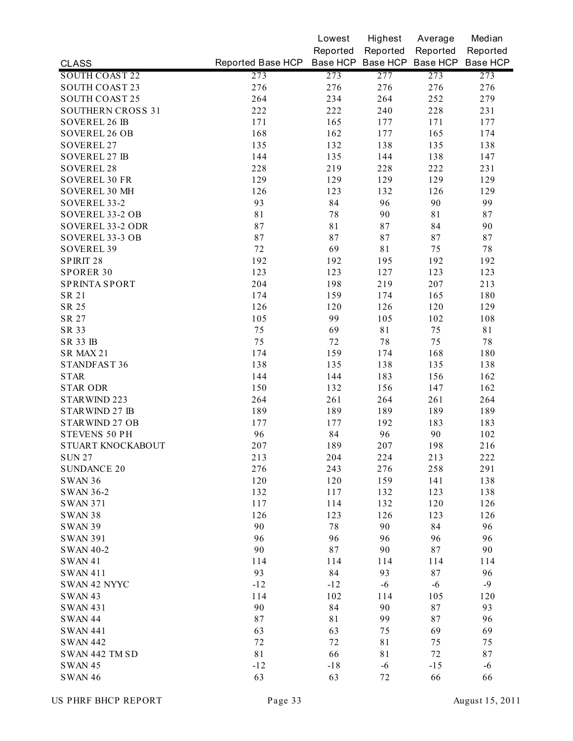|                          |                                              | Lowest   | Highest  | Average  | Median   |
|--------------------------|----------------------------------------------|----------|----------|----------|----------|
|                          |                                              | Reported | Reported | Reported | Reported |
| <b>CLASS</b>             | Reported Base HCP Base HCP Base HCP Base HCP |          |          |          | Base HCP |
| <b>SOUTH COAST 22</b>    | 273                                          | 273      | 277      | 273      | 273      |
| <b>SOUTH COAST 23</b>    | 276                                          | 276      | 276      | 276      | 276      |
| <b>SOUTH COAST 25</b>    | 264                                          | 234      | 264      | 252      | 279      |
| <b>SOUTHERN CROSS 31</b> | 222                                          | 222      | 240      | 228      | 231      |
| <b>SOVEREL 26 IB</b>     | 171                                          | 165      | 177      | 171      | 177      |
| <b>SOVEREL 26 OB</b>     | 168                                          | 162      | 177      | 165      | 174      |
| <b>SOVEREL 27</b>        | 135                                          | 132      | 138      | 135      | 138      |
| <b>SOVEREL 27 IB</b>     | 144                                          | 135      | 144      | 138      | 147      |
| SOVEREL 28               | 228                                          | 219      | 228      | 222      | 231      |
| <b>SOVEREL 30 FR</b>     | 129                                          | 129      | 129      | 129      | 129      |
| SOVEREL 30 MH            | 126                                          | 123      | 132      | 126      | 129      |
| SOVEREL 33-2             | 93                                           | 84       | 96       | 90       | 99       |
| SOVEREL 33-2 OB          | 81                                           | 78       | 90       | 81       | 87       |
| SOVEREL 33-2 ODR         | 87                                           | 81       | 87       | 84       | 90       |
| SOVEREL 33-3 OB          | 87                                           | 87       | 87       | 87       | 87       |
| <b>SOVEREL 39</b>        | 72                                           | 69       | 81       | 75       | 78       |
| SPIRIT <sub>28</sub>     | 192                                          | 192      | 195      | 192      | 192      |
| <b>SPORER 30</b>         | 123                                          | 123      | 127      | 123      | 123      |
| <b>SPRINTA SPORT</b>     | 204                                          | 198      | 219      | 207      | 213      |
| SR 21                    | 174                                          | 159      | 174      | 165      | 180      |
| SR 25                    | 126                                          | 120      | 126      | 120      | 129      |
| SR 27                    | 105                                          | 99       | 105      | 102      | 108      |
| SR 33                    | 75                                           | 69       | 81       | 75       | 81       |
| <b>SR 33 IB</b>          | 75                                           | 72       | 78       | 75       | 78       |
| SR MAX 21                | 174                                          | 159      | 174      | 168      | 180      |
| STANDFAST 36             | 138                                          | 135      | 138      | 135      | 138      |
| <b>STAR</b>              | 144                                          | 144      | 183      | 156      | 162      |
| <b>STAR ODR</b>          | 150                                          | 132      | 156      | 147      | 162      |
| STARWIND 223             | 264                                          | 261      | 264      | 261      | 264      |
| STARWIND 27 IB           | 189                                          | 189      | 189      | 189      | 189      |
| STARWIND 27 OB           | 177                                          | 177      | 192      | 183      | 183      |
| STEVENS 50 PH            | 96                                           | 84       | 96       | 90       | 102      |
| STUART KNOCKABOUT        | 207                                          | 189      | 207      | 198      | 216      |
| SUN 27                   | 213                                          | 204      | 224      | 213      | 222      |
| <b>SUNDANCE 20</b>       | 276                                          | 243      | 276      | 258      | 291      |
| SWAN 36                  | 120                                          | 120      | 159      | 141      | 138      |
| SWAN 36-2                | 132                                          | 117      | 132      | 123      | 138      |
| <b>SWAN 371</b>          | 117                                          | 114      | 132      | 120      | 126      |
| <b>SWAN 38</b>           | 126                                          | 123      | 126      | 123      | 126      |
| <b>SWAN 39</b>           | 90                                           | 78       | 90       | 84       | 96       |
| <b>SWAN 391</b>          | 96                                           | 96       | 96       | 96       | 96       |
| <b>SWAN 40-2</b>         | 90                                           | 87       | 90       | 87       | 90       |
| <b>SWAN41</b>            | 114                                          | 114      | 114      | 114      | 114      |
| <b>SWAN 411</b>          | 93                                           | 84       | 93       | 87       | 96       |
| <b>SWAN 42 NYYC</b>      | $-12$                                        | $-12$    | $-6$     | $-6$     | $-9$     |
| <b>SWAN 43</b>           | 114                                          | 102      | 114      | 105      | 120      |
| <b>SWAN 431</b>          | 90                                           | 84       | 90       | 87       | 93       |
| <b>SWAN 44</b>           | 87                                           | 81       | 99       | 87       | 96       |
|                          | 63                                           | 63       | 75       | 69       | 69       |
| <b>SWAN 441</b>          |                                              | 72       |          |          |          |
| <b>SWAN 442</b>          | 72                                           |          | 81       | 75       | 75       |
| SWAN 442 TM SD           | 81                                           | 66       | 81       | 72       | 87       |
| <b>SWAN 45</b>           | $-12$                                        | $-18$    | $-6$     | $-15$    | $-6$     |
| <b>SWAN 46</b>           | 63                                           | 63       | 72       | 66       | 66       |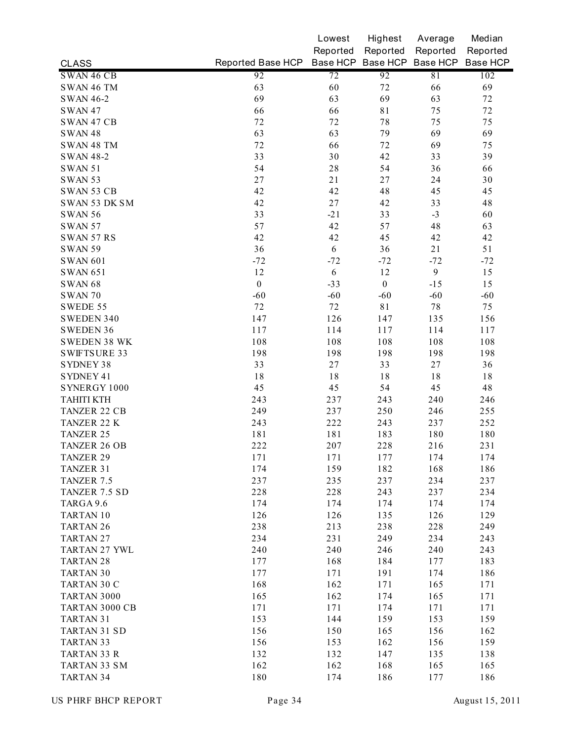|                        |                   | Lowest     | Highest          | Average                    | Median     |
|------------------------|-------------------|------------|------------------|----------------------------|------------|
|                        |                   | Reported   | Reported         | Reported                   | Reported   |
| <b>CLASS</b>           | Reported Base HCP |            |                  | Base HCP Base HCP Base HCP | Base HCP   |
| SWAN 46 CB             | 92                | 72         | 92               | 81                         | 102        |
| SWAN 46 TM             | 63                | 60         | 72               | 66                         | 69         |
| <b>SWAN 46-2</b>       | 69                | 63         | 69               | 63                         | 72         |
| <b>SWAN 47</b>         | 66                | 66         | 81               | 75                         | 72         |
| SWAN 47 CB             | 72                | 72         | 78               | 75                         | 75         |
| <b>SWAN48</b>          | 63                | 63         | 79               | 69                         | 69         |
| SWAN 48 TM             | 72                | 66         | 72               | 69                         | 75         |
| <b>SWAN 48-2</b>       | 33                | 30         | 42               | 33                         | 39         |
| <b>SWAN 51</b>         | 54                | 28         | 54               | 36                         | 66         |
| <b>SWAN 53</b>         | 27                | 21         | $27\,$           | 24                         | 30         |
| <b>SWAN 53 CB</b>      | 42                | 42         | 48               | 45                         | 45         |
| SWAN 53 DK SM          | 42                | 27         | 42               | 33                         | 48         |
| <b>SWAN 56</b>         | 33                | $-21$      | 33               | $-3$                       | 60         |
| <b>SWAN 57</b>         | 57                | 42         | 57               | 48                         | 63         |
| <b>SWAN 57 RS</b>      | 42                | 42         | 45               | 42                         | 42         |
| <b>SWAN 59</b>         | 36                | 6          | 36               | 21                         | 51         |
| <b>SWAN 601</b>        | $-72$             | $-72$      | $-72$            | $-72$                      | $-72$      |
| <b>SWAN 651</b>        | 12                | 6          | 12               | 9                          | 15         |
| <b>SWAN 68</b>         | $\boldsymbol{0}$  | $-33$      | $\boldsymbol{0}$ | $-15$                      | 15         |
| <b>SWAN 70</b>         | $-60$             | $-60$      | $-60$            | $-60$                      | $-60$      |
| SWEDE 55               | 72                | 72         | 81               | 78                         | 75         |
| SWEDEN 340             | 147               | 126        | 147              | 135                        | 156        |
| <b>SWEDEN 36</b>       | 117               | 114        | 117              | 114                        | 117        |
| <b>SWEDEN 38 WK</b>    | 108               | 108        | 108              | 108                        | 108        |
| <b>SWIFTSURE 33</b>    | 198               | 198        | 198              | 198                        | 198        |
| SYDNEY 38              | 33                | 27         | 33               | 27                         | 36         |
| SYDNEY 41              | $1\,8$            | 18         | 18               | 18                         | $1\,8$     |
| SYNERGY 1000           | 45                | 45         | 54               | 45                         | 48         |
| <b>TAHITI KTH</b>      | 243               | 237        | 243              | 240                        | 246        |
| <b>TANZER 22 CB</b>    | 249               | 237        | 250              | 246                        | 255        |
| TANZER 22 K            | 243               | 222        | 243              | 237                        | 252        |
| <b>TANZER 25</b>       | 181               | 181        | 183              | 180                        | 180        |
| <b>TANZER 26 OB</b>    | 222               | 207        | 228              | 216                        | 231        |
|                        |                   |            |                  |                            |            |
| TANZER 29<br>TANZER 31 | 171<br>174        | 171<br>159 | 177<br>182       | 174<br>168                 | 174<br>186 |
| TANZER 7.5             | 237               | 235        | 237              | 234                        | 237        |
| TANZER 7.5 SD          | 228               | 228        | 243              | 237                        | 234        |
| TARGA 9.6              | 174               | 174        | 174              | 174                        | 174        |
| TARTAN 10              | 126               | 126        | 135              | 126                        | 129        |
| TARTAN 26              | 238               | 213        | 238              | 228                        | 249        |
| TARTAN 27              | 234               | 231        | 249              | 234                        | 243        |
| TARTAN 27 YWL          |                   | 240        |                  |                            |            |
| <b>TARTAN 28</b>       | 240               |            | 246              | 240                        | 243        |
|                        | 177               | 168        | 184              | 177                        | 183        |
| TARTAN 30              | 177               | 171        | 191              | 174                        | 186        |
| TARTAN 30 C            | 168               | 162        | 171              | 165                        | 171        |
| TARTAN 3000            | 165               | 162        | 174              | 165                        | 171        |
| TARTAN 3000 CB         | 171               | 171        | 174              | 171                        | 171        |
| TARTAN 31              | 153               | 144        | 159              | 153                        | 159        |
| TARTAN 31 SD           | 156               | 150        | 165              | 156                        | 162        |
| TARTAN 33              | 156               | 153        | 162              | 156                        | 159        |
| TARTAN 33 R            | 132               | 132        | 147              | 135                        | 138        |
| TARTAN 33 SM           | 162               | 162        | 168              | 165                        | 165        |
| TARTAN 34              | 180               | 174        | 186              | 177                        | 186        |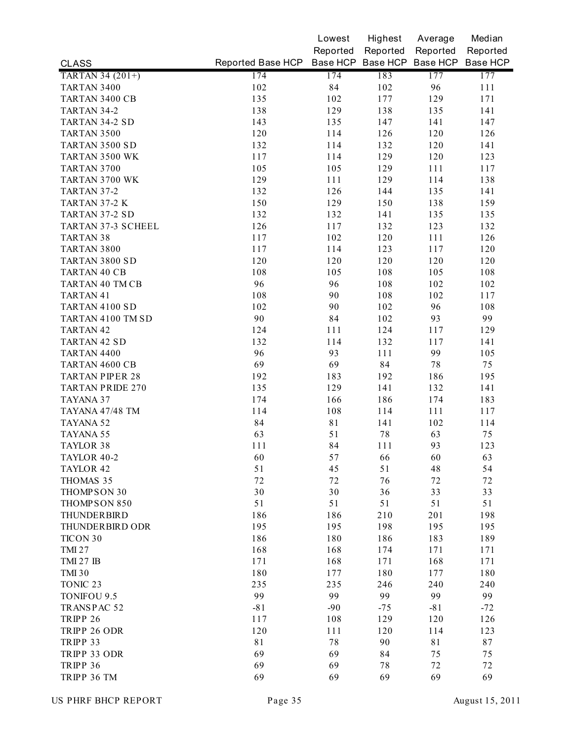|                         |                   | Lowest      | Highest  | Average                             | Median   |
|-------------------------|-------------------|-------------|----------|-------------------------------------|----------|
|                         |                   | Reported    | Reported | Reported                            | Reported |
| <b>CLASS</b>            | Reported Base HCP |             |          | Base HCP Base HCP Base HCP Base HCP |          |
| TARTAN 34 (201+)        | 174               | 174         | 183      | 177                                 | 177      |
| TARTAN 3400             | 102               | 84          | 102      | 96                                  | 111      |
| TARTAN 3400 CB          | 135               | 102         | 177      | 129                                 | 171      |
| TARTAN 34-2             | 138               | 129         | 138      | 135                                 | 141      |
| TARTAN 34-2 SD          | 143               | 135         | 147      | 141                                 | 147      |
| TARTAN 3500             | 120               | 114         | 126      | 120                                 | 126      |
| TARTAN 3500 SD          | 132               | 114         | 132      | 120                                 | 141      |
| TARTAN 3500 WK          | 117               | 114         | 129      | 120                                 | 123      |
| TARTAN 3700             | 105               | 105         | 129      | 111                                 | 117      |
| TARTAN 3700 WK          | 129               | 111         | 129      | 114                                 | 138      |
| TARTAN 37-2             | 132               | 126         | 144      | 135                                 | 141      |
| TARTAN 37-2 K           | 150               | 129         | 150      | 138                                 | 159      |
| TARTAN 37-2 SD          | 132               | 132         | 141      | 135                                 | 135      |
| TARTAN 37-3 SCHEEL      | 126               | 117         | 132      | 123                                 | 132      |
| <b>TARTAN 38</b>        | 117               | 102         | 120      | 111                                 | 126      |
| TARTAN 3800             | 117               | 114         | 123      | 117                                 | 120      |
| TARTAN 3800 SD          | 120               | 120         | 120      | 120                                 | 120      |
| TARTAN 40 CB            | 108               | 105         | 108      | 105                                 | 108      |
| TARTAN 40 TM CB         | 96                | 96          | 108      | 102                                 | 102      |
| TARTAN 41               | 108               | 90          | 108      | 102                                 | 117      |
| TARTAN 4100 SD          | 102               | 90          | 102      | 96                                  | 108      |
| TARTAN 4100 TM SD       | 90                | 84          | 102      | 93                                  | 99       |
| TARTAN 42               | 124               | 111         | 124      | 117                                 | 129      |
| <b>TARTAN 42 SD</b>     | 132               | 114         | 132      | 117                                 | 141      |
| TARTAN 4400             | 96                | 93          | 111      | 99                                  | 105      |
| TARTAN 4600 CB          | 69                | 69          | 84       | 78                                  | 75       |
| <b>TARTAN PIPER 28</b>  | 192               | 183         | 192      | 186                                 | 195      |
| <b>TARTAN PRIDE 270</b> | 135               | 129         | 141      | 132                                 | 141      |
| TAYANA 37               | 174               | 166         | 186      | 174                                 | 183      |
| TAYANA 47/48 TM         | 114               | 108         | 114      | 111                                 | 117      |
| TAYANA 52               | 84                | $8\sqrt{1}$ | 141      | 102                                 | 114      |
| TAYANA 55               | 63                | 51          | 78       | 63                                  | 75       |
| TAYLOR 38               | 111               | 84          | 111      | 93                                  | 123      |
| TAYLOR 40-2             | 60                | 57          | 66       | 60                                  | 63       |
| TAYLOR 42               | 51                | 45          | 51       | 48                                  | 54       |
| THOMAS 35               | 72                | 72          | 76       | 72                                  | 72       |
| THOMPSON 30             | 30                | 30          | 36       | 33                                  | 33       |
| THOMPSON 850            | 51                | 51          | 51       | 51                                  | 51       |
| THUNDERBIRD             | 186               | 186         | 210      | 201                                 | 198      |
| THUNDERBIRD ODR         | 195               | 195         | 198      | 195                                 | 195      |
| TICON 30                | 186               | 180         | 186      | 183                                 | 189      |
| <b>TMI 27</b>           | 168               | 168         | 174      | 171                                 | 171      |
| <b>TMI 27 IB</b>        | 171               | 168         | 171      | 168                                 | 171      |
| <b>TMI 30</b>           | 180               | 177         | 180      | 177                                 | 180      |
| TONIC <sub>23</sub>     | 235               | 235         | 246      | 240                                 | 240      |
| TONIFOU 9.5             | 99                | 99          | 99       | 99                                  | 99       |
| TRANSPAC 52             | $-81$             | $-90$       | $-75$    | $-81$                               | $-72$    |
| TRIPP 26                | 117               | 108         | 129      | 120                                 | 126      |
| TRIPP 26 ODR            | 120               | 111         | 120      | 114                                 | 123      |
| TRIPP 33                | 81                | 78          | 90       | 81                                  | 87       |
|                         |                   |             |          |                                     |          |
| TRIPP 33 ODR            | 69<br>69          | 69          | 84       | 75                                  | 75       |
| TRIPP 36                |                   | 69          | 78       | 72                                  | 72       |
| TRIPP 36 TM             | 69                | 69          | 69       | 69                                  | 69       |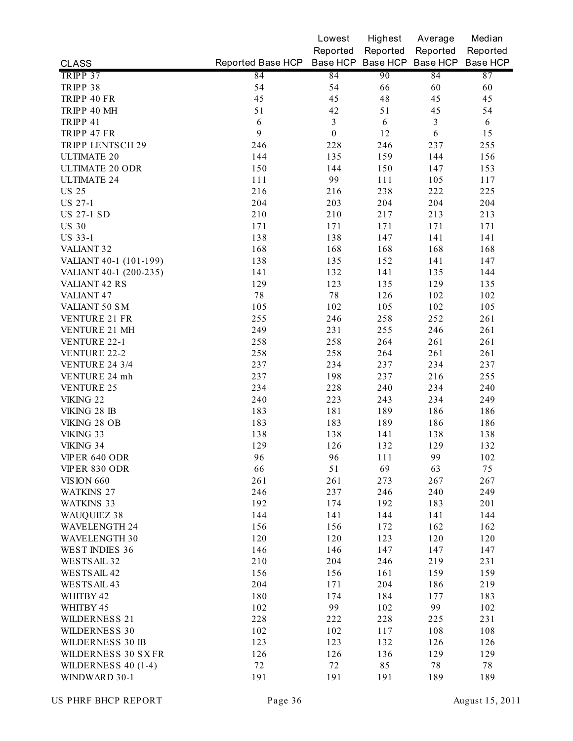|                         |                                              | Lowest           | Highest    | Average        | Median   |
|-------------------------|----------------------------------------------|------------------|------------|----------------|----------|
|                         |                                              | Reported         | Reported   | Reported       | Reported |
| <b>CLASS</b>            | Reported Base HCP Base HCP Base HCP Base HCP |                  |            |                | Base HCP |
| TRIPP 37                | 84                                           | 84               | 90         | 84             | 87       |
| TRIPP 38                | 54                                           | 54               | 66         | 60             | 60       |
| TRIPP 40 FR             | 45                                           | 45               | 48         | 45             | 45       |
| TRIPP 40 MH             | 51                                           | 42               | 51         | 45             | 54       |
| TRIPP 41                | 6                                            | 3                | $\sqrt{6}$ | $\mathfrak{Z}$ | 6        |
| TRIPP 47 FR             | 9                                            | $\boldsymbol{0}$ | 12         | $\sqrt{6}$     | 15       |
| <b>TRIPP LENTSCH 29</b> | 246                                          | 228              | 246        | 237            | 255      |
| <b>ULTIMATE 20</b>      | 144                                          | 135              | 159        | 144            | 156      |
| <b>ULTIMATE 20 ODR</b>  | 150                                          | 144              | 150        | 147            | 153      |
| <b>ULTIMATE 24</b>      | 111                                          | 99               | 111        | 105            | 117      |
| <b>US 25</b>            | 216                                          | 216              | 238        | 222            | 225      |
| <b>US 27-1</b>          | 204                                          | 203              | 204        | 204            | 204      |
| <b>US 27-1 SD</b>       | 210                                          | 210              | 217        | 213            | 213      |
| <b>US 30</b>            | 171                                          | 171              | 171        | 171            | 171      |
| <b>US 33-1</b>          | 138                                          | 138              | 147        | 141            | 141      |
| VALIANT <sub>32</sub>   | 168                                          | 168              | 168        | 168            | 168      |
| VALIANT 40-1 (101-199)  | 138                                          | 135              | 152        | 141            | 147      |
| VALIANT 40-1 (200-235)  | 141                                          | 132              | 141        | 135            | 144      |
| <b>VALIANT 42 RS</b>    | 129                                          | 123              | 135        | 129            | 135      |
| <b>VALIANT 47</b>       | $7\,8$                                       | 78               | 126        | 102            | 102      |
| VALIANT 50 SM           | 105                                          | 102              | 105        | 102            | 105      |
| VENTURE 21 FR           | 255                                          | 246              | 258        | 252            | 261      |
| VENTURE 21 MH           | 249                                          | 231              | 255        | 246            | 261      |
| <b>VENTURE 22-1</b>     | 258                                          | 258              | 264        | 261            | 261      |
| <b>VENTURE 22-2</b>     | 258                                          | 258              | 264        | 261            | 261      |
| <b>VENTURE 24 3/4</b>   | 237                                          | 234              | 237        | 234            | 237      |
| VENTURE 24 mh           | 237                                          | 198              | 237        | 216            | 255      |
| <b>VENTURE 25</b>       | 234                                          | 228              | 240        | 234            | 240      |
| VIKING 22               | 240                                          | 223              | 243        | 234            | 249      |
| VIKING 28 IB            | 183                                          | 181              | 189        | 186            | 186      |
| VIKING 28 OB            | 183                                          | 183              | 189        | 186            | 186      |
| VIKING 33               | 138                                          | 138              | 141        | 138            | 138      |
| VIKING 34               | 129                                          | 126              | 132        | 129            | 132      |
| VIPER 640 ODR           | 96                                           | 96               | 111        | 99             | 102      |
| VIPER 830 ODR           | 66                                           | 51               | 69         | 63             | 75       |
| <b>VISION 660</b>       | 261                                          | 261              | 273        | 267            | 267      |
| <b>WATKINS 27</b>       | 246                                          | 237              | 246        | 240            | 249      |
| <b>WATKINS 33</b>       | 192                                          | 174              | 192        | 183            | 201      |
| WAUQUIEZ 38             | 144                                          | 141              | 144        | 141            | 144      |
| <b>WAVELENGTH 24</b>    | 156                                          | 156              | 172        | 162            | 162      |
| <b>WAVELENGTH 30</b>    | 120                                          | 120              | 123        | 120            | 120      |
| WEST INDIES 36          | 146                                          | 146              | 147        | 147            | 147      |
| WESTS AIL 32            | 210                                          | 204              | 246        | 219            | 231      |
| WESTS AIL 42            | 156                                          | 156              | 161        | 159            | 159      |
| WESTS AIL 43            | 204                                          | 171              | 204        | 186            | 219      |
| WHITBY 42               | 180                                          | 174              | 184        | 177            | 183      |
| WHITBY 45               | 102                                          | 99               | 102        | 99             | 102      |
| <b>WILDERNESS 21</b>    | 228                                          | 222              | 228        | 225            | 231      |
| WILDERNESS 30           | 102                                          | 102              | 117        | 108            | 108      |
| WILDERNESS 30 IB        | 123                                          | 123              | 132        | 126            | 126      |
| WILDERNESS 30 SXFR      | 126                                          | 126              | 136        | 129            | 129      |
| WILDERNESS $40(1-4)$    | 72                                           | 72               | 85         | 78             | 78       |
| WINDWARD 30-1           | 191                                          | 191              | 191        | 189            | 189      |